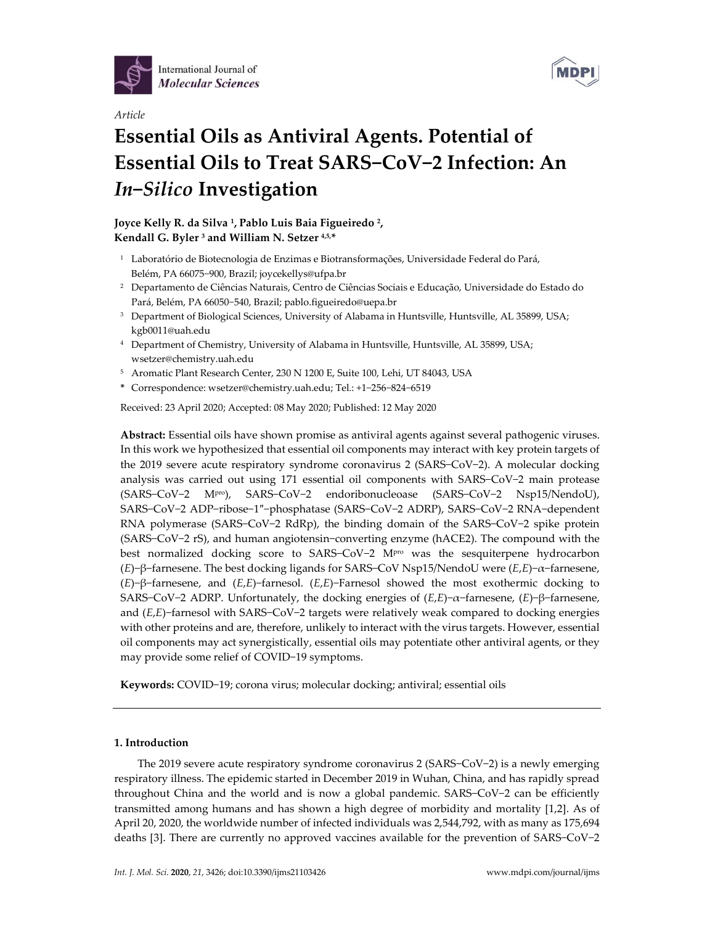

*Article*



# **Essential Oils as Antiviral Agents. Potential of Essential Oils to Treat SARS−CoV−2 Infection: An**  *In−Silico* **Investigation**

# **Joyce Kelly R. da Silva 1, Pablo Luis Baia Figueiredo 2, Kendall G. Byler 3 and William N. Setzer 4,5,\***

- <sup>1</sup> Laboratório de Biotecnologia de Enzimas e Biotransformações, Universidade Federal do Pará, Belém, PA 66075−900, Brazil; joycekellys@ufpa.br
- <sup>2</sup> Departamento de Ciências Naturais, Centro de Ciências Sociais e Educação, Universidade do Estado do Pará, Belém, PA 66050−540, Brazil; pablo.figueiredo@uepa.br
- <sup>3</sup> Department of Biological Sciences, University of Alabama in Huntsville, Huntsville, AL 35899, USA; kgb0011@uah.edu
- <sup>4</sup> Department of Chemistry, University of Alabama in Huntsville, Huntsville, AL 35899, USA; wsetzer@chemistry.uah.edu
- <sup>5</sup> Aromatic Plant Research Center, 230 N 1200 E, Suite 100, Lehi, UT 84043, USA
- **\*** Correspondence: wsetzer@chemistry.uah.edu; Tel.: +1−256−824−6519

Received: 23 April 2020; Accepted: 08 May 2020; Published: 12 May 2020

**Abstract:** Essential oils have shown promise as antiviral agents against several pathogenic viruses. In this work we hypothesized that essential oil components may interact with key protein targets of the 2019 severe acute respiratory syndrome coronavirus 2 (SARS−CoV−2). A molecular docking analysis was carried out using 171 essential oil components with SARS−CoV−2 main protease (SARS−CoV−2 Mpro), SARS−CoV−2 endoribonucleoase (SARS−CoV−2 Nsp15/NendoU), SARS−CoV−2 ADP−ribose−1″−phosphatase (SARS−CoV−2 ADRP), SARS−CoV−2 RNA−dependent RNA polymerase (SARS−CoV−2 RdRp), the binding domain of the SARS−CoV−2 spike protein (SARS−CoV−2 rS), and human angiotensin−converting enzyme (hACE2). The compound with the best normalized docking score to SARS−CoV−2 Mpro was the sesquiterpene hydrocarbon (*E*)−β−farnesene. The best docking ligands for SARS−CoV Nsp15/NendoU were (*E*,*E*)−α−farnesene, (*E*)−β−farnesene, and (*E*,*E*)−farnesol. (*E*,*E*)−Farnesol showed the most exothermic docking to SARS−CoV−2 ADRP. Unfortunately, the docking energies of (*E*,*E*)−α−farnesene, (*E*)−β−farnesene, and (*E*,*E*)−farnesol with SARS−CoV−2 targets were relatively weak compared to docking energies with other proteins and are, therefore, unlikely to interact with the virus targets. However, essential oil components may act synergistically, essential oils may potentiate other antiviral agents, or they may provide some relief of COVID−19 symptoms.

**Keywords:** COVID−19; corona virus; molecular docking; antiviral; essential oils

## **1. Introduction**

The 2019 severe acute respiratory syndrome coronavirus 2 (SARS−CoV−2) is a newly emerging respiratory illness. The epidemic started in December 2019 in Wuhan, China, and has rapidly spread throughout China and the world and is now a global pandemic. SARS−CoV−2 can be efficiently transmitted among humans and has shown a high degree of morbidity and mortality [1,2]. As of April 20, 2020, the worldwide number of infected individuals was 2,544,792, with as many as 175,694 deaths [3]. There are currently no approved vaccines available for the prevention of SARS−CoV−2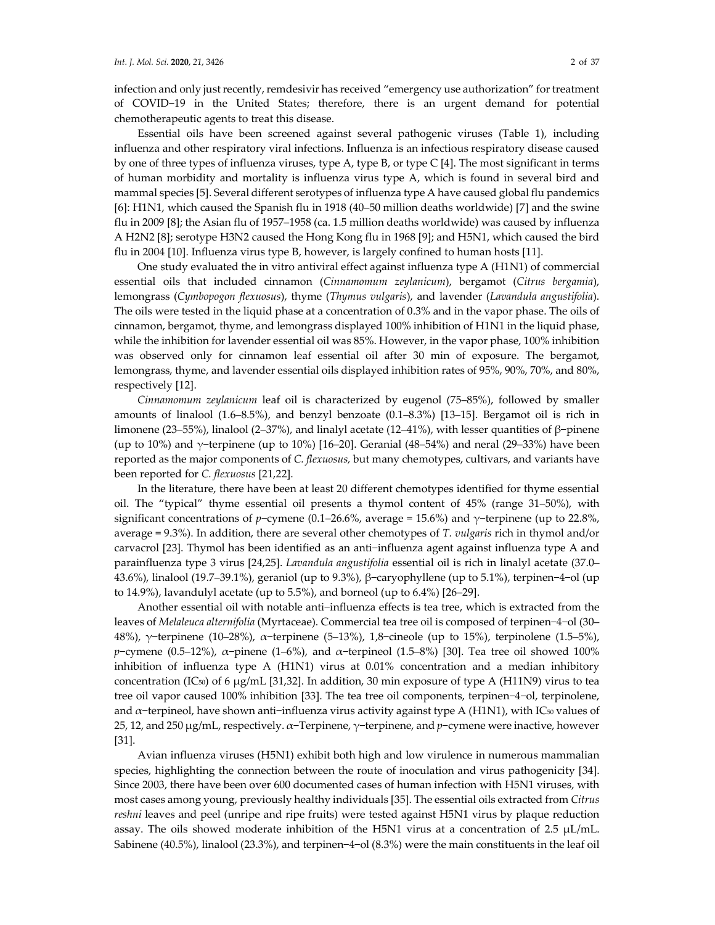infection and only just recently, remdesivir has received "emergency use authorization" for treatment of COVID−19 in the United States; therefore, there is an urgent demand for potential chemotherapeutic agents to treat this disease.

Essential oils have been screened against several pathogenic viruses (Table 1), including influenza and other respiratory viral infections. Influenza is an infectious respiratory disease caused by one of three types of influenza viruses, type A, type B, or type C [4]. The most significant in terms of human morbidity and mortality is influenza virus type A, which is found in several bird and mammal species [5]. Several different serotypes of influenza type A have caused global flu pandemics [6]: H1N1, which caused the Spanish flu in 1918 (40–50 million deaths worldwide) [7] and the swine flu in 2009 [8]; the Asian flu of 1957–1958 (ca. 1.5 million deaths worldwide) was caused by influenza A H2N2 [8]; serotype H3N2 caused the Hong Kong flu in 1968 [9]; and H5N1, which caused the bird flu in 2004 [10]. Influenza virus type B, however, is largely confined to human hosts [11].

One study evaluated the in vitro antiviral effect against influenza type A (H1N1) of commercial essential oils that included cinnamon (*Cinnamomum zeylanicum*), bergamot (*Citrus bergamia*), lemongrass (*Cymbopogon flexuosus*), thyme (*Thymus vulgaris*), and lavender (*Lavandula angustifolia*). The oils were tested in the liquid phase at a concentration of 0.3% and in the vapor phase. The oils of cinnamon, bergamot, thyme, and lemongrass displayed 100% inhibition of H1N1 in the liquid phase, while the inhibition for lavender essential oil was 85%. However, in the vapor phase, 100% inhibition was observed only for cinnamon leaf essential oil after 30 min of exposure. The bergamot, lemongrass, thyme, and lavender essential oils displayed inhibition rates of 95%, 90%, 70%, and 80%, respectively [12].

*Cinnamomum zeylanicum* leaf oil is characterized by eugenol (75–85%), followed by smaller amounts of linalool (1.6–8.5%), and benzyl benzoate (0.1–8.3%) [13–15]. Bergamot oil is rich in limonene (23–55%), linalool (2–37%), and linalyl acetate (12–41%), with lesser quantities of β−pinene (up to 10%) and γ−terpinene (up to 10%) [16–20]. Geranial (48–54%) and neral (29–33%) have been reported as the major components of *C. flexuosus,* but many chemotypes, cultivars, and variants have been reported for *C. flexuosus* [21,22].

In the literature, there have been at least 20 different chemotypes identified for thyme essential oil. The "typical" thyme essential oil presents a thymol content of 45% (range 31–50%), with significant concentrations of *p*−cymene (0.1–26.6%, average = 15.6%) and γ−terpinene (up to 22.8%, average = 9.3%). In addition, there are several other chemotypes of *T. vulgaris* rich in thymol and/or carvacrol [23]. Thymol has been identified as an anti−influenza agent against influenza type A and parainfluenza type 3 virus [24,25]. *Lavandula angustifolia* essential oil is rich in linalyl acetate (37.0– 43.6%), linalool (19.7–39.1%), geraniol (up to 9.3%), β−caryophyllene (up to 5.1%), terpinen−4−ol (up to 14.9%), lavandulyl acetate (up to 5.5%), and borneol (up to 6.4%) [26–29].

Another essential oil with notable anti−influenza effects is tea tree, which is extracted from the leaves of *Melaleuca alternifolia* (Myrtaceae). Commercial tea tree oil is composed of terpinen−4−ol (30– 48%), γ−terpinene (10–28%), α−terpinene (5–13%), 1,8−cineole (up to 15%), terpinolene (1.5–5%), *p*−cymene (0.5–12%), α−pinene (1–6%), and α−terpineol (1.5–8%) [30]. Tea tree oil showed 100% inhibition of influenza type A (H1N1) virus at 0.01% concentration and a median inhibitory concentration (IC<sub>50</sub>) of 6  $\mu$ g/mL [31,32]. In addition, 30 min exposure of type A (H11N9) virus to tea tree oil vapor caused 100% inhibition [33]. The tea tree oil components, terpinen−4−ol, terpinolene, and α−terpineol, have shown anti−influenza virus activity against type A (H1N1), with IC<sub>50</sub> values of 25, 12, and 250 μg/mL, respectively. α−Terpinene, γ−terpinene, and *p*−cymene were inactive, however [31].

Avian influenza viruses (H5N1) exhibit both high and low virulence in numerous mammalian species, highlighting the connection between the route of inoculation and virus pathogenicity [34]. Since 2003, there have been over 600 documented cases of human infection with H5N1 viruses, with most cases among young, previously healthy individuals [35]. The essential oils extracted from *Citrus reshni* leaves and peel (unripe and ripe fruits) were tested against H5N1 virus by plaque reduction assay. The oils showed moderate inhibition of the H5N1 virus at a concentration of 2.5 μL/mL. Sabinene (40.5%), linalool (23.3%), and terpinen−4−ol (8.3%) were the main constituents in the leaf oil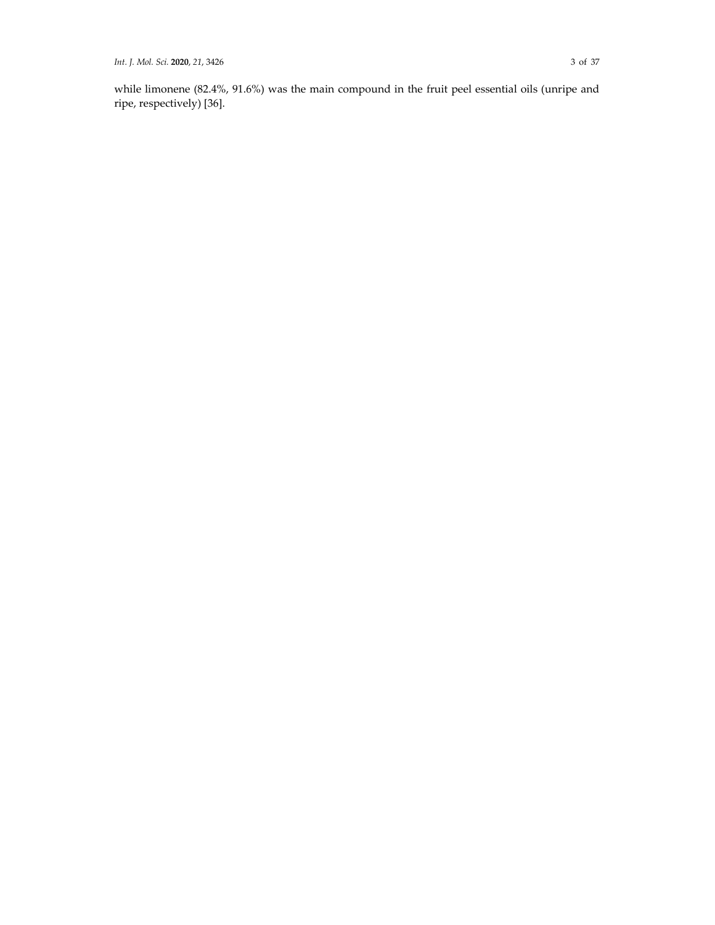while limonene (82.4%, 91.6%) was the main compound in the fruit peel essential oils (unripe and ripe, respectively) [36].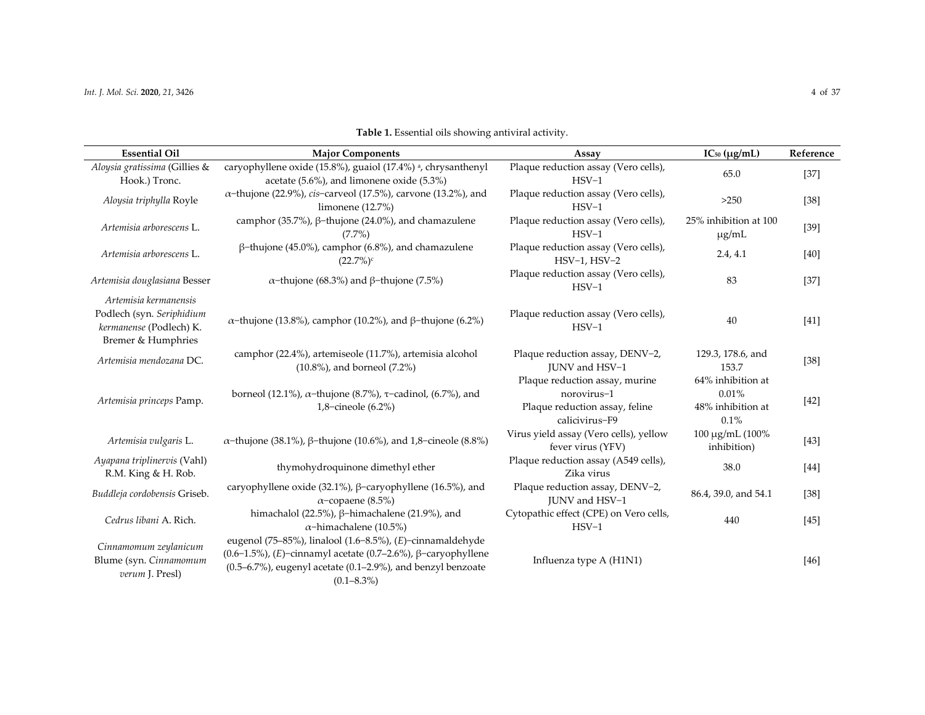| <b>Essential Oil</b>                                                                                | <b>Major Components</b>                                                                                                                                                                                                  | Assay                                                                                             | $IC_{50} (\mu g/mL)$                                    | Reference |
|-----------------------------------------------------------------------------------------------------|--------------------------------------------------------------------------------------------------------------------------------------------------------------------------------------------------------------------------|---------------------------------------------------------------------------------------------------|---------------------------------------------------------|-----------|
| Aloysia gratissima (Gillies &<br>Hook.) Tronc.                                                      | caryophyllene oxide (15.8%), guaiol (17.4%) <sup>a</sup> , chrysanthenyl<br>acetate (5.6%), and limonene oxide (5.3%)                                                                                                    | Plaque reduction assay (Vero cells),<br>$HSV-1$                                                   | 65.0                                                    | $[37]$    |
| Aloysia triphylla Royle                                                                             | $\alpha$ -thujone (22.9%), cis-carveol (17.5%), carvone (13.2%), and<br>Plaque reduction assay (Vero cells),<br>limonene (12.7%)<br>$HSV-1$                                                                              |                                                                                                   | >250                                                    | $[38]$    |
| Artemisia arborescens L.                                                                            | camphor (35.7%), $\beta$ -thujone (24.0%), and chamazulene<br>Plaque reduction assay (Vero cells),<br>$HSV-1$<br>$(7.7\%)$                                                                                               |                                                                                                   | 25% inhibition at 100<br>$\mu g/mL$                     | $[39]$    |
| Artemisia arborescens L.                                                                            | $\beta$ -thujone (45.0%), camphor (6.8%), and chamazulene<br>$(22.7\%)^c$                                                                                                                                                | Plaque reduction assay (Vero cells),<br>$HSV-1$ , $HSV-2$                                         | 2.4, 4.1                                                | $[40]$    |
| Artemisia douglasiana Besser                                                                        | $\alpha$ -thujone (68.3%) and β-thujone (7.5%)                                                                                                                                                                           | Plaque reduction assay (Vero cells),<br>$HSV-1$                                                   | 83                                                      | $[37]$    |
| Artemisia kermanensis<br>Podlech (syn. Seriphidium<br>kermanense (Podlech) K.<br>Bremer & Humphries | $\alpha$ -thujone (13.8%), camphor (10.2%), and $\beta$ -thujone (6.2%)                                                                                                                                                  | Plaque reduction assay (Vero cells),<br>$HSV-1$                                                   | 40                                                      | $[41]$    |
| Artemisia mendozana DC.                                                                             | camphor (22.4%), artemiseole (11.7%), artemisia alcohol<br>$(10.8\%)$ , and borneol $(7.2\%)$                                                                                                                            | Plaque reduction assay, DENV-2,<br>JUNV and HSV-1                                                 | 129.3, 178.6, and<br>153.7                              | $[38]$    |
| Artemisia princeps Pamp.                                                                            | borneol (12.1%), α-thujone (8.7%), τ-cadinol, (6.7%), and<br>1,8-cineole $(6.2\%)$                                                                                                                                       | Plaque reduction assay, murine<br>norovirus-1<br>Plaque reduction assay, feline<br>calicivirus-F9 | 64% inhibition at<br>0.01%<br>48% inhibition at<br>0.1% | $[42]$    |
| Artemisia vulgaris L.                                                                               | α-thujone (38.1%), β-thujone (10.6%), and 1,8-cineole (8.8%)                                                                                                                                                             | Virus yield assay (Vero cells), yellow<br>fever virus (YFV)                                       | 100 μg/mL (100%<br>inhibition)                          | $[43]$    |
| Ayapana triplinervis (Vahl)<br>R.M. King & H. Rob.                                                  | thymohydroquinone dimethyl ether                                                                                                                                                                                         | Plaque reduction assay (A549 cells),<br>Zika virus                                                | 38.0                                                    | $[44]$    |
| Buddleja cordobensis Griseb.                                                                        | caryophyllene oxide (32.1%), β-caryophyllene (16.5%), and<br>$\alpha$ -copaene (8.5%)                                                                                                                                    | Plaque reduction assay, DENV-2,<br>IUNV and HSV-1                                                 | 86.4, 39.0, and 54.1                                    | $[38]$    |
| Cedrus libani A. Rich.                                                                              | himachalol (22.5%), β-himachalene (21.9%), and<br>$\alpha$ -himachalene (10.5%)                                                                                                                                          | Cytopathic effect (CPE) on Vero cells,<br>$HSV-1$                                                 | 440                                                     | $[45]$    |
| Cinnamomum zeylanicum<br>Blume (syn. Cinnamomum<br>verum J. Presl)                                  | eugenol (75-85%), linalool (1.6-8.5%), (E)-cinnamaldehyde<br>(0.6-1.5%), (E)-cinnamyl acetate (0.7-2.6%), $\beta$ -caryophyllene<br>$(0.5-6.7%)$ , eugenyl acetate $(0.1-2.9%)$ , and benzyl benzoate<br>$(0.1 - 8.3\%)$ | Influenza type A (H1N1)                                                                           |                                                         | [46]      |

# **Table 1.** Essential oils showing antiviral activity.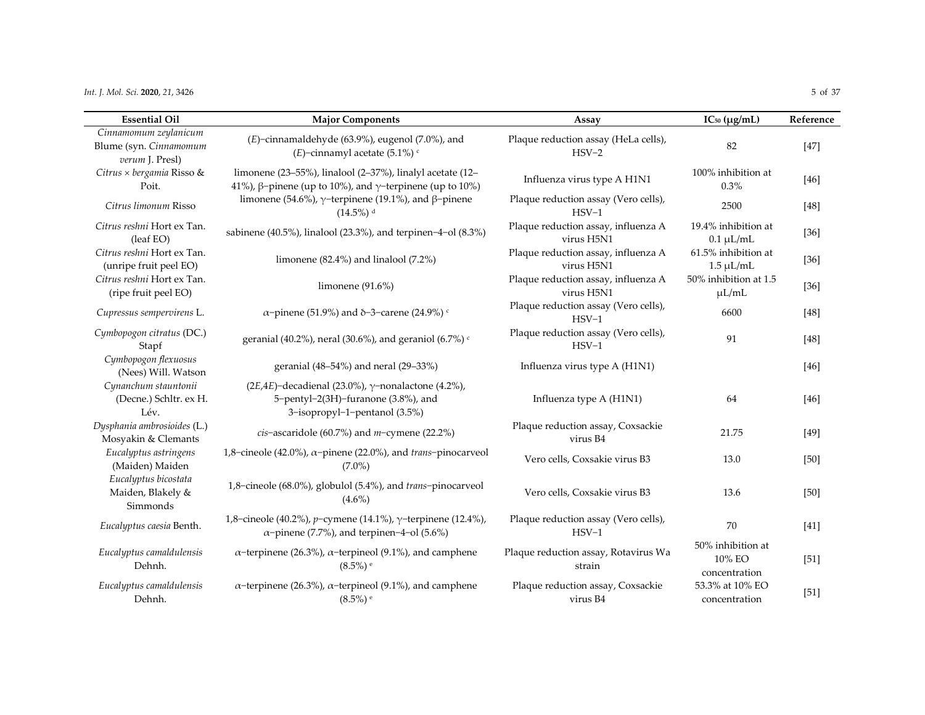## *Int. J. Mol. Sci.* 2020, 21, 3426 5 of 37

| <b>Essential Oil</b>                                               | <b>Major Components</b>                                                                                                           | Assay                                             | $IC_{50} (\mu g/mL)$                         | Reference |
|--------------------------------------------------------------------|-----------------------------------------------------------------------------------------------------------------------------------|---------------------------------------------------|----------------------------------------------|-----------|
| Cinnamomum zeylanicum<br>Blume (syn. Cinnamomum<br>verum J. Presl) | $(E)$ -cinnamaldehyde (63.9%), eugenol (7.0%), and<br>(E)-cinnamyl acetate (5.1%) $\cdot$                                         | Plaque reduction assay (HeLa cells),<br>$HSV-2$   | 82                                           | $[47]$    |
| Citrus × bergamia Risso &<br>Poit.                                 | limonene (23-55%), linalool (2-37%), linalyl acetate (12-<br>41%), β-pinene (up to 10%), and $\gamma$ -terpinene (up to 10%)      | Influenza virus type A H1N1                       | 100% inhibition at<br>0.3%                   | $[46]$    |
| Citrus limonum Risso                                               | limonene (54.6%), $\gamma$ -terpinene (19.1%), and $\beta$ -pinene<br>$(14.5\%)$ <sup>d</sup>                                     | Plaque reduction assay (Vero cells),<br>$HSV-1$   | 2500                                         | $[48]$    |
| Citrus reshni Hort ex Tan.<br>(leaf EO)                            | sabinene (40.5%), linalool (23.3%), and terpinen-4-ol (8.3%)                                                                      | Plaque reduction assay, influenza A<br>virus H5N1 | 19.4% inhibition at<br>$0.1 \mu L/mL$        | $[36]$    |
| Citrus reshni Hort ex Tan.<br>(unripe fruit peel EO)               | limonene $(82.4\%)$ and linalool $(7.2\%)$                                                                                        | Plaque reduction assay, influenza A<br>virus H5N1 | 61.5% inhibition at<br>$1.5 \mu L/mL$        | $[36]$    |
| Citrus reshni Hort ex Tan.<br>(ripe fruit peel EO)                 | limonene $(91.6\%)$                                                                                                               | Plaque reduction assay, influenza A<br>virus H5N1 | 50% inhibition at 1.5<br>$\mu L/mL$          | $[36]$    |
| Cupressus sempervirens L.                                          | α-pinene (51.9%) and δ-3-carene (24.9%) <sup>c</sup>                                                                              | Plaque reduction assay (Vero cells),<br>$HSV-1$   | 6600                                         | $[48]$    |
| Cymbopogon citratus (DC.)<br>Stapf                                 | geranial (40.2%), neral (30.6%), and geraniol (6.7%) $\circ$                                                                      | Plaque reduction assay (Vero cells),<br>$HSV-1$   | 91                                           | $[48]$    |
| Cymbopogon flexuosus<br>(Nees) Will. Watson                        | geranial (48–54%) and neral (29–33%)                                                                                              | Influenza virus type A (H1N1)                     |                                              | $[46]$    |
| Cynanchum stauntonii<br>(Decne.) Schltr. ex H.<br>Lév.             | (2E,4E)-decadienal (23.0%), $\gamma$ -nonalactone (4.2%),<br>5-pentyl-2(3H)-furanone (3.8%), and<br>3-isopropyl-1-pentanol (3.5%) | Influenza type A (H1N1)                           | 64                                           | $[46]$    |
| Dysphania ambrosioides (L.)<br>Mosyakin & Clemants                 | $cis$ -ascaridole (60.7%) and $m$ -cymene (22.2%)                                                                                 | Plaque reduction assay, Coxsackie<br>virus B4     | 21.75                                        | $[49]$    |
| Eucalyptus astringens<br>(Maiden) Maiden                           | 1,8-cineole (42.0%), $\alpha$ -pinene (22.0%), and trans-pinocarveol<br>$(7.0\%)$                                                 | Vero cells, Coxsakie virus B3                     | 13.0                                         | $[50]$    |
| Eucalyptus bicostata<br>Maiden, Blakely &<br>Simmonds              | 1,8-cineole (68.0%), globulol (5.4%), and trans-pinocarveol<br>$(4.6\%)$                                                          | Vero cells, Coxsakie virus B3                     | 13.6                                         | $[50]$    |
| Eucalyptus caesia Benth.                                           | 1,8-cineole (40.2%), p-cymene (14.1%), $\gamma$ -terpinene (12.4%),<br>$\alpha$ -pinene (7.7%), and terpinen-4-ol (5.6%)          | Plaque reduction assay (Vero cells),<br>$HSV-1$   | 70                                           | $[41]$    |
| Eucalyptus camaldulensis<br>Dehnh.                                 | $\alpha$ -terpinene (26.3%), $\alpha$ -terpineol (9.1%), and camphene<br>$(8.5\%)$ <sup>e</sup>                                   | Plaque reduction assay, Rotavirus Wa<br>strain    | 50% inhibition at<br>10% EO<br>concentration | $[51]$    |
| Eucalyptus camaldulensis<br>Dehnh.                                 | $\alpha$ -terpinene (26.3%), $\alpha$ -terpineol (9.1%), and camphene<br>$(8.5\%)$ <sup>e</sup>                                   | Plaque reduction assay, Coxsackie<br>virus B4     | 53.3% at 10% EO<br>concentration             | $[51]$    |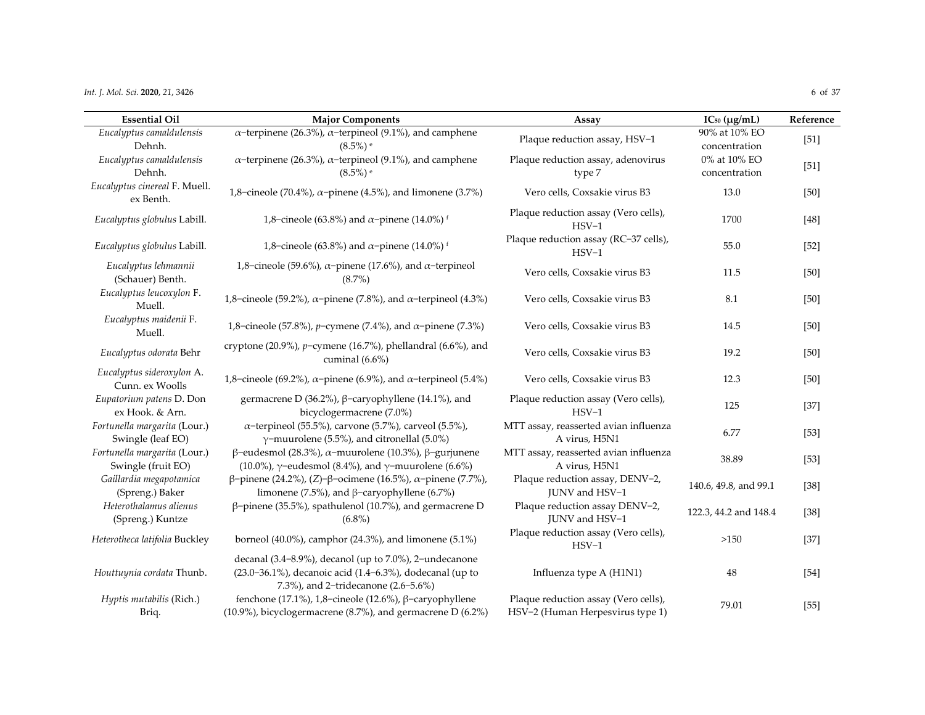| <b>Essential Oil</b>                               | <b>Major Components</b>                                                                                                                                       | Assay                                                                    | $IC_{50} (\mu g/mL)$           | Reference |
|----------------------------------------------------|---------------------------------------------------------------------------------------------------------------------------------------------------------------|--------------------------------------------------------------------------|--------------------------------|-----------|
| Eucalyptus camaldulensis<br>Dehnh.                 | $\alpha$ -terpinene (26.3%), $\alpha$ -terpineol (9.1%), and camphene<br>$(8.5\%)$ <sup>e</sup>                                                               | Plaque reduction assay, HSV-1                                            | 90% at 10% EO<br>concentration | $[51]$    |
| Eucalyptus camaldulensis<br>Dehnh.                 | $\alpha$ -terpinene (26.3%), $\alpha$ -terpineol (9.1%), and camphene<br>$(8.5\%)$ <sup>e</sup>                                                               | Plaque reduction assay, adenovirus<br>type 7                             | 0% at 10% EO<br>concentration  | $[51]$    |
| Eucalyptus cinereal F. Muell.<br>ex Benth.         | 1,8-cineole (70.4%), α-pinene (4.5%), and limonene (3.7%)                                                                                                     | Vero cells, Coxsakie virus B3                                            | 13.0                           | $[50]$    |
| Eucalyptus globulus Labill.                        | 1,8-cineole (63.8%) and α-pinene (14.0%) <sup>f</sup>                                                                                                         | Plaque reduction assay (Vero cells),<br>$HSV-1$                          | 1700                           | $[48]$    |
| Eucalyptus globulus Labill.                        | 1,8-cineole (63.8%) and α-pinene (14.0%) $f$                                                                                                                  | Plaque reduction assay (RC-37 cells),<br>$HSV-1$                         | 55.0                           | $[52]$    |
| Eucalyptus lehmannii<br>(Schauer) Benth.           | 1,8-cineole (59.6%), $\alpha$ -pinene (17.6%), and $\alpha$ -terpineol<br>$(8.7\%)$                                                                           | Vero cells, Coxsakie virus B3                                            | 11.5                           | $[50]$    |
| Eucalyptus leucoxylon F.<br>Muell.                 | 1,8-cineole (59.2%), $\alpha$ -pinene (7.8%), and $\alpha$ -terpineol (4.3%)                                                                                  | Vero cells, Coxsakie virus B3                                            | 8.1                            | $[50]$    |
| Eucalyptus maidenii F.<br>Muell.                   | 1,8-cineole (57.8%), <i>p</i> -cymene (7.4%), and α-pinene (7.3%)                                                                                             | Vero cells, Coxsakie virus B3                                            | 14.5                           | $[50]$    |
| Eucalyptus odorata Behr                            | cryptone (20.9%), p-cymene (16.7%), phellandral (6.6%), and<br>cuminal $(6.6\%)$                                                                              | Vero cells, Coxsakie virus B3                                            | 19.2                           | $[50]$    |
| Eucalyptus sideroxylon A.<br>Cunn. ex Woolls       | 1,8-cineole (69.2%), $\alpha$ -pinene (6.9%), and $\alpha$ -terpineol (5.4%)                                                                                  | Vero cells, Coxsakie virus B3                                            | 12.3                           | $[50]$    |
| Eupatorium patens D. Don<br>ex Hook. & Arn.        | germacrene D (36.2%), β-caryophyllene (14.1%), and<br>bicyclogermacrene (7.0%)                                                                                | Plaque reduction assay (Vero cells),<br>$HSV-1$                          | 125                            | $[37]$    |
| Fortunella margarita (Lour.)<br>Swingle (leaf EO)  | $\alpha$ -terpineol (55.5%), carvone (5.7%), carveol (5.5%),<br>$\gamma$ -muurolene (5.5%), and citronellal (5.0%)                                            | MTT assay, reasserted avian influenza<br>A virus, H5N1                   | 6.77                           | $[53]$    |
| Fortunella margarita (Lour.)<br>Swingle (fruit EO) | $β$ -eudesmol (28.3%), α-muurolene (10.3%), $β$ -gurjunene<br>(10.0%), $\gamma$ -eudesmol (8.4%), and $\gamma$ -muurolene (6.6%)                              | MTT assay, reasserted avian influenza<br>A virus, H5N1                   | 38.89                          | $[53]$    |
| Gaillardia megapotamica<br>(Spreng.) Baker         | $β$ -pinene (24.2%), (Z)-β-ocimene (16.5%), α-pinene (7.7%),<br>limonene (7.5%), and $\beta$ -caryophyllene (6.7%)                                            | Plaque reduction assay, DENV-2,<br>JUNV and HSV-1                        | 140.6, 49.8, and 99.1          | $[38]$    |
| Heterothalamus alienus<br>(Spreng.) Kuntze         | $\beta$ -pinene (35.5%), spathulenol (10.7%), and germacrene D<br>$(6.8\%)$                                                                                   | Plaque reduction assay DENV-2,<br>JUNV and HSV-1                         | 122.3, 44.2 and 148.4          | $[38]$    |
| Heterotheca latifolia Buckley                      | borneol (40.0%), camphor (24.3%), and limonene (5.1%)                                                                                                         | Plaque reduction assay (Vero cells),<br>$HSV-1$                          | >150                           | $[37]$    |
| Houttuynia cordata Thunb.                          | decanal $(3.4-8.9\%)$ , decanol (up to 7.0%), 2-undecanone<br>(23.0-36.1%), decanoic acid (1.4-6.3%), dodecanal (up to<br>7.3%), and 2-tridecanone (2.6-5.6%) | Influenza type A (H1N1)                                                  | 48                             | $[54]$    |
| Hyptis mutabilis (Rich.)<br>Briq.                  | fenchone (17.1%), 1,8-cineole (12.6%), β-caryophyllene<br>(10.9%), bicyclogermacrene (8.7%), and germacrene D (6.2%)                                          | Plaque reduction assay (Vero cells),<br>HSV-2 (Human Herpesvirus type 1) | 79.01                          | $[55]$    |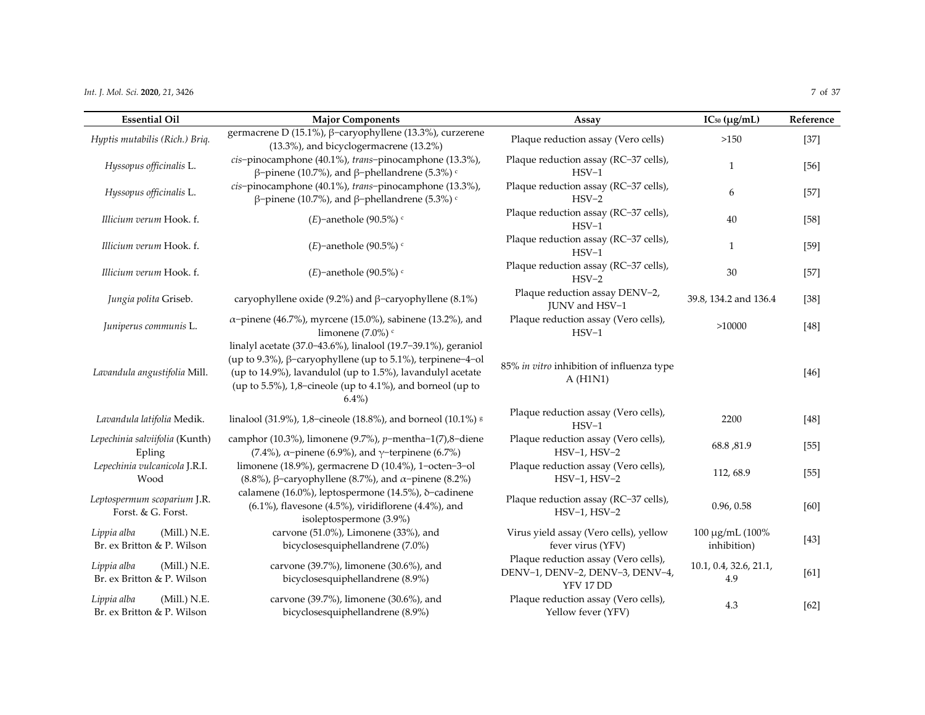### *Int. J. Mol. Sci.* 2020, 21, 3426 7 of 37

| <b>Essential Oil</b>                                        | <b>Major Components</b>                                                                                                                                                                                                                                                           | Assay                                                                                | $IC_{50} (\mu g/mL)$           | Reference |
|-------------------------------------------------------------|-----------------------------------------------------------------------------------------------------------------------------------------------------------------------------------------------------------------------------------------------------------------------------------|--------------------------------------------------------------------------------------|--------------------------------|-----------|
| Hyptis mutabilis (Rich.) Briq.                              | germacrene D (15.1%), β-caryophyllene (13.3%), curzerene<br>(13.3%), and bicyclogermacrene (13.2%)                                                                                                                                                                                | Plaque reduction assay (Vero cells)                                                  | >150                           | $[37]$    |
| Hyssopus officinalis L.                                     | cis-pinocamphone (40.1%), trans-pinocamphone (13.3%),<br>Plaque reduction assay (RC-37 cells),<br>$\beta$ -pinene (10.7%), and β-phellandrene (5.3%) <sup>c</sup><br>$HSV-1$                                                                                                      |                                                                                      | $\mathbf{1}$                   | $[56]$    |
| Hyssopus officinalis L.                                     | cis-pinocamphone (40.1%), trans-pinocamphone (13.3%),<br>Plaque reduction assay (RC-37 cells),<br>$\beta$ -pinene (10.7%), and β-phellandrene (5.3%) <sup>c</sup><br>$HSV-2$                                                                                                      |                                                                                      | 6                              | $[57]$    |
| Illicium verum Hook. f.                                     | $(E)$ -anethole (90.5%) <sup>c</sup>                                                                                                                                                                                                                                              | Plaque reduction assay (RC-37 cells),<br>$HSV-1$                                     | 40                             | $[58]$    |
| Illicium verum Hook. f.                                     | $(E)$ -anethole (90.5%) <sup>c</sup>                                                                                                                                                                                                                                              | Plaque reduction assay (RC-37 cells),<br>$HSV-1$                                     | $\mathbf{1}$                   | $[59]$    |
| Illicium verum Hook. f.                                     | $(E)$ -anethole (90.5%) <sup>c</sup>                                                                                                                                                                                                                                              | Plaque reduction assay (RC-37 cells),<br>$HSV-2$                                     | 30                             | $[57]$    |
| Jungia polita Griseb.                                       | Plaque reduction assay DENV-2,<br>caryophyllene oxide (9.2%) and $\beta$ -caryophyllene (8.1%)<br>JUNV and HSV-1                                                                                                                                                                  |                                                                                      | 39.8, 134.2 and 136.4          | $[38]$    |
| Juniperus communis L.                                       | $\alpha$ -pinene (46.7%), myrcene (15.0%), sabinene (13.2%), and<br>limonene $(7.0\%)$ <sup>c</sup>                                                                                                                                                                               | Plaque reduction assay (Vero cells),<br>$HSV-1$                                      | >10000                         | $[48]$    |
| Lavandula angustifolia Mill.                                | linalyl acetate (37.0-43.6%), linalool (19.7-39.1%), geraniol<br>(up to 9.3%), $\beta$ -caryophyllene (up to 5.1%), terpinene-4-ol<br>(up to 14.9%), lavandulol (up to 1.5%), lavandulyl acetate<br>(up to $5.5\%$ ), 1,8-cineole (up to $4.1\%$ ), and borneol (up to<br>$6.4\%$ | 85% in vitro inhibition of influenza type<br>A(H1N1)                                 |                                | $[46]$    |
| Lavandula latifolia Medik.                                  | linalool (31.9%), 1,8-cineole (18.8%), and borneol (10.1%) 8                                                                                                                                                                                                                      | Plaque reduction assay (Vero cells),<br>$HSV-1$                                      | 2200                           | $[48]$    |
| Lepechinia salviifolia (Kunth)<br>Epling                    | camphor (10.3%), limonene (9.7%), p-mentha-1(7),8-diene<br>(7.4%), $\alpha$ -pinene (6.9%), and $\gamma$ -terpinene (6.7%)                                                                                                                                                        | Plaque reduction assay (Vero cells),<br>$HSV-1$ , $HSV-2$                            | 68.8, 81.9                     | $[55]$    |
| Lepechinia vulcanicola J.R.I.<br>Wood                       | limonene (18.9%), germacrene D (10.4%), 1-octen-3-ol<br>(8.8%), $\beta$ -caryophyllene (8.7%), and $\alpha$ -pinene (8.2%)                                                                                                                                                        | Plaque reduction assay (Vero cells),<br>$HSV-1$ , $HSV-2$                            | 112, 68.9                      | $[55]$    |
| Leptospermum scoparium J.R.<br>Forst. & G. Forst.           | calamene (16.0%), leptospermone (14.5%), δ-cadinene<br>$(6.1\%)$ , flavesone $(4.5\%)$ , viridiflorene $(4.4\%)$ , and<br>isoleptospermone (3.9%)                                                                                                                                 | Plaque reduction assay (RC-37 cells),<br>$HSV-1$ , $HSV-2$                           | 0.96, 0.58                     | [60]      |
| Lippia alba<br>$(Mill.)$ N.E.<br>Br. ex Britton & P. Wilson | carvone (51.0%), Limonene (33%), and<br>bicyclosesquiphellandrene (7.0%)                                                                                                                                                                                                          | Virus yield assay (Vero cells), yellow<br>fever virus (YFV)                          | 100 μg/mL (100%<br>inhibition) | $[43]$    |
| $(Mill.)$ N.E.<br>Lippia alba<br>Br. ex Britton & P. Wilson | carvone (39.7%), limonene (30.6%), and<br>bicyclosesquiphellandrene (8.9%)                                                                                                                                                                                                        | Plaque reduction assay (Vero cells),<br>DENV-1, DENV-2, DENV-3, DENV-4,<br>YFV 17 DD | 10.1, 0.4, 32.6, 21.1,<br>4.9  | [61]      |
| $(Mill.)$ N.E.<br>Lippia alba<br>Br. ex Britton & P. Wilson | carvone (39.7%), limonene (30.6%), and<br>bicyclosesquiphellandrene (8.9%)                                                                                                                                                                                                        | Plaque reduction assay (Vero cells),<br>Yellow fever (YFV)                           | 4.3                            | $[62]$    |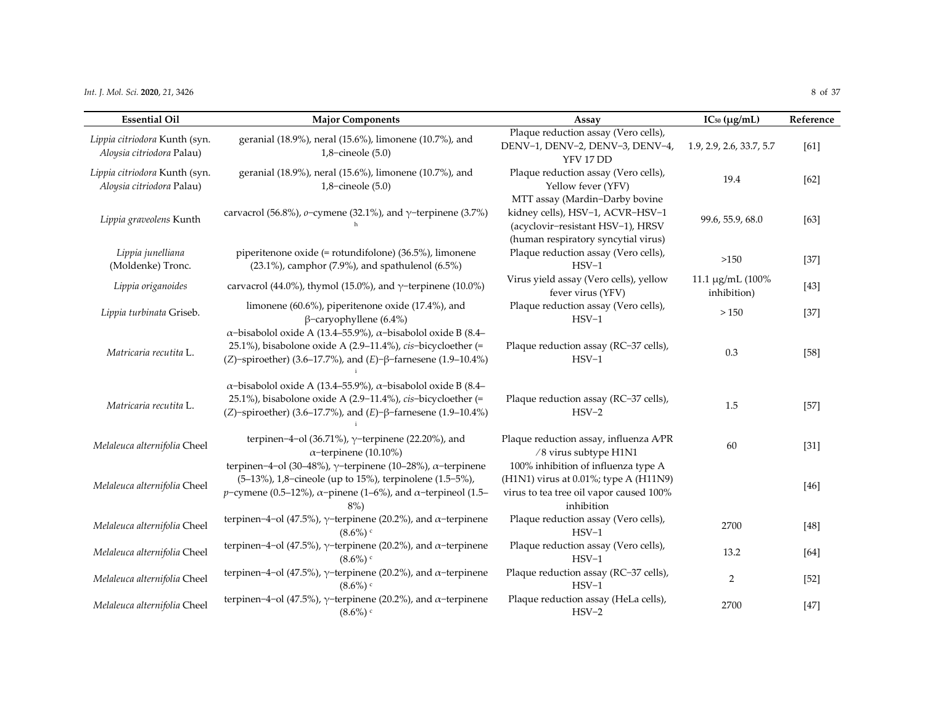## *Int. J. Mol. Sci.* 2020, 21, 3426 8 of 37

| <b>Essential Oil</b>                                       | <b>Major Components</b>                                                                                                                                                                                                                                                                                                                                               | Assay                                                                                | $IC_{50} (\mu g/mL)$                 | Reference |
|------------------------------------------------------------|-----------------------------------------------------------------------------------------------------------------------------------------------------------------------------------------------------------------------------------------------------------------------------------------------------------------------------------------------------------------------|--------------------------------------------------------------------------------------|--------------------------------------|-----------|
| Lippia citriodora Kunth (syn.<br>Aloysia citriodora Palau) | geranial (18.9%), neral (15.6%), limonene (10.7%), and<br>$1,8$ -cineole $(5.0)$                                                                                                                                                                                                                                                                                      | Plaque reduction assay (Vero cells),<br>DENV-1, DENV-2, DENV-3, DENV-4,<br>YFV 17 DD |                                      | [61]      |
| Lippia citriodora Kunth (syn.<br>Aloysia citriodora Palau) | Plaque reduction assay (Vero cells),<br>geranial (18.9%), neral (15.6%), limonene (10.7%), and<br>Yellow fever (YFV)<br>$1,8$ -cineole $(5.0)$                                                                                                                                                                                                                        |                                                                                      | 19.4                                 | $[62]$    |
| Lippia graveolens Kunth                                    | MTT assay (Mardin-Darby bovine<br>kidney cells), HSV-1, ACVR-HSV-1<br>carvacrol (56.8%), $o$ -cymene (32.1%), and $\gamma$ -terpinene (3.7%)<br>(acyclovir-resistant HSV-1), HRSV<br>(human respiratory syncytial virus)                                                                                                                                              |                                                                                      | 99.6, 55.9, 68.0                     | $[63]$    |
| Lippia junelliana<br>(Moldenke) Tronc.                     | Plaque reduction assay (Vero cells),<br>piperitenone oxide (= rotundifolone) (36.5%), limonene<br>$(23.1\%)$ , camphor $(7.9\%)$ , and spathulenol $(6.5\%)$<br>$HSV-1$                                                                                                                                                                                               |                                                                                      | >150                                 | $[37]$    |
| Lippia origanoides                                         | Virus yield assay (Vero cells), yellow<br>carvacrol (44.0%), thymol (15.0%), and $\gamma$ -terpinene (10.0%)<br>fever virus (YFV)                                                                                                                                                                                                                                     |                                                                                      | 11.1 $\mu$ g/mL (100%<br>inhibition) | $[43]$    |
| Lippia turbinata Griseb.                                   | Plaque reduction assay (Vero cells),<br>limonene $(60.6\%)$ , piperitenone oxide $(17.4\%)$ , and<br>$\beta$ -caryophyllene (6.4%)<br>$HSV-1$                                                                                                                                                                                                                         |                                                                                      | $>150$                               | $[37]$    |
| Matricaria recutita L.                                     | $\alpha$ -bisabolol oxide A (13.4–55.9%), $\alpha$ -bisabolol oxide B (8.4–<br>25.1%), bisabolone oxide A (2.9-11.4%), cis-bicycloether (=<br>Plaque reduction assay (RC-37 cells),<br>(Z)-spiroether) (3.6–17.7%), and (E)- $\beta$ -farnesene (1.9–10.4%)<br>$HSV-1$                                                                                                |                                                                                      | 0.3                                  | $[58]$    |
| Matricaria recutita L.                                     | $\alpha$ -bisabolol oxide A (13.4–55.9%), $\alpha$ -bisabolol oxide B (8.4–<br>25.1%), bisabolone oxide A (2.9-11.4%), cis-bicycloether (=<br>Plaque reduction assay (RC-37 cells),<br>(Z)-spiroether) (3.6–17.7%), and (E)- $\beta$ -farnesene (1.9–10.4%)                                                                                                           |                                                                                      | 1.5                                  | $[57]$    |
| Melaleuca alternifolia Cheel                               | terpinen-4-ol (36.71%), $\gamma$ -terpinene (22.20%), and<br>$\alpha$ -terpinene (10.10%)                                                                                                                                                                                                                                                                             | Plaque reduction assay, influenza APR<br>/8 virus subtype H1N1                       | 60                                   | $[31]$    |
| Melaleuca alternifolia Cheel                               | terpinen-4-ol (30-48%), $\gamma$ -terpinene (10-28%), $\alpha$ -terpinene<br>100% inhibition of influenza type A<br>(5-13%), 1,8-cineole (up to 15%), terpinolene (1.5-5%),<br>(H1N1) virus at 0.01%; type A (H11N9)<br>virus to tea tree oil vapor caused 100%<br>p-cymene (0.5–12%), $\alpha$ -pinene (1–6%), and $\alpha$ -terpineol (1.5–<br>inhibition<br>$8\%)$ |                                                                                      |                                      | $[46]$    |
| Melaleuca alternifolia Cheel                               | terpinen-4-ol (47.5%), $\gamma$ -terpinene (20.2%), and $\alpha$ -terpinene<br>$(8.6\%)$                                                                                                                                                                                                                                                                              | Plaque reduction assay (Vero cells),<br>$HSV-1$                                      | 2700                                 | $[48]$    |
| Melaleuca alternifolia Cheel                               | terpinen-4-ol (47.5%), $\gamma$ -terpinene (20.2%), and $\alpha$ -terpinene<br>$(8.6\%)$ c                                                                                                                                                                                                                                                                            | Plaque reduction assay (Vero cells),<br>$HSV-1$                                      | 13.2                                 | [64]      |
| Melaleuca alternifolia Cheel                               | terpinen-4-ol (47.5%), $\gamma$ -terpinene (20.2%), and $\alpha$ -terpinene<br>$(8.6\%)$                                                                                                                                                                                                                                                                              | Plaque reduction assay (RC-37 cells),<br>$HSV-1$                                     | 2                                    | $[52]$    |
| Melaleuca alternifolia Cheel                               | terpinen-4-ol (47.5%), $\gamma$ -terpinene (20.2%), and $\alpha$ -terpinene<br>$(8.6\%)$ c                                                                                                                                                                                                                                                                            | Plaque reduction assay (HeLa cells),<br>$HSV-2$                                      | 2700                                 | $[47]$    |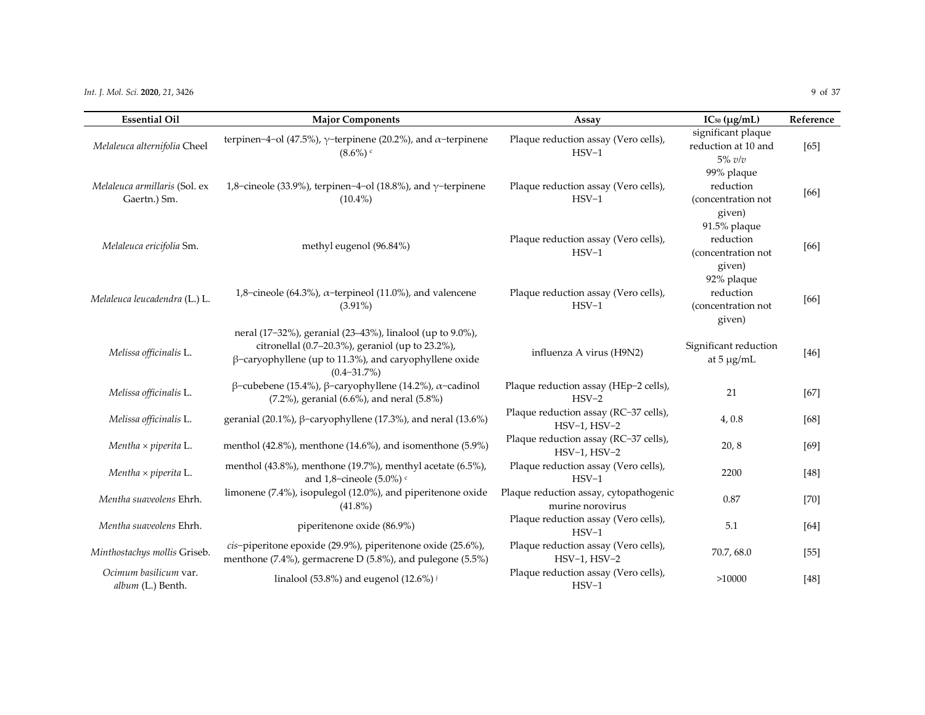| <b>Essential Oil</b>                          | <b>Major Components</b>                                                                                                                                                                                                       | Assay                                                                                        | $IC_{50} (\mu g/mL)$                                      | Reference |  |
|-----------------------------------------------|-------------------------------------------------------------------------------------------------------------------------------------------------------------------------------------------------------------------------------|----------------------------------------------------------------------------------------------|-----------------------------------------------------------|-----------|--|
| Melaleuca alternifolia Cheel                  | terpinen-4-ol (47.5%), $\gamma$ -terpinene (20.2%), and $\alpha$ -terpinene<br>$(8.6\%)$                                                                                                                                      | significant plaque<br>Plaque reduction assay (Vero cells),<br>reduction at 10 and<br>$HSV-1$ |                                                           | $[65]$    |  |
| Melaleuca armillaris (Sol. ex<br>Gaertn.) Sm. | 1,8-cineole (33.9%), terpinen-4-ol (18.8%), and $\gamma$ -terpinene<br>$(10.4\%)$                                                                                                                                             | Plaque reduction assay (Vero cells),<br>$HSV-1$                                              | 99% plaque<br>reduction<br>(concentration not<br>given)   | $[66]$    |  |
| Melaleuca ericifolia Sm.                      | Plaque reduction assay (Vero cells),<br>methyl eugenol (96.84%)<br>$HSV-1$                                                                                                                                                    |                                                                                              | 91.5% plaque<br>reduction<br>(concentration not<br>given) | $[66]$    |  |
| Melaleuca leucadendra (L.) L.                 | Plaque reduction assay (Vero cells),<br>1,8-cineole (64.3%), $\alpha$ -terpineol (11.0%), and valencene<br>$HSV-1$<br>$(3.91\%)$                                                                                              |                                                                                              | 92% plaque<br>reduction<br>(concentration not<br>given)   | [66]      |  |
| Melissa officinalis L.                        | neral (17-32%), geranial (23-43%), linalool (up to 9.0%),<br>citronellal (0.7-20.3%), geraniol (up to 23.2%),<br>influenza A virus (H9N2)<br>$\beta$ -caryophyllene (up to 11.3%), and caryophyllene oxide<br>$(0.4 - 31.7%)$ |                                                                                              | Significant reduction<br>at $5 \mu g/mL$                  | $[46]$    |  |
| Melissa officinalis L.                        | $\beta$ -cubebene (15.4%), β-caryophyllene (14.2%), α-cadinol<br>Plaque reduction assay (HEp-2 cells),<br>$(7.2\%)$ , geranial $(6.6\%)$ , and neral $(5.8\%)$<br>$HSV-2$                                                     |                                                                                              | 21                                                        | $[67]$    |  |
| Melissa officinalis L.                        | geranial (20.1%), $\beta$ -caryophyllene (17.3%), and neral (13.6%)                                                                                                                                                           | Plaque reduction assay (RC-37 cells),<br>$HSV-1$ , $HSV-2$                                   | 4,0.8                                                     | $[68]$    |  |
| Mentha $\times$ piperita L.                   | menthol $(42.8\%)$ , menthone $(14.6\%)$ , and isomenthone $(5.9\%)$                                                                                                                                                          | Plaque reduction assay (RC-37 cells),<br>$HSV-1$ , $HSV-2$                                   | 20, 8                                                     | $[69]$    |  |
| Mentha $\times$ piperita L.                   | menthol (43.8%), menthone (19.7%), menthyl acetate (6.5%),<br>and 1,8-cineole (5.0%) $\textdegree$                                                                                                                            | Plaque reduction assay (Vero cells),<br>$HSV-1$                                              | 2200                                                      | $[48]$    |  |
| Mentha suaveolens Ehrh.                       | limonene (7.4%), isopulegol (12.0%), and piperitenone oxide<br>$(41.8\%)$                                                                                                                                                     | Plaque reduction assay, cytopathogenic<br>murine norovirus                                   | 0.87                                                      | $[70]$    |  |
| Mentha suaveolens Ehrh.                       | piperitenone oxide (86.9%)                                                                                                                                                                                                    | Plaque reduction assay (Vero cells),<br>$HSV-1$                                              | 5.1                                                       | $[64]$    |  |
| Minthostachys mollis Griseb.                  | cis-piperitone epoxide (29.9%), piperitenone oxide (25.6%),<br>menthone (7.4%), germacrene D (5.8%), and pulegone (5.5%)                                                                                                      | Plaque reduction assay (Vero cells),<br>$HSV-1$ , $HSV-2$                                    | 70.7, 68.0                                                | $[55]$    |  |
| Ocimum basilicum var.<br>$11$ (I) $D$ and $L$ | linalool (53.8%) and eugenol (12.6%) i                                                                                                                                                                                        | Plaque reduction assay (Vero cells),<br>$TTCVI$ 1                                            | >10000                                                    | $[48]$    |  |

*album basucum* var.<br>
album (L.) Benth. linalool (53.8%) and eugenol (12.6%) j Plaque reduction assay (L.) Benth.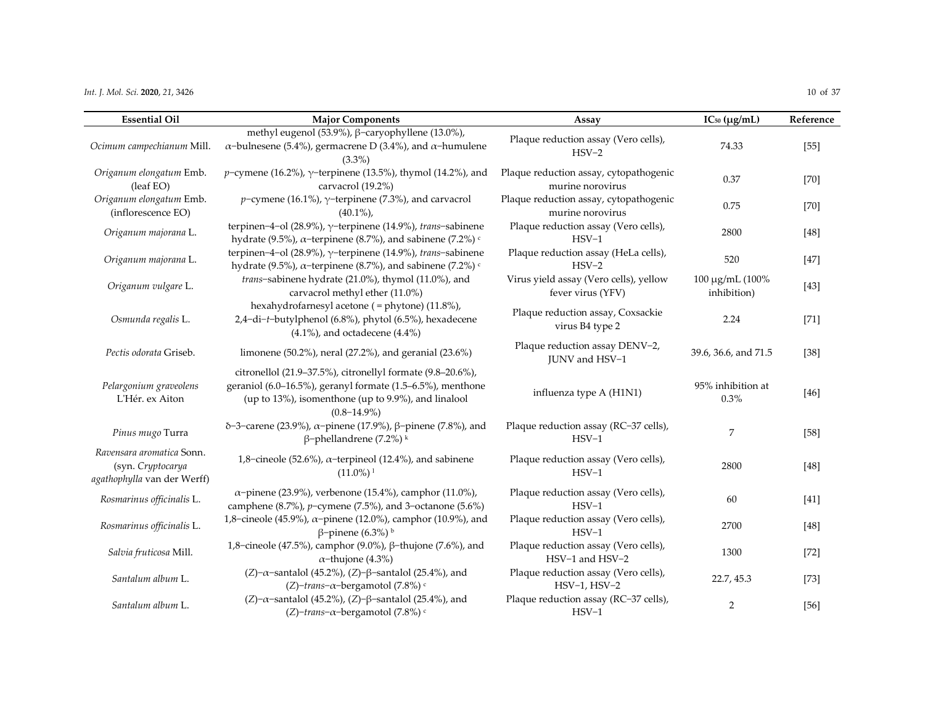# *Int. J. Mol. Sci.* 2020, 21, 3426 10 of 37

| <b>Essential Oil</b>                                                          | <b>Major Components</b>                                                                                                                                                                                                        | Assay                                                       | $IC_{50} (\mu g/mL)$           | Reference |
|-------------------------------------------------------------------------------|--------------------------------------------------------------------------------------------------------------------------------------------------------------------------------------------------------------------------------|-------------------------------------------------------------|--------------------------------|-----------|
| Ocimum campechianum Mill.                                                     | methyl eugenol (53.9%), β-caryophyllene (13.0%),<br>$\alpha$ -bulnesene (5.4%), germacrene D (3.4%), and $\alpha$ -humulene<br>$(3.3\%)$                                                                                       | Plaque reduction assay (Vero cells),<br>$HSV-2$             | 74.33                          | $[55]$    |
| Origanum elongatum Emb.<br>(leaf EO)                                          | p-cymene (16.2%), $\gamma$ -terpinene (13.5%), thymol (14.2%), and<br>carvacrol (19.2%)                                                                                                                                        | Plaque reduction assay, cytopathogenic<br>murine norovirus  | 0.37                           | $[70]$    |
| Origanum elongatum Emb.<br>(inflorescence EO)                                 | p-cymene (16.1%), $\gamma$ -terpinene (7.3%), and carvacrol<br>$(40.1\%)$                                                                                                                                                      | Plaque reduction assay, cytopathogenic<br>murine norovirus  | 0.75                           | $[70]$    |
| Origanum majorana L.                                                          | terpinen-4-ol (28.9%), γ-terpinene (14.9%), trans-sabinene<br>hydrate (9.5%), $\alpha$ -terpinene (8.7%), and sabinene (7.2%) <sup>c</sup>                                                                                     | Plaque reduction assay (Vero cells),<br>$HSV-1$             | 2800                           | $[48]$    |
| Origanum majorana L.                                                          | terpinen-4-ol (28.9%), γ-terpinene (14.9%), trans-sabinene<br>hydrate (9.5%), $\alpha$ -terpinene (8.7%), and sabinene (7.2%) <sup>c</sup>                                                                                     | Plaque reduction assay (HeLa cells),<br>$HSV-2$             | 520                            | $[47]$    |
| Origanum vulgare L.                                                           | trans-sabinene hydrate (21.0%), thymol (11.0%), and<br>carvacrol methyl ether (11.0%)                                                                                                                                          | Virus yield assay (Vero cells), yellow<br>fever virus (YFV) | 100 μg/mL (100%<br>inhibition) | $[43]$    |
| Osmunda regalis L.                                                            | hexahydrofarnesyl acetone ( = phytone) (11.8%),<br>2,4-di-t-butylphenol (6.8%), phytol (6.5%), hexadecene<br>$(4.1\%)$ , and octadecene $(4.4\%)$                                                                              | Plaque reduction assay, Coxsackie<br>virus B4 type 2        | 2.24                           | $[71]$    |
| Pectis odorata Griseb.                                                        | limonene (50.2%), neral (27.2%), and geranial (23.6%)                                                                                                                                                                          | Plaque reduction assay DENV-2,<br>JUNV and HSV-1            | 39.6, 36.6, and 71.5           | $[38]$    |
| Pelargonium graveolens<br>L'Hér. ex Aiton                                     | citronellol (21.9-37.5%), citronellyl formate (9.8-20.6%),<br>geraniol (6.0-16.5%), geranyl formate (1.5-6.5%), menthone<br>influenza type A (H1N1)<br>(up to 13%), isomenthone (up to 9.9%), and linalool<br>$(0.8 - 14.9\%)$ |                                                             | 95% inhibition at<br>0.3%      | $[46]$    |
| Pinus mugo Turra                                                              | δ-3-carene (23.9%), α-pinene (17.9%), β-pinene (7.8%), and<br>$β$ -phellandrene (7.2%) <sup>k</sup>                                                                                                                            | Plaque reduction assay (RC-37 cells),<br>$HSV-1$            | $\overline{7}$                 | $[58]$    |
| Ravensara aromatica Sonn.<br>(syn. Cryptocarya<br>agathophylla van der Werff) | 1,8-cineole (52.6%), $\alpha$ -terpineol (12.4%), and sabinene<br>$(11.0\%)$ <sup>1</sup>                                                                                                                                      | Plaque reduction assay (Vero cells),<br>$HSV-1$             | 2800                           | $[48]$    |
| Rosmarinus officinalis L.                                                     | $\alpha$ -pinene (23.9%), verbenone (15.4%), camphor (11.0%),<br>camphene (8.7%), $p$ -cymene (7.5%), and 3-octanone (5.6%)                                                                                                    | Plaque reduction assay (Vero cells),<br>$HSV-1$             | 60                             | $[41]$    |
| Rosmarinus officinalis L.                                                     | 1,8-cineole (45.9%), α-pinene (12.0%), camphor (10.9%), and<br>$\beta$ -pinene (6.3%) b                                                                                                                                        | Plaque reduction assay (Vero cells),<br>$HSV-1$             | 2700                           | $[48]$    |
| Salvia fruticosa Mill.                                                        | 1,8-cineole (47.5%), camphor (9.0%), β-thujone (7.6%), and<br>$\alpha$ -thujone (4.3%)                                                                                                                                         | Plaque reduction assay (Vero cells),<br>HSV-1 and HSV-2     | 1300                           | $[72]$    |
| Santalum album L.                                                             | (Z)-α-santalol (45.2%), (Z)-β-santalol (25.4%), and<br>(Z)-trans- $\alpha$ -bergamotol (7.8%) $\circ$                                                                                                                          | Plaque reduction assay (Vero cells),<br>$HSV-1$ , $HSV-2$   | 22.7, 45.3                     | $[73]$    |
| Santalum album L.                                                             | (Z)-α-santalol (45.2%), (Z)-β-santalol (25.4%), and<br>(Z)-trans- $\alpha$ -bergamotol (7.8%) $\circ$                                                                                                                          | Plaque reduction assay (RC-37 cells),<br>$HSV-1$            | $\overline{2}$                 | $[56]$    |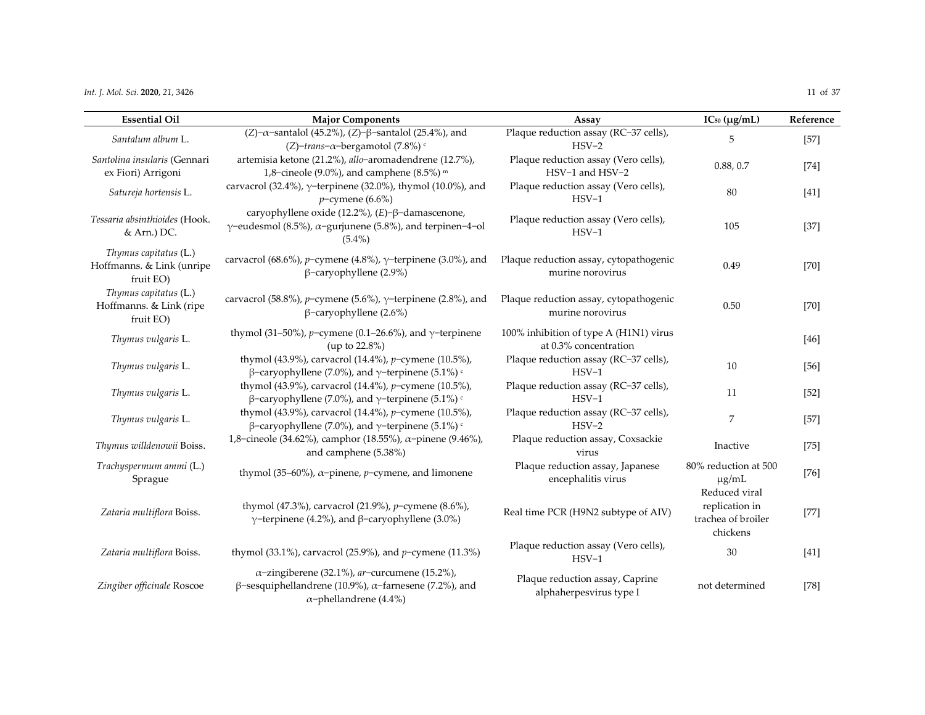#### *Int. J. Mol. Sci.* 2020, 21, 3426 11 of 37

| <b>Essential Oil</b>                                            | <b>Major Components</b>                                                                                                                                       | Assay                                                           | $IC_{50} (\mu g/mL)$                                | Reference |
|-----------------------------------------------------------------|---------------------------------------------------------------------------------------------------------------------------------------------------------------|-----------------------------------------------------------------|-----------------------------------------------------|-----------|
| Santalum album L.                                               | (Z)- $\alpha$ -santalol (45.2%), (Z)- $\beta$ -santalol (25.4%), and<br>(Z)-trans- $\alpha$ -bergamotol (7.8%) $\circ$                                        | Plaque reduction assay (RC-37 cells),<br>$HSV-2$                | 5                                                   | $[57]$    |
| Santolina insularis (Gennari<br>ex Fiori) Arrigoni              | artemisia ketone (21.2%), allo-aromadendrene (12.7%),<br>1,8-cineole (9.0%), and camphene (8.5%) $\text{m}$                                                   | Plaque reduction assay (Vero cells),<br>HSV-1 and HSV-2         | 0.88, 0.7                                           | $[74]$    |
| Satureja hortensis L.                                           | carvacrol (32.4%), $\gamma$ -terpinene (32.0%), thymol (10.0%), and<br>$p$ -cymene (6.6%)                                                                     | Plaque reduction assay (Vero cells),<br>$HSV-1$                 | 80                                                  | $[41]$    |
| Tessaria absinthioides (Hook.<br>& Arn.) DC.                    | caryophyllene oxide (12.2%), (E)-β-damascenone,<br>$\gamma$ -eudesmol (8.5%), $\alpha$ -gurjunene (5.8%), and terpinen-4-ol<br>$(5.4\%)$                      | Plaque reduction assay (Vero cells),<br>$HSV-1$                 | 105                                                 | $[37]$    |
| Thymus capitatus (L.)<br>Hoffmanns. & Link (unripe<br>fruit EO) | carvacrol (68.6%), p-cymene (4.8%), $\gamma$ -terpinene (3.0%), and<br>$\beta$ -caryophyllene (2.9%)                                                          | Plaque reduction assay, cytopathogenic<br>murine norovirus      | 0.49                                                | $[70]$    |
| Thymus capitatus (L.)<br>Hoffmanns. & Link (ripe<br>fruit EO)   | carvacrol (58.8%), p-cymene (5.6%), $\gamma$ -terpinene (2.8%), and<br>$\beta$ -caryophyllene (2.6%)                                                          | Plaque reduction assay, cytopathogenic<br>murine norovirus      | 0.50                                                | $[70]$    |
| Thymus vulgaris L.                                              | thymol (31–50%), p-cymene (0.1–26.6%), and $\gamma$ -terpinene<br>(up to 22.8%)                                                                               | 100% inhibition of type A (H1N1) virus<br>at 0.3% concentration |                                                     | $[46]$    |
| Thymus vulgaris L.                                              | thymol (43.9%), carvacrol (14.4%), p-cymene (10.5%),<br>$\beta$ -caryophyllene (7.0%), and γ-terpinene (5.1%) <sup>c</sup>                                    | Plaque reduction assay (RC-37 cells),<br>$HSV-1$                | 10                                                  | $[56]$    |
| Thymus vulgaris L.                                              | thymol (43.9%), carvacrol (14.4%), p-cymene (10.5%),<br>$\beta$ -caryophyllene (7.0%), and γ-terpinene (5.1%) <sup>c</sup>                                    | Plaque reduction assay (RC-37 cells),<br>$HSV-1$                | 11                                                  | $[52]$    |
| Thymus vulgaris L.                                              | thymol (43.9%), carvacrol (14.4%), p-cymene (10.5%),<br>$\beta$ -caryophyllene (7.0%), and γ-terpinene (5.1%) <sup>c</sup>                                    | Plaque reduction assay (RC-37 cells),<br>$HSV-2$                | 7                                                   | $[57]$    |
| Thymus willdenowii Boiss.                                       | 1,8-cineole (34.62%), camphor (18.55%), α-pinene (9.46%),<br>and camphene (5.38%)                                                                             | Plaque reduction assay, Coxsackie<br>virus                      | Inactive                                            | $[75]$    |
| Trachyspermum ammi (L.)<br>Sprague                              | thymol (35–60%), $\alpha$ -pinene, p-cymene, and limonene                                                                                                     | Plaque reduction assay, Japanese<br>encephalitis virus          | 80% reduction at 500<br>$\mu$ g/mL<br>Reduced viral | $[76]$    |
| Zataria multiflora Boiss.                                       | thymol (47.3%), carvacrol (21.9%), p-cymene (8.6%),<br>$\gamma$ -terpinene (4.2%), and $\beta$ -caryophyllene (3.0%)                                          | Real time PCR (H9N2 subtype of AIV)                             | replication in<br>trachea of broiler<br>chickens    | $[77]$    |
| Zataria multiflora Boiss.                                       | thymol (33.1%), carvacrol (25.9%), and $p$ -cymene (11.3%)                                                                                                    | Plaque reduction assay (Vero cells),<br>$HSV-1$                 | 30                                                  | $[41]$    |
| Zingiber officinale Roscoe                                      | $\alpha$ -zingiberene (32.1%), ar-curcumene (15.2%),<br>$\beta$ -sesquiphellandrene (10.9%), $\alpha$ -farnesene (7.2%), and<br>$\alpha$ -phellandrene (4.4%) | Plaque reduction assay, Caprine<br>alphaherpesvirus type I      | not determined                                      | $[78]$    |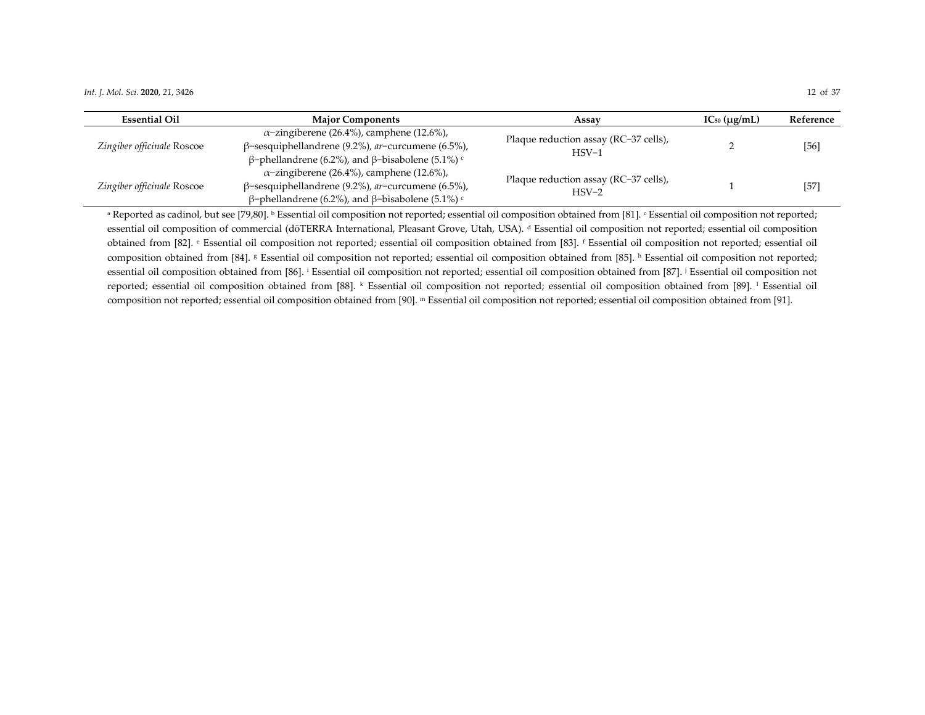| <b>Essential Oil</b>       | <b>Major Components</b>                                                                                                                                                            | Assav                                            | $IC_{50}$ ( $\mu$ g/mL) | Reference |
|----------------------------|------------------------------------------------------------------------------------------------------------------------------------------------------------------------------------|--------------------------------------------------|-------------------------|-----------|
| Zingiber officinale Roscoe | $\alpha$ -zingiberene (26.4%), camphene (12.6%),<br>$\beta$ -sesquiphellandrene (9.2%), ar-curcumene (6.5%),<br>β-phellandrene (6.2%), and β-bisabolene (5.1%) <sup>c</sup>        | Plaque reduction assay (RC-37 cells),<br>$HSV-1$ |                         | $[56]$    |
| Zingiber officinale Roscoe | $\alpha$ -zingiberene (26.4%), camphene (12.6%),<br>$\beta$ -sesquiphellandrene (9.2%), ar-curcumene (6.5%),<br>$\beta$ -phellandrene (6.2%), and β-bisabolene (5.1%) <sup>c</sup> | Plaque reduction assay (RC-37 cells),<br>$HSV-2$ |                         | $[57]$    |

<sup>a</sup> Reported as cadinol, but see [79,80]. <sup>b</sup> Essential oil composition not reported; essential oil composition obtained from [81]. <sup>c</sup> Essential oil composition not reported; essential oil composition of commercial (dōTERRA International, Pleasant Grove, Utah, USA). <sup>d</sup> Essential oil composition not reported; essential oil composition obtained from [82]. *e* Essential oil composition not reported; essential oil composition obtained from [83]. *f* Essential oil composition not reported; essential oil composition obtained from [84]. g Essential oil composition not reported; essential oil composition obtained from [85]. h Essential oil composition not reported; essential oil composition obtained from [86]. i Essential oil composition not reported; essential oil composition obtained from [87]. j Essential oil composition not reported; essential oil composition obtained from [88]. K Essential oil composition not reported; essential oil composition obtained from [89]. <sup>1</sup> Essential oil composition not reported; essential oil composition obtained from [90]. m Essential oil composition not reported; essential oil composition obtained from [91].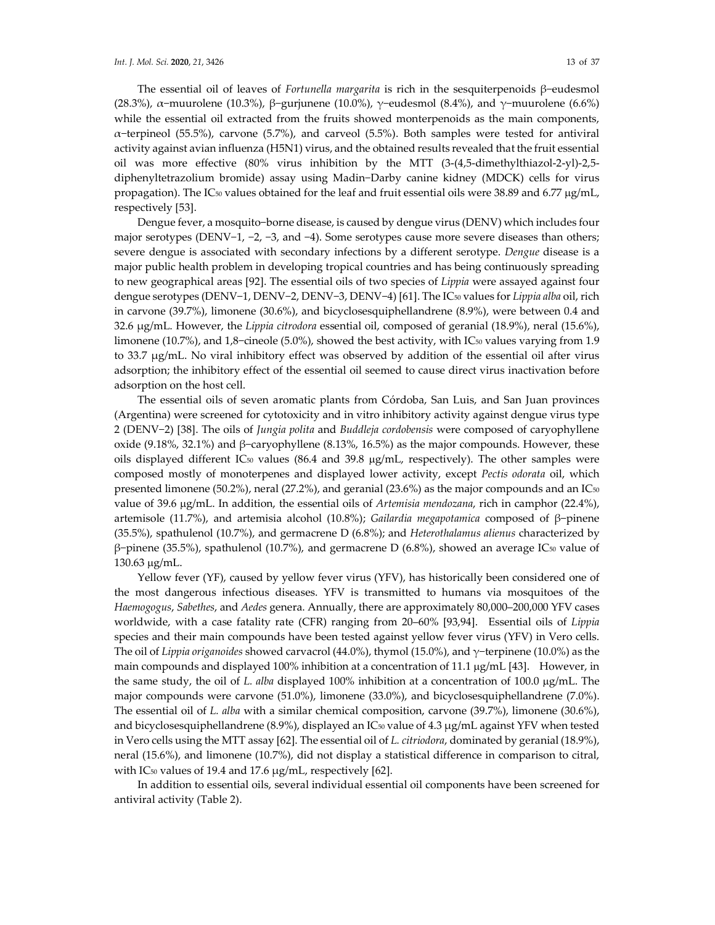The essential oil of leaves of *Fortunella margarita* is rich in the sesquiterpenoids β−eudesmol (28.3%), α-muurolene (10.3%), β-gurjunene (10.0%), γ−eudesmol (8.4%), and γ-muurolene (6.6%) while the essential oil extracted from the fruits showed monterpenoids as the main components, α−terpineol (55.5%), carvone (5.7%), and carveol (5.5%). Both samples were tested for antiviral activity against avian influenza (H5N1) virus, and the obtained results revealed that the fruit essential oil was more effective (80% virus inhibition by the MTT (3-(4,5-dimethylthiazol-2-yl)-2,5 diphenyltetrazolium bromide) assay using Madin−Darby canine kidney (MDCK) cells for virus propagation). The IC<sub>50</sub> values obtained for the leaf and fruit essential oils were 38.89 and 6.77  $\mu$ g/mL, respectively [53].

Dengue fever, a mosquito−borne disease, is caused by dengue virus (DENV) which includes four major serotypes (DENV−1, −2, −3, and −4). Some serotypes cause more severe diseases than others; severe dengue is associated with secondary infections by a different serotype. *Dengue* disease is a major public health problem in developing tropical countries and has being continuously spreading to new geographical areas [92]. The essential oils of two species of *Lippia* were assayed against four dengue serotypes (DENV−1, DENV−2, DENV−3, DENV−4) [61]. The IC50 values for *Lippia alba* oil, rich in carvone (39.7%), limonene (30.6%), and bicyclosesquiphellandrene (8.9%), were between 0.4 and 32.6 μg/mL. However, the *Lippia citrodora* essential oil, composed of geranial (18.9%), neral (15.6%), limonene (10.7%), and 1,8−cineole (5.0%), showed the best activity, with IC50 values varying from 1.9 to 33.7 μg/mL. No viral inhibitory effect was observed by addition of the essential oil after virus adsorption; the inhibitory effect of the essential oil seemed to cause direct virus inactivation before adsorption on the host cell.

The essential oils of seven aromatic plants from Córdoba, San Luis, and San Juan provinces (Argentina) were screened for cytotoxicity and in vitro inhibitory activity against dengue virus type 2 (DENV−2) [38]. The oils of *Jungia polita* and *Buddleja cordobensis* were composed of caryophyllene oxide (9.18%, 32.1%) and β−caryophyllene (8.13%, 16.5%) as the major compounds. However, these oils displayed different IC<sub>50</sub> values (86.4 and 39.8  $\mu$ g/mL, respectively). The other samples were composed mostly of monoterpenes and displayed lower activity, except *Pectis odorata* oil, which presented limonene (50.2%), neral (27.2%), and geranial (23.6%) as the major compounds and an  $IC_{50}$ value of 39.6 g/mL. In addition, the essential oils of *Artemisia mendozana*, rich in camphor (22.4%), artemisole (11.7%), and artemisia alcohol (10.8%); *Gailardia megapotamica* composed of β−pinene (35.5%), spathulenol (10.7%), and germacrene D (6.8%); and *Heterothalamus alienus* characterized by β−pinene (35.5%), spathulenol (10.7%), and germacrene D (6.8%), showed an average IC50 value of  $130.63 \mu g/mL$ .

Yellow fever (YF), caused by yellow fever virus (YFV), has historically been considered one of the most dangerous infectious diseases. YFV is transmitted to humans via mosquitoes of the *Haemogogus*, *Sabethes*, and *Aedes* genera. Annually, there are approximately 80,000–200,000 YFV cases worldwide, with a case fatality rate (CFR) ranging from 20–60% [93,94]. Essential oils of *Lippia* species and their main compounds have been tested against yellow fever virus (YFV) in Vero cells. The oil of *Lippia origanoides* showed carvacrol (44.0%), thymol (15.0%), and γ−terpinene (10.0%) as the main compounds and displayed 100% inhibition at a concentration of 11.1 µg/mL [43]. However, in the same study, the oil of *L. alba* displayed 100% inhibition at a concentration of 100.0  $\mu$ g/mL. The major compounds were carvone (51.0%), limonene (33.0%), and bicyclosesquiphellandrene (7.0%). The essential oil of *L. alba* with a similar chemical composition, carvone (39.7%), limonene (30.6%), and bicyclosesquiphellandrene (8.9%), displayed an IC<sub>50</sub> value of 4.3 μg/mL against YFV when tested in Vero cells using the MTT assay [62]. The essential oil of *L. citriodora*, dominated by geranial (18.9%), neral (15.6%), and limonene (10.7%), did not display a statistical difference in comparison to citral, with IC<sub>50</sub> values of 19.4 and 17.6 μg/mL, respectively [62].

In addition to essential oils, several individual essential oil components have been screened for antiviral activity (Table 2).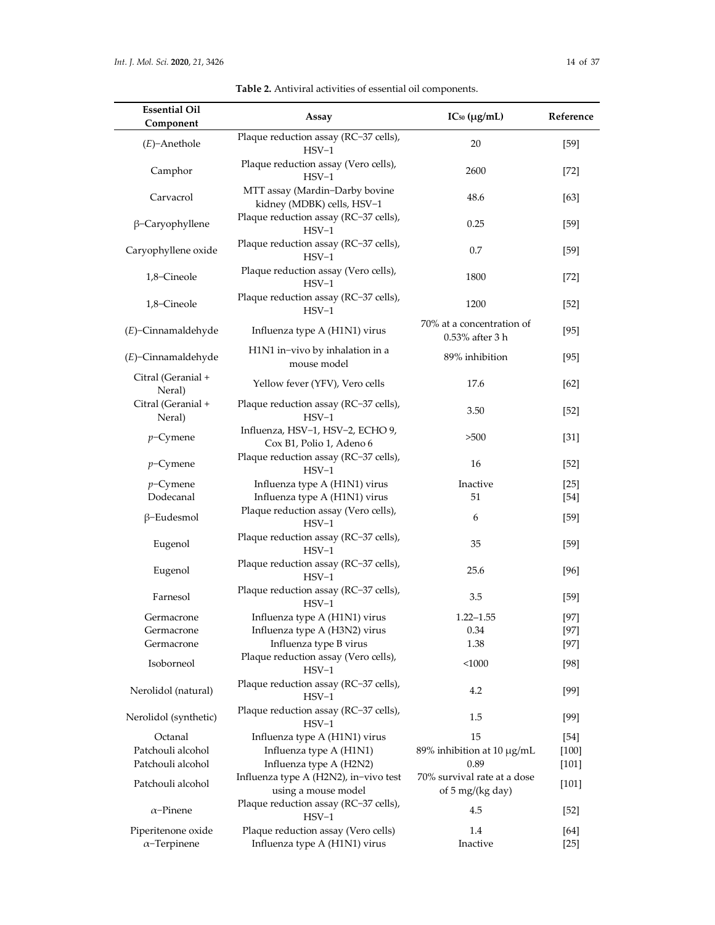| <b>Essential Oil</b><br>Component | Assay                                                        | $IC_{50} (\mu g/mL)$                         | Reference |  |
|-----------------------------------|--------------------------------------------------------------|----------------------------------------------|-----------|--|
| $(E)$ -Anethole                   | Plaque reduction assay (RC-37 cells),<br>$HSV-1$             | 20                                           | $[59]$    |  |
| Camphor                           | Plaque reduction assay (Vero cells),<br>$HSV-1$              | 2600                                         | $[72]$    |  |
| Carvacrol                         | MTT assay (Mardin-Darby bovine<br>kidney (MDBK) cells, HSV-1 | 48.6                                         | $[63]$    |  |
| $\beta$ -Caryophyllene            | Plaque reduction assay (RC-37 cells),<br>$HSV-1$             | 0.25                                         | $[59]$    |  |
| Caryophyllene oxide               | Plaque reduction assay (RC-37 cells),<br>$HSV-1$             |                                              | $[59]$    |  |
| 1,8-Cineole                       | Plaque reduction assay (Vero cells),<br>$HSV-1$              |                                              | $[72]$    |  |
| 1,8-Cineole                       | Plaque reduction assay (RC-37 cells),<br>$HSV-1$             | 1200                                         | $[52]$    |  |
| (E)-Cinnamaldehyde                | Influenza type A (H1N1) virus                                | 70% at a concentration of<br>0.53% after 3 h | $[95]$    |  |
| (E)-Cinnamaldehyde                | H1N1 in-vivo by inhalation in a<br>mouse model               | 89% inhibition                               | $[95]$    |  |
| Citral (Geranial +<br>Neral)      | Yellow fever (YFV), Vero cells                               | 17.6                                         | $[62]$    |  |
| Citral (Geranial +<br>Neral)      | Plaque reduction assay (RC-37 cells),<br>$HSV-1$             | 3.50                                         | $[52]$    |  |
| $p$ –Cymene                       | Influenza, HSV-1, HSV-2, ECHO 9,<br>Cox B1, Polio 1, Adeno 6 | >500                                         | $[31]$    |  |
| $p$ –Cymene                       | Plaque reduction assay (RC-37 cells),<br>$HSV-1$             | 16                                           | $[52]$    |  |
| $p$ –Cymene                       | Influenza type A (H1N1) virus                                | Inactive                                     | $[25]$    |  |
| Dodecanal                         | Influenza type A (H1N1) virus                                | 51                                           | $[54]$    |  |
| $\beta$ -Eudesmol                 | Plaque reduction assay (Vero cells),<br>$HSV-1$              | 6                                            | $[59]$    |  |
| Eugenol                           | Plaque reduction assay (RC-37 cells),<br>$HSV-1$             | 35                                           | $[59]$    |  |
| Eugenol                           | Plaque reduction assay (RC-37 cells),<br>$HSV-1$             | 25.6                                         | $[96]$    |  |
| Farnesol                          | Plaque reduction assay (RC-37 cells),<br>$HSV-1$             | 3.5                                          | $[59]$    |  |
| Germacrone                        | Influenza type A (H1N1) virus                                | $1.22 - 1.55$                                | $[97]$    |  |
| Germacrone                        | Influenza type A (H3N2) virus                                | 0.34                                         | $[97]$    |  |
| Germacrone                        | Influenza type B virus                                       | 1.38                                         | $[97]$    |  |
| Isoborneol                        | Plaque reduction assay (Vero cells),<br>$HSV-1$              | $<$ 1000                                     | $[98]$    |  |
| Nerolidol (natural)               | Plaque reduction assay (RC-37 cells),<br>$HSV-1$             | 4.2                                          | $[99]$    |  |
| Nerolidol (synthetic)             | Plaque reduction assay (RC-37 cells),<br>$HSV-1$             | 1.5                                          | $[99]$    |  |

Octanal Influenza type A (H1N1) virus 15 [54] Patchouli alcohol Influenza type A (H1N1) 89% inhibition at 10 μg/mL [100] Patchouli alcohol Influenza type A (H2N2) 0.89 [101]

Patchouli alcohol Influenza type A (H2N2), in−vivo test

 $\alpha$ −Pinene Plaque reduction assay (RC−37 cells),<br>HSV−1

using a mouse model

 $HSV-1$  [99]

 $HSV-1$   $4.5$  [52]

70% survival rate at a dose

survival rate at a cose [101]<br>of 5 mg/(kg day)

### **Table 2.** Antiviral activities of essential oil components.

Piperitenone oxide Plaque reduction assay (Vero cells) 1.4 [64] α−Terpinene Influenza type A (H1N1) virus Inactive [25]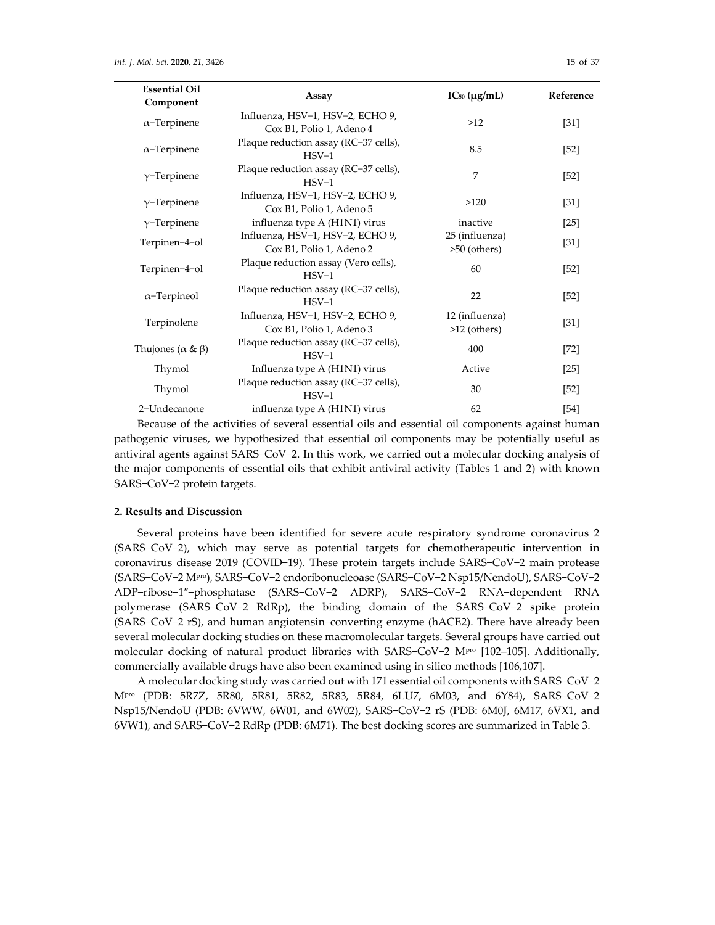| <b>Essential Oil</b>            | Assay                                                        | $IC_{50} (\mu g/mL)$             | Reference |  |
|---------------------------------|--------------------------------------------------------------|----------------------------------|-----------|--|
| Component                       |                                                              |                                  |           |  |
| $\alpha$ -Terpinene             | Influenza, HSV-1, HSV-2, ECHO 9,<br>Cox B1, Polio 1, Adeno 4 | >12                              | $[31]$    |  |
| $\alpha$ -Terpinene             | Plaque reduction assay (RC-37 cells),<br>$HSV-1$             | 8.5                              | $[52]$    |  |
| $\gamma$ -Terpinene             | Plaque reduction assay (RC-37 cells),<br>$HSV-1$             | 7                                | $[52]$    |  |
| $\gamma$ -Terpinene             | Influenza, HSV-1, HSV-2, ECHO 9,<br>Cox B1, Polio 1, Adeno 5 | >120                             | $[31]$    |  |
| $\gamma$ -Terpinene             | influenza type A (H1N1) virus                                | inactive                         | $[25]$    |  |
| Terpinen-4-ol                   | Influenza, HSV-1, HSV-2, ECHO 9,<br>Cox B1, Polio 1, Adeno 2 | 25 (influenza)<br>$>50$ (others) | $[31]$    |  |
| Terpinen-4-ol                   | Plaque reduction assay (Vero cells),<br>$HSV-1$              | 60                               | $[52]$    |  |
| $\alpha$ -Terpineol             | Plaque reduction assay (RC-37 cells),<br>$HSV-1$             | 22                               | $[52]$    |  |
| Terpinolene                     | Influenza, HSV-1, HSV-2, ECHO 9,<br>Cox B1, Polio 1, Adeno 3 | 12 (influenza)<br>$>12$ (others) | $[31]$    |  |
| Thujones ( $\alpha$ & $\beta$ ) | Plaque reduction assay (RC-37 cells),<br>$HSV-1$             | 400                              | $[72]$    |  |
| Thymol                          | Influenza type A (H1N1) virus                                | Active                           | $[25]$    |  |
| Thymol                          | Plaque reduction assay (RC-37 cells),<br>$HSV-1$             | 30                               | $[52]$    |  |
| 2-Undecanone                    | influenza type A (H1N1) virus                                | 62                               | $[54]$    |  |

Because of the activities of several essential oils and essential oil components against human pathogenic viruses, we hypothesized that essential oil components may be potentially useful as antiviral agents against SARS−CoV−2. In this work, we carried out a molecular docking analysis of the major components of essential oils that exhibit antiviral activity (Tables 1 and 2) with known SARS−CoV−2 protein targets.

#### **2. Results and Discussion**

Several proteins have been identified for severe acute respiratory syndrome coronavirus 2 (SARS−CoV−2), which may serve as potential targets for chemotherapeutic intervention in coronavirus disease 2019 (COVID−19). These protein targets include SARS−CoV−2 main protease (SARS−CoV−2 Mpro), SARS−CoV−2 endoribonucleoase (SARS−CoV−2 Nsp15/NendoU), SARS−CoV−2 ADP−ribose−1″−phosphatase (SARS−CoV−2 ADRP), SARS−CoV−2 RNA−dependent RNA polymerase (SARS−CoV−2 RdRp), the binding domain of the SARS−CoV−2 spike protein (SARS−CoV−2 rS), and human angiotensin−converting enzyme (hACE2). There have already been several molecular docking studies on these macromolecular targets. Several groups have carried out molecular docking of natural product libraries with SARS−CoV−2 Mpro [102–105]. Additionally, commercially available drugs have also been examined using in silico methods [106,107].

A molecular docking study was carried out with 171 essential oil components with SARS−CoV−2 Mpro (PDB: 5R7Z, 5R80, 5R81, 5R82, 5R83, 5R84, 6LU7, 6M03, and 6Y84), SARS−CoV−2 Nsp15/NendoU (PDB: 6VWW, 6W01, and 6W02), SARS−CoV−2 rS (PDB: 6M0J, 6M17, 6VX1, and 6VW1), and SARS−CoV−2 RdRp (PDB: 6M71). The best docking scores are summarized in Table 3.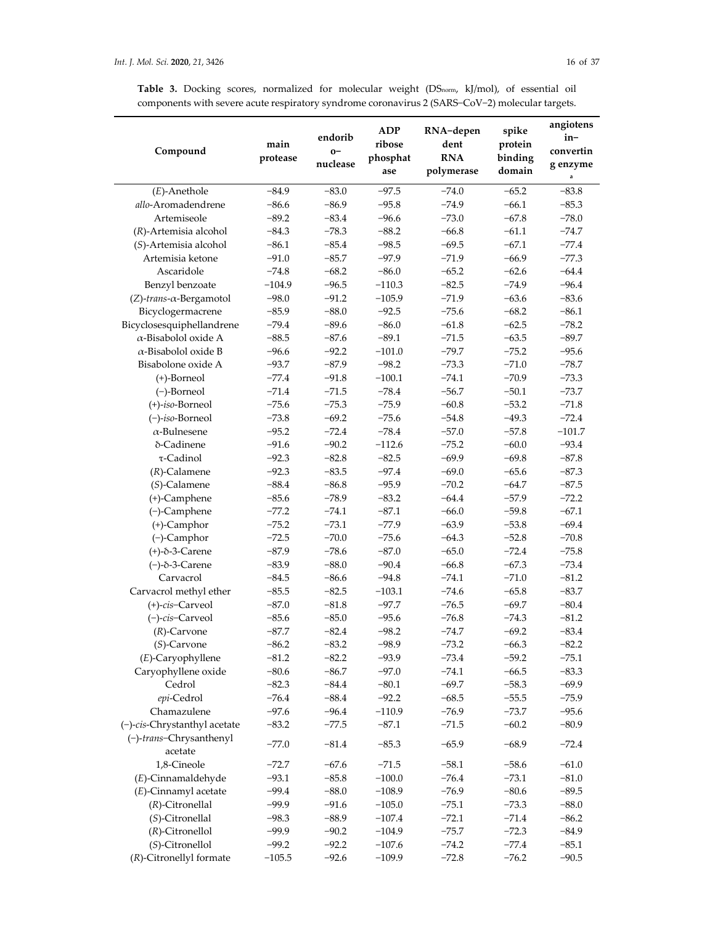Table 3. Docking scores, normalized for molecular weight (DS<sub>norm, kJ/mol), of essential oil</sub> components with severe acute respiratory syndrome coronavirus 2 (SARS−CoV−2) molecular targets.

| Compound                           | main<br>protease   | endorib<br>$0-$<br>nuclease | <b>ADP</b><br>ribose<br>phosphat<br>ase | RNA-depen<br>dent<br><b>RNA</b><br>polymerase | spike<br>protein<br>binding<br>domain | angiotens<br>in-<br>convertin<br>g enzyme<br>$\mathbf a$ |
|------------------------------------|--------------------|-----------------------------|-----------------------------------------|-----------------------------------------------|---------------------------------------|----------------------------------------------------------|
| $(E)$ -Anethole                    | $-84.9$            | $-83.0$                     | $-97.5$                                 | $-74.0$                                       | $-65.2$                               | $-83.8$                                                  |
| allo-Aromadendrene                 | $-86.6$            | $-86.9$                     | $-95.8$                                 | $-74.9$                                       | $-66.1$                               | $-85.3$                                                  |
| Artemiseole                        | $-89.2$            | $-83.4$                     | $-96.6$                                 | $-73.0$                                       | $-67.8$                               | $-78.0$                                                  |
| $(R)$ -Artemisia alcohol           | $-84.3$            | $-78.3$                     | $-88.2$                                 | $-66.8$                                       | $-61.1$                               | $-74.7$                                                  |
| (S)-Artemisia alcohol              | $-86.1$            | $-85.4$                     | $-98.5$                                 | $-69.5$                                       | $-67.1$                               | $-77.4$                                                  |
| Artemisia ketone                   | $-91.0$            | $-85.7$                     | $-97.9$                                 | $-71.9$                                       | $-66.9$                               | $-77.3$                                                  |
| Ascaridole                         | $-74.8$            | $-68.2$                     | $-86.0$                                 | $-65.2$                                       | $-62.6$                               | $-64.4$                                                  |
| Benzyl benzoate                    | $-104.9$           | $-96.5$                     | $-110.3$                                | $-82.5$                                       | $-74.9$                               | $-96.4$                                                  |
| (Z)-trans-a-Bergamotol             | $-98.0$            | $-91.2$                     | $-105.9$                                | $-71.9$                                       | $-63.6$                               | $-83.6$                                                  |
| Bicyclogermacrene                  | $-85.9$            | $-88.0$                     | $-92.5$                                 | $-75.6$                                       | $-68.2$                               | $-86.1$                                                  |
| Bicyclosesquiphellandrene          | $-79.4$            | $-89.6$                     | $-86.0$                                 | $-61.8$                                       | $-62.5$                               | $-78.2$                                                  |
| $\alpha$ -Bisabolol oxide A        | $-88.5$            | $-87.6$                     | $-89.1$                                 | $-71.5$                                       | $-63.5$                               | $-89.7$                                                  |
| $\alpha$ -Bisabolol oxide B        | $-96.6$            | $-92.2$                     | $-101.0$                                | $-79.7$                                       | $-75.2$                               | $-95.6$                                                  |
| Bisabolone oxide A                 | $-93.7$            | $-87.9$                     | $-98.2$                                 | $-73.3$                                       | $-71.0$                               | $-78.7$                                                  |
| (+)-Borneol                        | $-77.4$            | $-91.8$                     | $-100.1$                                | $-74.1$                                       | $-70.9$                               | $-73.3$                                                  |
| $(-)$ -Borneol                     | $-71.4$            | $-71.5$                     | $-78.4$                                 | $-56.7$                                       | $-50.1$                               | $-73.7$                                                  |
| $(+)$ -iso-Borneol                 | $-75.6$            | $-75.3$                     | $-75.9$                                 | $-60.8$                                       | $-53.2$                               | $-71.8$                                                  |
| $(-)$ -iso-Borneol                 | $-73.8$            | $-69.2$                     | $-75.6$                                 | $-54.8$                                       | $-49.3$                               | $-72.4$                                                  |
| $\alpha$ -Bulnesene                | $-95.2$            | $-72.4$                     | $-78.4$                                 | $-57.0$                                       | $-57.8$                               | $-101.7$                                                 |
| δ-Cadinene                         | $-91.6$            | $-90.2$                     | $-112.6$                                | $-75.2$                                       | $-60.0$                               | $-93.4$                                                  |
| τ-Cadinol                          | $-92.3$            | $-82.8$                     | $-82.5$                                 | $-69.9$                                       | $-69.8$                               | $-87.8$                                                  |
| $(R)$ -Calamene                    | $-92.3$            | $-83.5$                     | $-97.4$                                 | $-69.0$                                       | $-65.6$                               | $-87.3$                                                  |
| $(S)$ -Calamene                    | $-88.4$            | $-86.8$                     | $-95.9$                                 | $-70.2$                                       | $-64.7$                               | $-87.5$                                                  |
| (+)-Camphene                       | $-85.6$            | $-78.9$                     | $-83.2$                                 | $-64.4$                                       | $-57.9$                               | $-72.2$                                                  |
| $(-)$ -Camphene                    | $-77.2$            | $-74.1$                     | $-87.1$                                 | $-66.0$                                       | $-59.8$                               | $-67.1$                                                  |
| (+)-Camphor                        | $-75.2$            | $-73.1$                     | $-77.9$                                 | $-63.9$                                       | $-53.8$                               | $-69.4$                                                  |
| $(-)$ -Camphor                     | $-72.5$            | $-70.0$                     | $-75.6$                                 | $-64.3$                                       | $-52.8$                               | $-70.8$                                                  |
| $(+)$ - $\delta$ -3-Carene         | $-87.9$            | $-78.6$                     | $-87.0$                                 | $-65.0$                                       | $-72.4$                               | $-75.8$                                                  |
| $(-)$ - $\delta$ -3-Carene         | $-83.9$            | $-88.0$                     | $-90.4$                                 | $-66.8$                                       | $-67.3$                               | $-73.4$                                                  |
| Carvacrol                          | $-84.5$            | $-86.6$                     | $-94.8$                                 | $-74.1$                                       | $-71.0$                               | $-81.2$                                                  |
| Carvacrol methyl ether             | $-85.5$            | $-82.5$                     | $-103.1$                                | $-74.6$                                       | $-65.8$                               | $-83.7$                                                  |
| $(+)$ -cis-Carveol                 | $-87.0$            | $-81.8$                     | $-97.7$                                 | $-76.5$                                       | $-69.7$                               | $-80.4$                                                  |
| $(-)$ -cis-Carveol                 | $-85.6$            | $-85.0$                     | $-95.6$                                 | $-76.8$                                       | $-74.3$                               | $-81.2$                                                  |
| $(R)$ -Carvone                     | $-87.7$            | $-82.4$                     | $-98.2$                                 | $-74.7$                                       | $-69.2$                               | $-83.4$                                                  |
| $(S)$ -Carvone                     | $-86.2$            | $-83.2$                     | $-98.9$                                 | $-73.2$                                       | $-66.3$                               | $-82.2$                                                  |
| (E)-Caryophyllene                  | $-81.2$            | $-82.2$                     | $-93.9$                                 | $-73.4$                                       | $-59.2$                               | $-75.1$                                                  |
| Caryophyllene oxide                | $-80.6$            | $-86.7$                     | $-97.0$                                 | $-74.1$                                       | $-66.5$                               | $-83.3$                                                  |
| Cedrol                             | $-82.3$            | $-84.4$                     | $-80.1$                                 | $-69.7$                                       | $-58.3$                               | $-69.9$                                                  |
| epi-Cedrol                         | $-76.4$            | $-88.4$                     | $-92.2$                                 | $-68.5$                                       | $-55.5$                               | $-75.9$                                                  |
| Chamazulene                        | $-97.6$            | $-96.4$                     | $-110.9$                                | $-76.9$                                       | $-73.7$                               | $-95.6$                                                  |
| (-)-cis-Chrystanthyl acetate       | $-83.2$            | $-77.5$                     | $-87.1$                                 | $-71.5$                                       | $-60.2$                               | $-80.9$                                                  |
| (-)-trans-Chrysanthenyl<br>acetate | $-77.0$            | $-81.4$                     | $-85.3$                                 | $-65.9$                                       | $-68.9$                               | $-72.4$                                                  |
|                                    |                    |                             |                                         |                                               |                                       |                                                          |
| 1,8-Cineole                        | $-72.7$<br>$-93.1$ | $-67.6$<br>$-85.8$          | $-71.5$                                 | $-58.1$                                       | $-58.6$                               | $-61.0$<br>$-81.0$                                       |
| (E)-Cinnamaldehyde                 | $-99.4$            | $-88.0$                     | $-100.0$<br>$-108.9$                    | $-76.4$<br>$-76.9$                            | $-73.1$<br>$-80.6$                    | $-89.5$                                                  |
| $(E)$ -Cinnamyl acetate            |                    |                             |                                         |                                               |                                       |                                                          |
| $(R)$ -Citronellal                 | $-99.9$            | $-91.6$                     | $-105.0$                                | $-75.1$                                       | $-73.3$                               | $-88.0$                                                  |
| $(S)$ -Citronellal                 | $-98.3$            | $-88.9$<br>$-90.2$          | $-107.4$                                | $-72.1$                                       | $-71.4$                               | $-86.2$                                                  |
| $(R)$ -Citronellol                 | $-99.9$            |                             | $-104.9$                                | $-75.7$                                       | $-72.3$                               | $-84.9$                                                  |
| (S)-Citronellol                    | $-99.2$            | $-92.2$                     | $-107.6$                                | $-74.2$                                       | $-77.4$                               | $-85.1$                                                  |
| $(R)$ -Citronellyl formate         | $-105.5$           | $-92.6$                     | $-109.9$                                | $-72.8$                                       | $-76.2$                               | $-90.5$                                                  |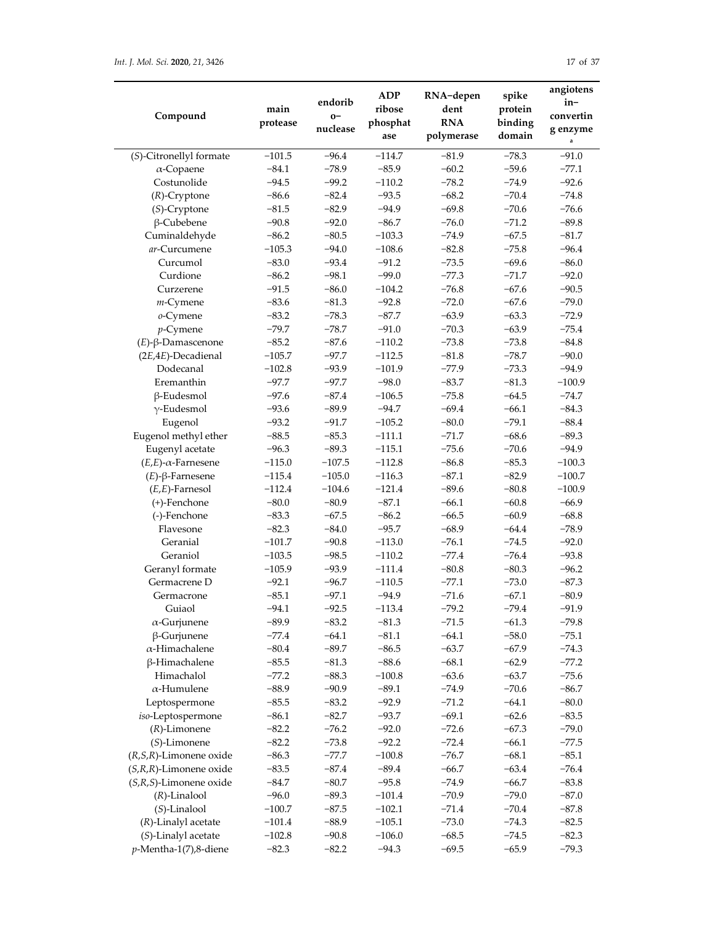| Compound                                       | main<br>protease   | endorib<br>$0 -$<br>nuclease | <b>ADP</b><br>ribose<br>phosphat<br>ase | RNA-depen<br>dent<br><b>RNA</b><br>polymerase | spike<br>protein<br>binding<br>domain | angiotens<br>in-<br>convertin<br>g enzyme |
|------------------------------------------------|--------------------|------------------------------|-----------------------------------------|-----------------------------------------------|---------------------------------------|-------------------------------------------|
|                                                |                    |                              |                                         |                                               |                                       | a                                         |
| (S)-Citronellyl formate                        | $-101.5$           | $-96.4$                      | $-114.7$                                | $-81.9$                                       | $-78.3$                               | $-91.0$                                   |
| $\alpha$ -Copaene                              | $-84.1$            | $-78.9$                      | $-85.9$                                 | $-60.2$                                       | $-59.6$                               | $-77.1$                                   |
| Costunolide                                    | $-94.5$            | $-99.2$                      | $-110.2$                                | $-78.2$                                       | $-74.9$                               | $-92.6$                                   |
| $(R)$ -Cryptone                                | $-86.6$            | $-82.4$                      | $-93.5$                                 | $-68.2$                                       | $-70.4$                               | $-74.8$                                   |
| $(S)$ -Cryptone                                | $-81.5$            | $-82.9$                      | $-94.9$                                 | $-69.8$                                       | $-70.6$                               | $-76.6$                                   |
| β-Cubebene                                     | $-90.8$            | $-92.0$                      | $-86.7$                                 | $-76.0$                                       | $-71.2$                               | $-89.8$                                   |
| Cuminaldehyde                                  | $-86.2$            | $-80.5$                      | $-103.3$                                | $-74.9$                                       | $-67.5$                               | $-81.7$                                   |
| ar-Curcumene                                   | $-105.3$           | $-94.0$                      | $-108.6$                                | $-82.8$                                       | $-75.8$                               | $-96.4$                                   |
| Curcumol                                       | $-83.0$            | $-93.4$                      | $-91.2$                                 | $-73.5$                                       | $-69.6$                               | $-86.0$                                   |
| Curdione                                       | $-86.2$<br>$-91.5$ | $-98.1$                      | $-99.0$<br>$-104.2$                     | $-77.3$<br>$-76.8$                            | $-71.7$<br>$-67.6$                    | $-92.0$<br>$-90.5$                        |
| Curzerene                                      | $-83.6$            | $-86.0$<br>$-81.3$           | $-92.8$                                 | $-72.0$                                       | $-67.6$                               | $-79.0$                                   |
| $m$ -Cymene<br>$o$ -Cymene                     | $-83.2$            | $-78.3$                      | $-87.7$                                 | $-63.9$                                       | $-63.3$                               | $-72.9$                                   |
| $p$ -Cymene                                    | $-79.7$            | $-78.7$                      | $-91.0$                                 | $-70.3$                                       | $-63.9$                               | $-75.4$                                   |
| $(E)$ -β-Damascenone                           | $-85.2$            | $-87.6$                      | $-110.2$                                | $-73.8$                                       | $-73.8$                               | $-84.8$                                   |
| (2E,4E)-Decadienal                             | $-105.7$           | $-97.7$                      | $-112.5$                                | $-81.8$                                       | $-78.7$                               | $-90.0$                                   |
| Dodecanal                                      | $-102.8$           | $-93.9$                      | $-101.9$                                | $-77.9$                                       | $-73.3$                               | $-94.9$                                   |
| Eremanthin                                     | $-97.7$            | $-97.7$                      | $-98.0$                                 | $-83.7$                                       | $-81.3$                               | $-100.9$                                  |
| $\beta$ -Eudesmol                              | $-97.6$            | $-87.4$                      | $-106.5$                                | $-75.8$                                       | $-64.5$                               | $-74.7$                                   |
| $\gamma$ -Eudesmol                             | $-93.6$            | $-89.9$                      | $-94.7$                                 | $-69.4$                                       | $-66.1$                               | $-84.3$                                   |
| Eugenol                                        | $-93.2$            | $-91.7$                      | $-105.2$                                | $-80.0$                                       | $-79.1$                               | $-88.4$                                   |
| Eugenol methyl ether                           | $-88.5$            | $-85.3$                      | $-111.1$                                | $-71.7$                                       | $-68.6$                               | $-89.3$                                   |
| Eugenyl acetate                                | $-96.3$            | $-89.3$                      | $-115.1$                                | $-75.6$                                       | $-70.6$                               | $-94.9$                                   |
| $(E,E)$ - $\alpha$ -Farnesene                  | $-115.0$           | $-107.5$                     | $-112.8$                                | $-86.8$                                       | $-85.3$                               | $-100.3$                                  |
| $(E)$ -β-Farnesene                             | $-115.4$           | $-105.0$                     | $-116.3$                                | $-87.1$                                       | $-82.9$                               | $-100.7$                                  |
| $(E,E)$ -Farnesol                              | $-112.4$           | $-104.6$                     | $-121.4$                                | $-89.6$                                       | $-80.8$                               | $-100.9$                                  |
| (+)-Fenchone                                   | $-80.0$            | $-80.9$                      | $-87.1$                                 | $-66.1$                                       | $-60.8$                               | $-66.9$                                   |
| (-)-Fenchone                                   | $-83.3$            | $-67.5$                      | $-86.2$                                 | $-66.5$                                       | $-60.9$                               | $-68.8$                                   |
| Flavesone                                      | $-82.3$            | $-84.0$                      | $-95.7$                                 | $-68.9$                                       | $-64.4$                               | $-78.9$                                   |
| Geranial                                       | $-101.7$           | $-90.8$                      | $-113.0$                                | $-76.1$                                       | $-74.5$                               | $-92.0$                                   |
| Geraniol                                       | $-103.5$           | $-98.5$                      | $-110.2$                                | $-77.4$                                       | $-76.4$                               | $-93.8$                                   |
| Geranyl formate                                | $-105.9$           | $-93.9$                      | $-111.4$                                | $-80.8$                                       | $-80.3$                               | $-96.2$                                   |
| Germacrene D                                   | $-92.1$            | $-96.7$                      | $-110.5$                                | $-77.1$                                       | $-73.0$                               | $-87.3$                                   |
| Germacrone                                     | $-85.1$            | $-97.1$                      | $-94.9$                                 | $-71.6$                                       | $-67.1$                               | $-80.9$                                   |
| Guiaol                                         | $-94.1$            | $-92.5$                      | $-113.4$                                | $-79.2$                                       | $-79.4$                               | $-91.9$                                   |
| $\alpha$ -Gurjunene                            | $-89.9$            | $-83.2$                      | $-81.3$                                 | $-71.5$                                       | $-61.3$                               | $-79.8$                                   |
| β-Gurjunene                                    | $-77.4$            | $-64.1$                      | $-81.1$                                 | $-64.1$                                       | $-58.0$                               | $-75.1$                                   |
| $\alpha$ -Himachalene                          | $-80.4$            | $-89.7$                      | $-86.5$                                 | $-63.7$                                       | $-67.9$                               | $-74.3$                                   |
| $\beta$ -Himachalene                           | $-85.5$            | $-81.3$                      | $-88.6$                                 | $-68.1$                                       | $-62.9$                               | $-77.2$                                   |
| Himachalol                                     | $-77.2$            | $-88.3$                      | $-100.8$                                | $-63.6$                                       | $-63.7$                               | $-75.6$                                   |
| $\alpha$ -Humulene                             | $-88.9$            | $-90.9$                      | $-89.1$                                 | $-74.9$                                       | $-70.6$                               | $-86.7$                                   |
| Leptospermone                                  | $-85.5$            | $-83.2$                      | $-92.9$                                 | $-71.2$                                       | $-64.1$                               | $-80.0$                                   |
| iso-Leptospermone                              | $-86.1$<br>$-82.2$ | $-82.7$                      | $-93.7$                                 | $-69.1$<br>$-72.6$                            | $-62.6$<br>$-67.3$                    | $-83.5$                                   |
| $(R)$ -Limonene                                |                    | $-76.2$                      | $-92.0$                                 |                                               |                                       | $-79.0$                                   |
| $(S)$ -Limonene<br>$(R, S, R)$ -Limonene oxide | $-82.2$<br>$-86.3$ | $-73.8$<br>$-77.7$           | $-92.2$<br>$-100.8$                     | $-72.4$<br>$-76.7$                            | $-66.1$<br>$-68.1$                    | $-77.5$<br>$-85.1$                        |
| $(S, R, R)$ -Limonene oxide                    | $-83.5$            | $-87.4$                      | $-89.4$                                 | $-66.7$                                       | $-63.4$                               | $-76.4$                                   |
| $(S,R,S)$ -Limonene oxide                      | $-84.7$            | $-80.7$                      | $-95.8$                                 | $-74.9$                                       | $-66.7$                               | $-83.8$                                   |
| $(R)$ -Linalool                                | $-96.0$            | $-89.3$                      | $-101.4$                                | $-70.9$                                       | $-79.0$                               | $-87.0$                                   |
| $(S)$ -Linalool                                | $-100.7$           | $-87.5$                      | $-102.1$                                | $-71.4$                                       | $-70.4$                               | $-87.8$                                   |
| $(R)$ -Linalyl acetate                         | $-101.4$           | $-88.9$                      | $-105.1$                                | $-73.0$                                       | $-74.3$                               | $-82.5$                                   |
| $(S)$ -Linalyl acetate                         | $-102.8$           | $-90.8$                      | $-106.0$                                | $-68.5$                                       | $-74.5$                               | $-82.3$                                   |
| $p$ -Mentha-1(7),8-diene                       | $-82.3$            | $-82.2$                      | $-94.3$                                 | $-69.5$                                       | $-65.9$                               | $-79.3$                                   |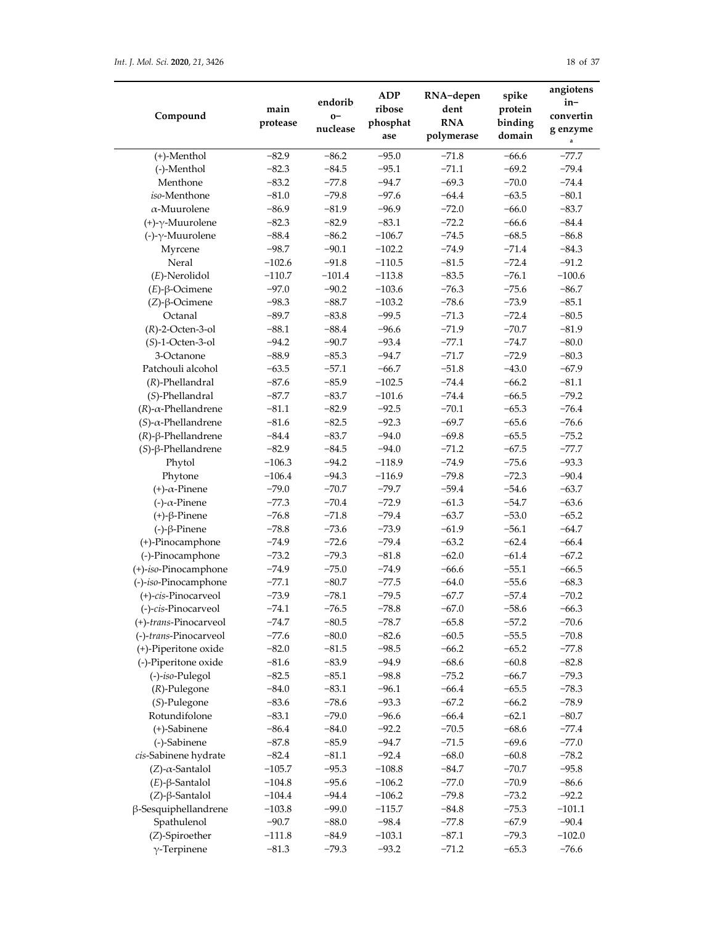| Compound                       | main<br>protease | endorib<br>$o-$<br>nuclease | <b>ADP</b><br>ribose<br>phosphat<br>ase | RNA-depen<br>dent<br><b>RNA</b><br>polymerase | spike<br>protein<br>binding<br>domain | angiotens<br>$in-$<br>convertin<br>g enzyme<br>$\mathbf{a}$ |
|--------------------------------|------------------|-----------------------------|-----------------------------------------|-----------------------------------------------|---------------------------------------|-------------------------------------------------------------|
| (+)-Menthol                    | $-82.9$          | $-86.2$                     | $-95.0$                                 | $-71.8$                                       | $-66.6$                               | $-77.7$                                                     |
| (-)-Menthol                    | $-82.3$          | $-84.5$                     | $-95.1$                                 | $-71.1$                                       | $-69.2$                               | $-79.4$                                                     |
| Menthone                       | $-83.2$          | $-77.8$                     | $-94.7$                                 | $-69.3$                                       | $-70.0$                               | $-74.4$                                                     |
| iso-Menthone                   | $-81.0$          | $-79.8$                     | $-97.6$                                 | $-64.4$                                       | $-63.5$                               | $-80.1$                                                     |
| $\alpha$ -Muurolene            | $-86.9$          | $-81.9$                     | $-96.9$                                 | $-72.0$                                       | $-66.0$                               | $-83.7$                                                     |
| $(+)$ - $\gamma$ -Muurolene    | $-82.3$          | $-82.9$                     | $-83.1$                                 | $-72.2$                                       | $-66.6$                               | $-84.4$                                                     |
| (-)-γ-Muurolene                | $-88.4$          | $-86.2$                     | $-106.7$                                | $-74.5$                                       | $-68.5$                               | $-86.8$                                                     |
| Myrcene                        | $-98.7$          | $-90.1$                     | $-102.2$                                | $-74.9$                                       | $-71.4$                               | $-84.3$                                                     |
| Neral                          | $-102.6$         | $-91.8$                     | $-110.5$                                | $-81.5$                                       | $-72.4$                               | $-91.2$                                                     |
| $(E)$ -Nerolidol               | $-110.7$         | $-101.4$                    | $-113.8$                                | $-83.5$                                       | $-76.1$                               | $-100.6$                                                    |
| $(E)$ -β-Ocimene               | $-97.0$          | $-90.2$                     | $-103.6$                                | $-76.3$                                       | $-75.6$                               | $-86.7$                                                     |
| $(Z)$ -β-Ocimene               | $-98.3$          | $-88.7$                     | $-103.2$                                | $-78.6$                                       | $-73.9$                               | $-85.1$                                                     |
| Octanal                        |                  |                             |                                         |                                               |                                       |                                                             |
|                                | $-89.7$          | $-83.8$                     | $-99.5$                                 | $-71.3$                                       | $-72.4$                               | $-80.5$                                                     |
| $(R)$ -2-Octen-3-ol            | $-88.1$          | $-88.4$                     | $-96.6$                                 | $-71.9$                                       | $-70.7$                               | $-81.9$                                                     |
| $(S)-1$ -Octen-3-ol            | $-94.2$          | $-90.7$                     | $-93.4$                                 | $-77.1$                                       | $-74.7$                               | $-80.0$                                                     |
| 3-Octanone                     | $-88.9$          | $-85.3$                     | $-94.7$                                 | $-71.7$                                       | $-72.9$                               | $-80.3$                                                     |
| Patchouli alcohol              | $-63.5$          | $-57.1$                     | $-66.7$                                 | $-51.8$                                       | $-43.0$                               | $-67.9$                                                     |
| $(R)$ -Phellandral             | $-87.6$          | $-85.9$                     | $-102.5$                                | $-74.4$                                       | $-66.2$                               | $-81.1$                                                     |
| (S)-Phellandral                | $-87.7$          | $-83.7$                     | $-101.6$                                | $-74.4$                                       | $-66.5$                               | $-79.2$                                                     |
| $(R)$ - $\alpha$ -Phellandrene | $-81.1$          | $-82.9$                     | $-92.5$                                 | $-70.1$                                       | $-65.3$                               | $-76.4$                                                     |
| $(S)$ - $\alpha$ -Phellandrene | $-81.6$          | $-82.5$                     | $-92.3$                                 | $-69.7$                                       | $-65.6$                               | $-76.6$                                                     |
| $(R)$ -β-Phellandrene          | $-84.4$          | $-83.7$                     | $-94.0$                                 | $-69.8$                                       | $-65.5$                               | $-75.2$                                                     |
| $(S)$ - $\beta$ -Phellandrene  | $-82.9$          | $-84.5$                     | $-94.0$                                 | $-71.2$                                       | $-67.5$                               | $-77.7$                                                     |
| Phytol                         | $-106.3$         | $-94.2$                     | $-118.9$                                | $-74.9$                                       | $-75.6$                               | $-93.3$                                                     |
| Phytone                        | $-106.4$         | $-94.3$                     | $-116.9$                                | $-79.8$                                       | $-72.3$                               | $-90.4$                                                     |
| $(+)$ - $\alpha$ -Pinene       | $-79.0$          | $-70.7$                     | $-79.7$                                 | $-59.4$                                       | $-54.6$                               | $-63.7$                                                     |
| $(-)$ - $\alpha$ -Pinene       | $-77.3$          | $-70.4$                     | $-72.9$                                 | $-61.3$                                       | $-54.7$                               | $-63.6$                                                     |
| $(+)$ - $\beta$ -Pinene        | $-76.8$          | $-71.8$                     | $-79.4$                                 | $-63.7$                                       | $-53.0$                               | $-65.2$                                                     |
| $(-)$ - $\beta$ -Pinene        | $-78.8$          | $-73.6$                     | $-73.9$                                 | $-61.9$                                       | $-56.1$                               | $-64.7$                                                     |
| (+)-Pinocamphone               | $-74.9$          | $-72.6$                     | $-79.4$                                 | $-63.2$                                       | $-62.4$                               | $-66.4$                                                     |
| (-)-Pinocamphone               | $-73.2$          | $-79.3$                     | $-81.8$                                 | $-62.0$                                       | $-61.4$                               | $-67.2$                                                     |
| (+)-iso-Pinocamphone           | $-74.9$          | $-75.0$                     | $-74.9$                                 | $-66.6$                                       | $-55.1$                               | $-66.5$                                                     |
| (-)-iso-Pinocamphone           | $-77.1$          | $-80.7$                     | $-77.5$                                 | $-64.0$                                       | $-55.6$                               | $-68.3$                                                     |
| (+)-cis-Pinocarveol            | $-73.9$          | $-78.1$                     | $-79.5$                                 | $-67.7$                                       | $-57.4$                               | $-70.2$                                                     |
| (-)-cis-Pinocarveol            | $-74.1$          | $-76.5$                     | $-78.8$                                 | $-67.0$                                       | $-58.6$                               | $-66.3$                                                     |
| (+)-trans-Pinocarveol          | $-74.7$          | $-80.5$                     | $-78.7$                                 | $-65.8$                                       | $-57.2$                               | $-70.6$                                                     |
| (-)-trans-Pinocarveol          | $-77.6$          | $-80.0$                     | $-82.6$                                 | $-60.5$                                       | $-55.5$                               | $-70.8$                                                     |
| (+)-Piperitone oxide           | $-82.0$          | $-81.5$                     | $-98.5$                                 | $-66.2$                                       | $-65.2$                               | $-77.8$                                                     |
| (-)-Piperitone oxide           | $-81.6$          | $-83.9$                     | $-94.9$                                 | $-68.6$                                       | $-60.8$                               | $-82.8$                                                     |
| (-)-iso-Pulegol                | $-82.5$          | $-85.1$                     | $-98.8$                                 | $-75.2$                                       | $-66.7$                               | $-79.3$                                                     |
| $(R)$ -Pulegone                | $-84.0$          | $-83.1$                     | $-96.1$                                 | $-66.4$                                       | $-65.5$                               | $-78.3$                                                     |
| $(S)$ -Pulegone                | $-83.6$          | $-78.6$                     | $-93.3$                                 | $-67.2$                                       | $-66.2$                               | $-78.9$                                                     |
| Rotundifolone                  | $-83.1$          | $-79.0$                     | $-96.6$                                 | $-66.4$                                       | $-62.1$                               | $-80.7$                                                     |
| (+)-Sabinene                   | $-86.4$          | $-84.0$                     | $-92.2$                                 | $-70.5$                                       | $-68.6$                               | $-77.4$                                                     |
| (-)-Sabinene                   | $-87.8$          | $-85.9$                     | $-94.7$                                 | $-71.5$                                       | $-69.6$                               | $-77.0$                                                     |
| cis-Sabinene hydrate           | $-82.4$          | $-81.1$                     | $-92.4$                                 | $-68.0$                                       | $-60.8$                               | $-78.2$                                                     |
| $(Z)$ - $\alpha$ -Santalol     | $-105.7$         | $-95.3$                     | $-108.8$                                | $-84.7$                                       | $-70.7$                               | $-95.8$                                                     |
|                                |                  |                             |                                         |                                               |                                       |                                                             |
| $(E)$ - $\beta$ -Santalol      | $-104.8$         | $-95.6$                     | $-106.2$                                | $-77.0$                                       | $-70.9$                               | $-86.6$                                                     |
| $(Z)$ - $\beta$ -Santalol      | $-104.4$         | $-94.4$                     | $-106.2$                                | $-79.8$                                       | $-73.2$                               | $-92.2$                                                     |
| $\beta$ -Sesquiphellandrene    | $-103.8$         | $-99.0$                     | $-115.7$                                | $-84.8$                                       | $-75.3$                               | $-101.1$                                                    |
| Spathulenol                    | $-90.7$          | $-88.0$                     | $-98.4$                                 | $-77.8$                                       | $-67.9$                               | $-90.4$                                                     |
| (Z)-Spiroether                 | $-111.8$         | $-84.9$                     | $-103.1$                                | $-87.1$                                       | $-79.3$                               | $-102.0$                                                    |
| $\gamma$ -Terpinene            | $-81.3$          | $-79.3$                     | $-93.2$                                 | $-71.2$                                       | $-65.3$                               | $-76.6$                                                     |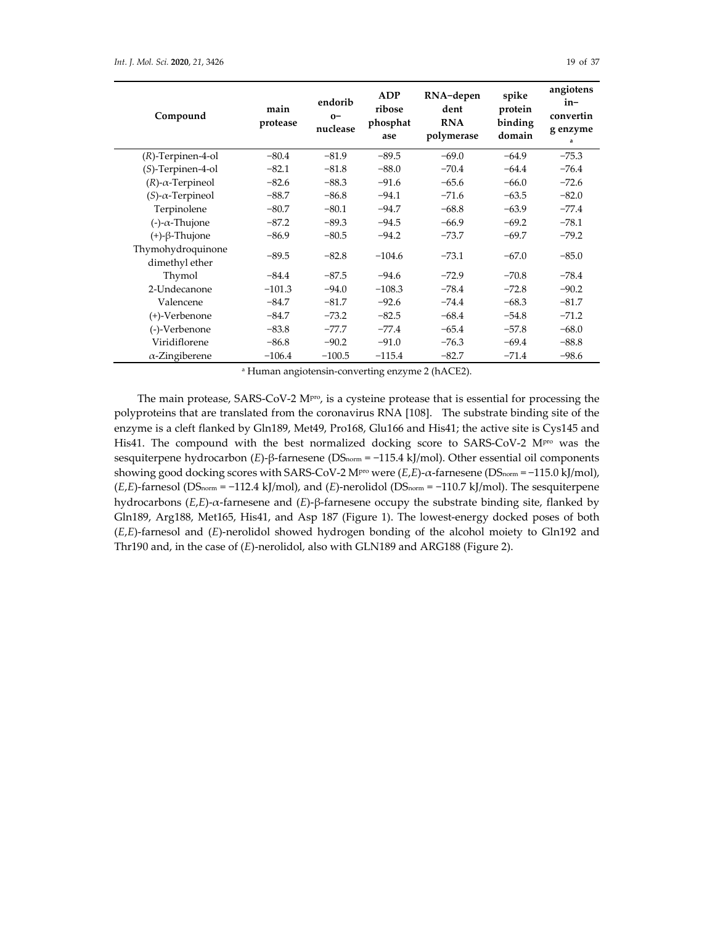| Compound                            | main<br>protease | endorib<br>$0-$<br>nuclease | <b>ADP</b><br>ribose<br>phosphat<br>ase | RNA-depen<br>dent<br><b>RNA</b><br>polymerase | spike<br>protein<br>binding<br>domain | angiotens<br>$in-$<br>convertin<br>g enzyme<br>a |
|-------------------------------------|------------------|-----------------------------|-----------------------------------------|-----------------------------------------------|---------------------------------------|--------------------------------------------------|
| $(R)$ -Terpinen-4-ol                | $-80.4$          | $-81.9$                     | $-89.5$                                 | $-69.0$                                       | $-64.9$                               | $-75.3$                                          |
| $(S)$ -Terpinen-4-ol                | $-82.1$          | $-81.8$                     | $-88.0$                                 | $-70.4$                                       | $-64.4$                               | $-76.4$                                          |
| $(R)$ - $\alpha$ -Terpineol         | $-82.6$          | $-88.3$                     | $-91.6$                                 | $-65.6$                                       | $-66.0$                               | $-72.6$                                          |
| $(S)$ - $\alpha$ -Terpineol         | $-88.7$          | $-86.8$                     | $-94.1$                                 | $-71.6$                                       | $-63.5$                               | $-82.0$                                          |
| Terpinolene                         | $-80.7$          | $-80.1$                     | $-94.7$                                 | $-68.8$                                       | $-63.9$                               | $-77.4$                                          |
| $(-)$ - $\alpha$ -Thujone           | $-87.2$          | $-89.3$                     | $-94.5$                                 | $-66.9$                                       | $-69.2$                               | $-78.1$                                          |
| $(+)$ - $\beta$ -Thujone            | $-86.9$          | $-80.5$                     | $-94.2$                                 | $-73.7$                                       | $-69.7$                               | $-79.2$                                          |
| Thymohydroquinone<br>dimethyl ether | $-89.5$          | $-82.8$                     | $-104.6$                                | $-73.1$                                       | $-67.0$                               | $-85.0$                                          |
| Thymol                              | $-84.4$          | $-87.5$                     | $-94.6$                                 | $-72.9$                                       | $-70.8$                               | $-78.4$                                          |
| 2-Undecanone                        | $-101.3$         | $-94.0$                     | $-108.3$                                | $-78.4$                                       | $-72.8$                               | $-90.2$                                          |
| Valencene                           | $-84.7$          | $-81.7$                     | $-92.6$                                 | $-74.4$                                       | $-68.3$                               | $-81.7$                                          |
| (+)-Verbenone                       | $-84.7$          | $-73.2$                     | $-82.5$                                 | $-68.4$                                       | $-54.8$                               | $-71.2$                                          |
| (-)-Verbenone                       | $-83.8$          | $-77.7$                     | $-77.4$                                 | $-65.4$                                       | $-57.8$                               | $-68.0$                                          |
| Viridiflorene                       | $-86.8$          | $-90.2$                     | $-91.0$                                 | $-76.3$                                       | $-69.4$                               | $-88.8$                                          |
| $\alpha$ -Zingiberene               | $-106.4$         | $-100.5$                    | $-115.4$                                | $-82.7$                                       | $-71.4$                               | $-98.6$                                          |

<sup>a</sup> Human angiotensin-converting enzyme 2 (hACE2).

The main protease, SARS-CoV-2 M<sub>pro</sub>, is a cysteine protease that is essential for processing the polyproteins that are translated from the coronavirus RNA [108]. The substrate binding site of the enzyme is a cleft flanked by Gln189, Met49, Pro168, Glu166 and His41; the active site is Cys145 and His41. The compound with the best normalized docking score to SARS-CoV-2 M<sup>pro</sup> was the sesquiterpene hydrocarbon (*E*)-β-farnesene (DS<sub>norm</sub> = −115.4 kJ/mol). Other essential oil components showing good docking scores with SARS-CoV-2 Mpro were (*E*,*E*)-α-farnesene (DSnorm = −115.0 kJ/mol), (*E*,*E*)-farnesol (DSnorm = −112.4 kJ/mol), and (*E*)-nerolidol (DSnorm = −110.7 kJ/mol). The sesquiterpene hydrocarbons (*E*,*E*)-α-farnesene and (*E*)-β-farnesene occupy the substrate binding site, flanked by Gln189, Arg188, Met165, His41, and Asp 187 (Figure 1). The lowest-energy docked poses of both (*E*,*E*)-farnesol and (*E*)-nerolidol showed hydrogen bonding of the alcohol moiety to Gln192 and Thr190 and, in the case of (*E*)-nerolidol, also with GLN189 and ARG188 (Figure 2).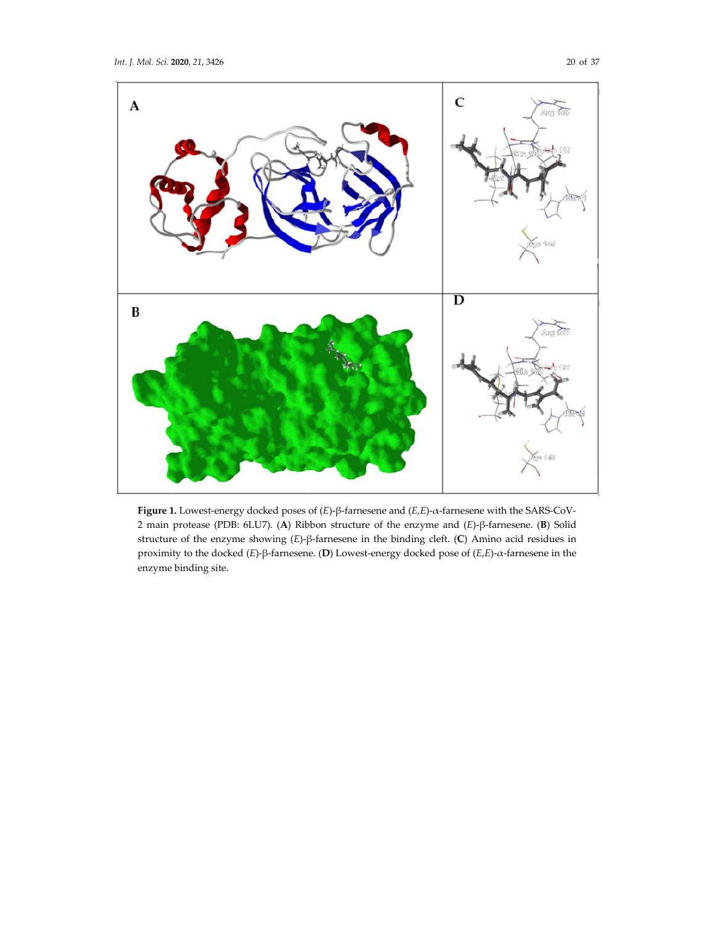

**Figure 1.** Lowest-energy docked poses of (*E*)-β-farnesene and (*E*,*E*)-α-farnesene with the SARS-CoV-2 main protease (PDB: 6LU7). (**A**) Ribbon structure of the enzyme and (*E*)-β-farnesene. (**B**) Solid structure of the enzyme showing (*E*)-β-farnesene in the binding cleft. (**C**) Amino acid residues in proximity to the docked (*E*)-β-farnesene. (**D**) Lowest-energy docked pose of (*E*,*E*)-α-farnesene in the enzyme binding site.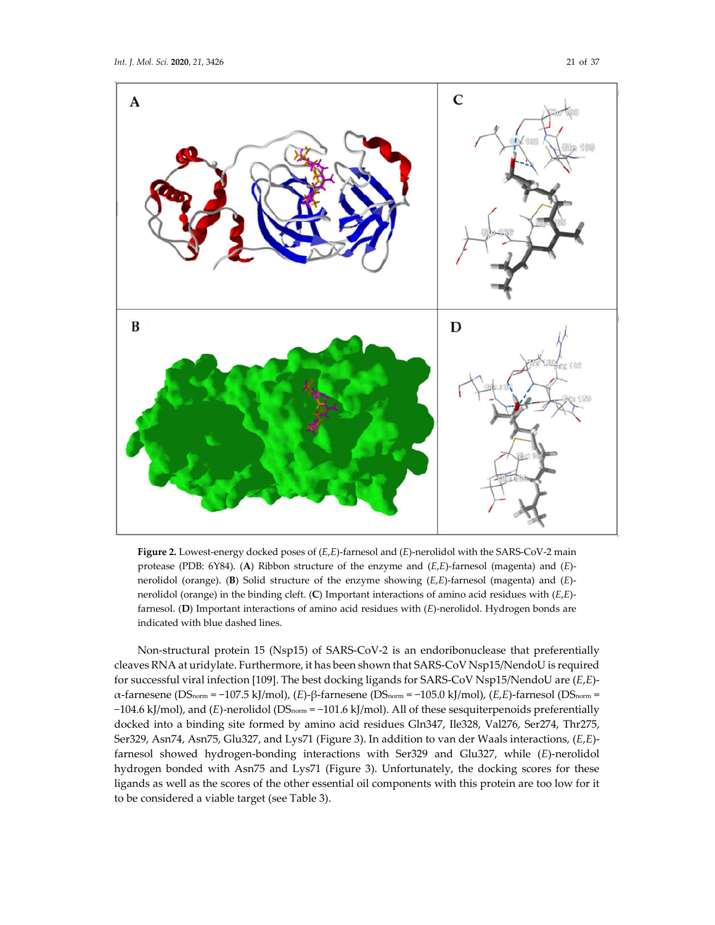



Non-structural protein 15 (Nsp15) of SARS-CoV-2 is an endoribonuclease that preferentially cleaves RNA at uridylate. Furthermore, it has been shown that SARS-CoV Nsp15/NendoU is required for successful viral infection [109]. The best docking ligands for SARS-CoV Nsp15/NendoU are (*E*,*E*) α-farnesene (DSnorm = −107.5 kJ/mol), (*E*)-β-farnesene (DSnorm = −105.0 kJ/mol), (*E*,*E*)-farnesol (DSnorm = −104.6 kJ/mol), and (*E*)-nerolidol (DSnorm = −101.6 kJ/mol). All of these sesquiterpenoids preferentially docked into a binding site formed by amino acid residues Gln347, Ile328, Val276, Ser274, Thr275, Ser329, Asn74, Asn75, Glu327, and Lys71 (Figure 3). In addition to van der Waals interactions, (*E*,*E*) farnesol showed hydrogen-bonding interactions with Ser329 and Glu327, while (*E*)-nerolidol hydrogen bonded with Asn75 and Lys71 (Figure 3). Unfortunately, the docking scores for these ligands as well as the scores of the other essential oil components with this protein are too low for it to be considered a viable target (see Table 3).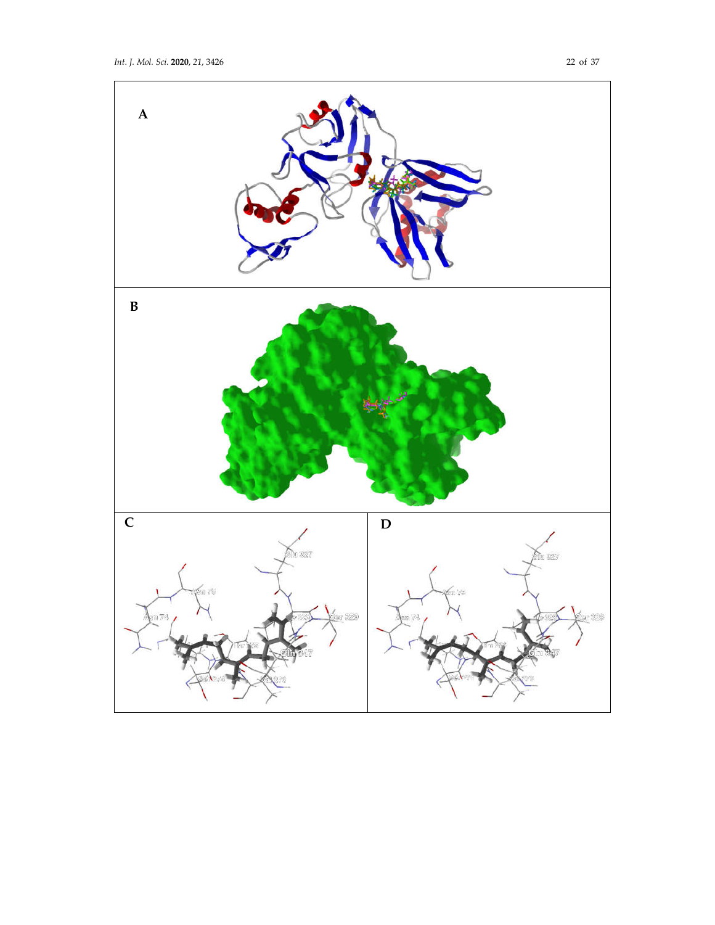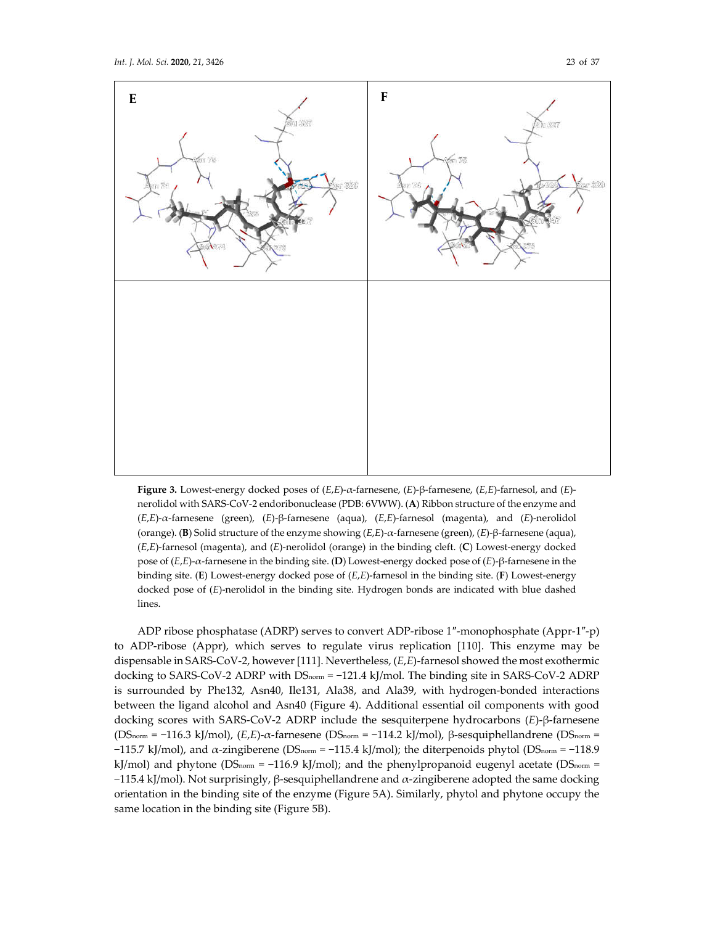

**Figure 3.** Lowest-energy docked poses of (*E*,*E*)-α-farnesene, (*E*)-β-farnesene, (*E*,*E*)-farnesol, and (*E*) nerolidol with SARS-CoV-2 endoribonuclease (PDB: 6VWW). (**A**) Ribbon structure of the enzyme and (*E*,*E*)-α-farnesene (green), (*E*)-β-farnesene (aqua), (*E*,*E*)-farnesol (magenta), and (*E*)-nerolidol (orange). (**B**) Solid structure of the enzyme showing (*E*,*E*)-α-farnesene (green), (*E*)-β-farnesene (aqua), (*E*,*E*)-farnesol (magenta), and (*E*)-nerolidol (orange) in the binding cleft. (**C**) Lowest-energy docked pose of (*E*,*E*)-α-farnesene in the binding site. (**D**) Lowest-energy docked pose of (*E*)-β-farnesene in the binding site. (**E**) Lowest-energy docked pose of (*E*,*E*)-farnesol in the binding site. (**F**) Lowest-energy docked pose of (*E*)-nerolidol in the binding site. Hydrogen bonds are indicated with blue dashed lines.

ADP ribose phosphatase (ADRP) serves to convert ADP-ribose 1″-monophosphate (Appr-1″-p) to ADP-ribose (Appr), which serves to regulate virus replication [110]. This enzyme may be dispensable in SARS-CoV-2, however [111]. Nevertheless, (*E*,*E*)-farnesol showed the most exothermic docking to SARS-CoV-2 ADRP with DSnorm = −121.4 kJ/mol. The binding site in SARS-CoV-2 ADRP is surrounded by Phe132, Asn40, Ile131, Ala38, and Ala39, with hydrogen-bonded interactions between the ligand alcohol and Asn40 (Figure 4). Additional essential oil components with good docking scores with SARS-CoV-2 ADRP include the sesquiterpene hydrocarbons (*E*)-β-farnesene (DSnorm = −116.3 kJ/mol), (*E*,*E*)-α-farnesene (DSnorm = −114.2 kJ/mol), β-sesquiphellandrene (DSnorm =  $-115.7$  kJ/mol), and  $\alpha$ -zingiberene (DS<sub>norm</sub> = −115.4 kJ/mol); the diterpenoids phytol (DS<sub>norm</sub> = −118.9 kJ/mol) and phytone (DS<sub>norm</sub> = -116.9 kJ/mol); and the phenylpropanoid eugenyl acetate (DS<sub>norm</sub> =  $-115.4$  kJ/mol). Not surprisingly,  $\beta$ -sesquiphellandrene and  $\alpha$ -zingiberene adopted the same docking orientation in the binding site of the enzyme (Figure 5A). Similarly, phytol and phytone occupy the same location in the binding site (Figure 5B).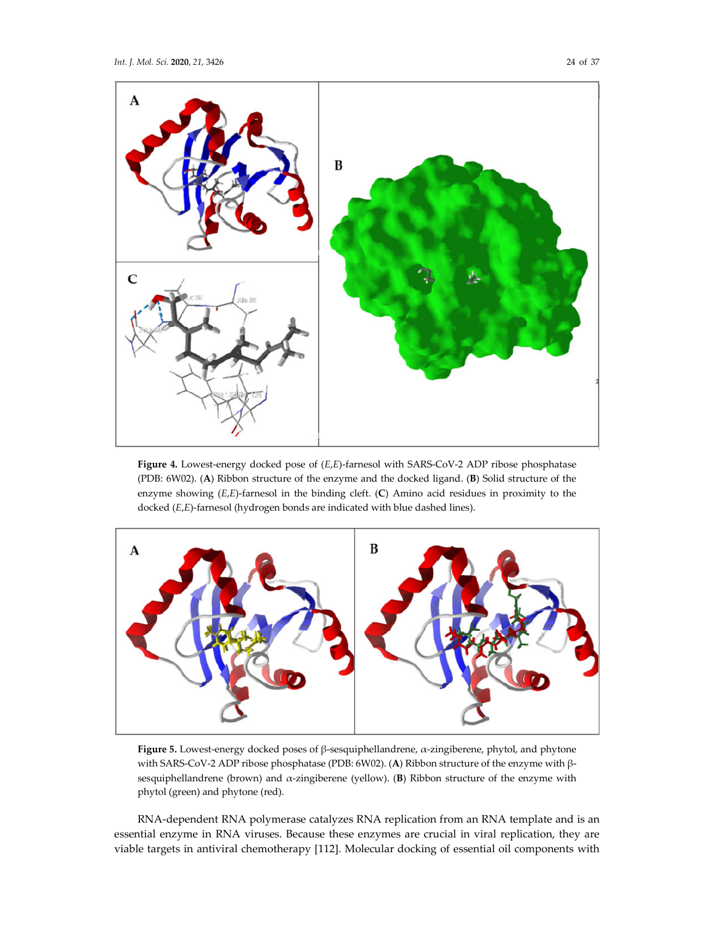

**Figure 4.** Lowest-energy docked pose of (*E*,*E*)-farnesol with SARS-CoV-2 ADP ribose phosphatase (PDB: 6W02). (**A**) Ribbon structure of the enzyme and the docked ligand. (**B**) Solid structure of the enzyme showing (*E*,*E*)-farnesol in the binding cleft. (**C**) Amino acid residues in proximity to the docked (*E*,*E*)-farnesol (hydrogen bonds are indicated with blue dashed lines).



**Figure 5.** Lowest-energy docked poses of β-sesquiphellandrene, α-zingiberene, phytol, and phytone with SARS-CoV-2 ADP ribose phosphatase (PDB: 6W02). (**A**) Ribbon structure of the enzyme with βsesquiphellandrene (brown) and α-zingiberene (yellow). (**B**) Ribbon structure of the enzyme with phytol (green) and phytone (red).

RNA-dependent RNA polymerase catalyzes RNA replication from an RNA template and is an essential enzyme in RNA viruses. Because these enzymes are crucial in viral replication, they are viable targets in antiviral chemotherapy [112]. Molecular docking of essential oil components with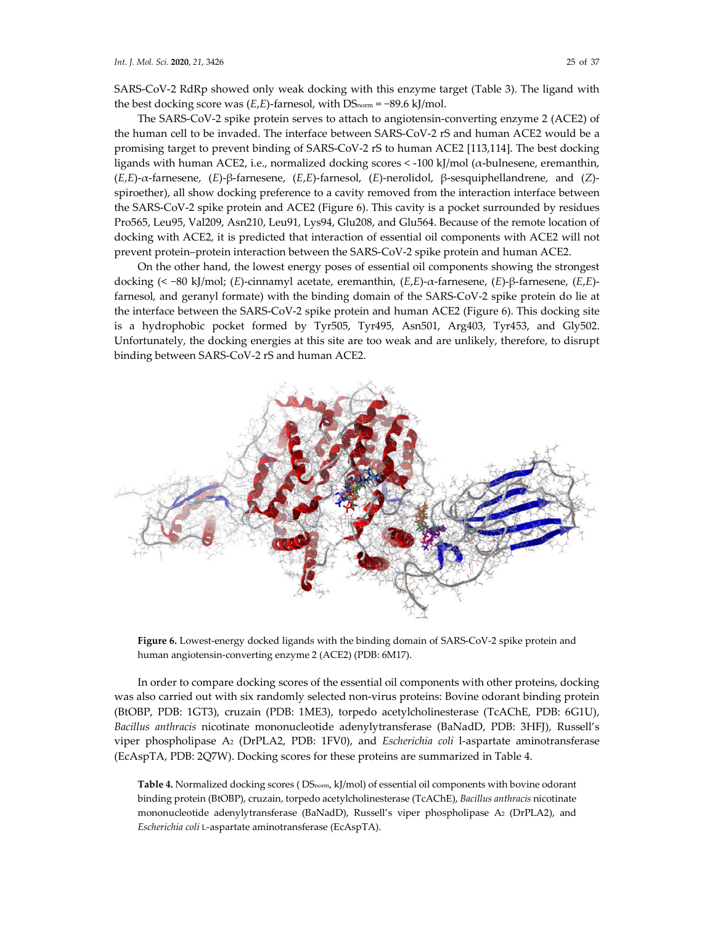SARS-CoV-2 RdRp showed only weak docking with this enzyme target (Table 3). The ligand with the best docking score was (*E*,*E*)-farnesol, with DSnorm = −89.6 kJ/mol.

The SARS-CoV-2 spike protein serves to attach to angiotensin-converting enzyme 2 (ACE2) of the human cell to be invaded. The interface between SARS-CoV-2 rS and human ACE2 would be a promising target to prevent binding of SARS-CoV-2 rS to human ACE2 [113,114]. The best docking ligands with human ACE2, i.e., normalized docking scores < -100 kJ/mol (α-bulnesene, eremanthin, (*E*,*E*)-α-farnesene, (*E*)-β-farnesene, (*E*,*E*)-farnesol, (*E*)-nerolidol, β-sesquiphellandrene, and (*Z*) spiroether), all show docking preference to a cavity removed from the interaction interface between the SARS-CoV-2 spike protein and ACE2 (Figure 6). This cavity is a pocket surrounded by residues Pro565, Leu95, Val209, Asn210, Leu91, Lys94, Glu208, and Glu564. Because of the remote location of docking with ACE2, it is predicted that interaction of essential oil components with ACE2 will not prevent protein–protein interaction between the SARS-CoV-2 spike protein and human ACE2.

On the other hand, the lowest energy poses of essential oil components showing the strongest docking (< −80 kJ/mol; (*E*)-cinnamyl acetate, eremanthin, (*E*,*E*)-α-farnesene, (*E*)-β-farnesene, (*E*,*E*) farnesol, and geranyl formate) with the binding domain of the SARS-CoV-2 spike protein do lie at the interface between the SARS-CoV-2 spike protein and human ACE2 (Figure 6). This docking site is a hydrophobic pocket formed by Tyr505, Tyr495, Asn501, Arg403, Tyr453, and Gly502. Unfortunately, the docking energies at this site are too weak and are unlikely, therefore, to disrupt binding between SARS-CoV-2 rS and human ACE2.



**Figure 6.** Lowest-energy docked ligands with the binding domain of SARS-CoV-2 spike protein and human angiotensin-converting enzyme 2 (ACE2) (PDB: 6M17).

In order to compare docking scores of the essential oil components with other proteins, docking was also carried out with six randomly selected non-virus proteins: Bovine odorant binding protein (BtOBP, PDB: 1GT3), cruzain (PDB: 1ME3), torpedo acetylcholinesterase (TcAChE, PDB: 6G1U), *Bacillus anthracis* nicotinate mononucleotide adenylytransferase (BaNadD, PDB: 3HFJ), Russell's viper phospholipase A2 (DrPLA2, PDB: 1FV0), and *Escherichia coli* l-aspartate aminotransferase (EcAspTA, PDB: 2Q7W). Docking scores for these proteins are summarized in Table 4.

**Table 4.** Normalized docking scores ( DSnorm, kJ/mol) of essential oil components with bovine odorant binding protein (BtOBP), cruzain, torpedo acetylcholinesterase (TcAChE), *Bacillus anthracis* nicotinate mononucleotide adenylytransferase (BaNadD), Russell's viper phospholipase A2 (DrPLA2), and *Escherichia coli* L-aspartate aminotransferase (EcAspTA).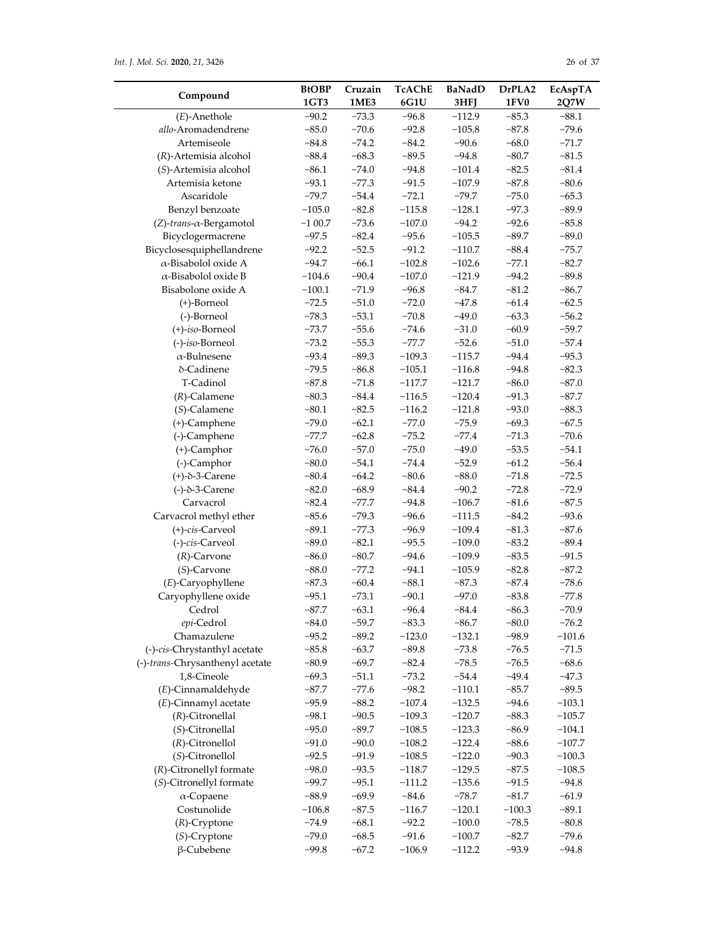|                                 | <b>BtOBP</b> | Cruzain     | <b>TcAChE</b> | <b>BaNadD</b> | DrPLA2      | EcAspTA  |
|---------------------------------|--------------|-------------|---------------|---------------|-------------|----------|
| Compound                        | 1GT3         | <b>1ME3</b> | 6G1U          | 3HFJ          | <b>1FV0</b> | 2Q7W     |
| $(E)$ -Anethole                 | $-90.2$      | $-73.3$     | $-96.8$       | $-112.9$      | $-85.3$     | $-88.1$  |
| allo-Aromadendrene              | $-85.0$      | $-70.6$     | $-92.8$       | $-105.8$      | $-87.8$     | $-79.6$  |
| Artemiseole                     | $-84.8$      | $-74.2$     | $-84.2$       | $-90.6$       | $-68.0$     | $-71.7$  |
| $(R)$ -Artemisia alcohol        | $-88.4$      | $-68.3$     | $-89.5$       | $-94.8$       | $-80.7$     | $-81.5$  |
| (S)-Artemisia alcohol           | $-86.1$      | $-74.0$     | $-94.8$       | $-101.4$      | $-82.5$     | $-81.4$  |
| Artemisia ketone                | $-93.1$      | $-77.3$     | $-91.5$       | $-107.9$      | $-87.8$     | $-80.6$  |
| Ascaridole                      | $-79.7$      | $-54.4$     | $-72.1$       | $-79.7$       | $-75.0$     | $-65.3$  |
| Benzyl benzoate                 | $-105.0$     | $-82.8$     | $-115.8$      | $-128.1$      | $-97.3$     | $-89.9$  |
| (Z)-trans-a-Bergamotol          | $-100.7$     | $-73.6$     | $-107.0$      | $-94.2$       | $-92.6$     | $-85.8$  |
| Bicyclogermacrene               | $-97.5$      | $-82.4$     | $-95.6$       | $-105.5$      | $-89.7$     | $-89.0$  |
| Bicyclosesquiphellandrene       | $-92.2$      | $-52.5$     | $-91.2$       | $-110.7$      | $-88.4$     | $-75.7$  |
| $\alpha$ -Bisabolol oxide A     | $-94.7$      | $-66.1$     | $-102.8$      | $-102.6$      | $-77.1$     | $-82.7$  |
| $\alpha$ -Bisabolol oxide B     | $-104.6$     | $-90.4$     | $-107.0$      | $-121.9$      | $-94.2$     | $-89.8$  |
| Bisabolone oxide A              | $-100.1$     | $-71.9$     | $-96.8$       | $-84.7$       | $-81.2$     | $-86.7$  |
| (+)-Borneol                     | $-72.5$      | $-51.0$     | $-72.0$       | $-47.8$       | $-61.4$     | $-62.5$  |
| (-)-Borneol                     | $-78.3$      | $-53.1$     | $-70.8$       | $-49.0$       | $-63.3$     | $-56.2$  |
| $(+)$ -iso-Borneol              | $-73.7$      | $-55.6$     | $-74.6$       | $-31.0$       | $-60.9$     | $-59.7$  |
| (-)-iso-Borneol                 | $-73.2$      | $-55.3$     | $-77.7$       | $-52.6$       | $-51.0$     | $-57.4$  |
| $\alpha$ -Bulnesene             | $-93.4$      | $-89.3$     | $-109.3$      | $-115.7$      | $-94.4$     | $-95.3$  |
| δ-Cadinene                      | $-79.5$      | $-86.8$     | $-105.1$      | $-116.8$      | $-94.8$     | $-82.3$  |
| T-Cadinol                       | $-87.8$      | $-71.8$     | $-117.7$      | $-121.7$      | $-86.0$     | $-87.0$  |
| $(R)$ -Calamene                 | $-80.3$      | $-84.4$     | $-116.5$      | $-120.4$      | $-91.3$     | $-87.7$  |
| $(S)$ -Calamene                 | $-80.1$      | $-82.5$     | $-116.2$      | $-121.8$      | $-93.0$     | $-88.3$  |
| (+)-Camphene                    | $-79.0$      | $-62.1$     | $-77.0$       | $-75.9$       | $-69.3$     | $-67.5$  |
| (-)-Camphene                    | $-77.7$      | $-62.8$     | $-75.2$       | $-77.4$       | $-71.3$     | $-70.6$  |
| (+)-Camphor                     | $-76.0$      | $-57.0$     | $-75.0$       | $-49.0$       | $-53.5$     | $-54.1$  |
| (-)-Camphor                     | $-80.0$      | $-54.1$     | $-74.4$       | $-52.9$       | $-61.2$     | $-56.4$  |
| $(+)$ - $\delta$ -3-Carene      | $-80.4$      | $-64.2$     | $-80.6$       | $-88.0$       | $-71.8$     | $-72.5$  |
| $(-)-\delta-3-C$ arene          | $-82.0$      | $-68.9$     | $-84.4$       | $-90.2$       | $-72.8$     | $-72.9$  |
| Carvacrol                       | $-82.4$      | $-77.7$     | $-94.8$       | $-106.7$      | $-81.6$     | $-87.5$  |
| Carvacrol methyl ether          | $-85.6$      | $-79.3$     | $-96.6$       | $-111.5$      | $-84.2$     | $-93.6$  |
| $(+)$ -cis-Carveol              | $-89.1$      | $-77.3$     | $-96.9$       | $-109.4$      | $-81.3$     | $-87.6$  |
| $(-)$ -cis-Carveol              | $-89.0$      | $-82.1$     | $-95.5$       | $-109.0$      | $-83.2$     | $-89.4$  |
| $(R)$ -Carvone                  | $-86.0$      | $-80.7$     | $-94.6$       | $-109.9$      | $-83.5$     | $-91.5$  |
| $(S)$ -Carvone                  | $-88.0$      | $-77.2$     | $-94.1$       | $-105.9$      | $-82.8$     | $-87.2$  |
| (E)-Caryophyllene               | $-87.3$      | $-60.4$     | $-88.1$       | $-87.3$       | $-87.4$     | $-78.6$  |
| Caryophyllene oxide             | $-95.1$      | $-73.1$     | $-90.1$       | $-97.0$       | $-83.8$     | $-77.8$  |
| Cedrol                          | $-87.7$      | $-63.1$     | $-96.4$       | $-84.4$       | $-86.3$     | $-70.9$  |
| epi-Cedrol                      | $-84.0$      | $-59.7$     | $-83.3$       | $-86.7$       | $-80.0$     | $-76.2$  |
| Chamazulene                     | $-95.2$      | $-89.2$     | $-123.0$      | $-132.1$      | $-98.9$     | $-101.6$ |
| (-)-cis-Chrystanthyl acetate    | $-85.8$      | $-63.7$     | $-89.8$       | $-73.8$       | $-76.5$     | $-71.5$  |
| (-)-trans-Chrysanthenyl acetate | $-80.9$      | $-69.7$     | $-82.4$       | $-78.5$       | $-76.5$     | $-68.6$  |
| 1,8-Cineole                     | $-69.3$      | $-51.1$     | $-73.2$       | $-54.4$       | $-49.4$     | $-47.3$  |
| (E)-Cinnamaldehyde              | $-87.7$      | $-77.6$     | $-98.2$       | $-110.1$      | $-85.7$     | $-89.5$  |
| $(E)$ -Cinnamyl acetate         | $-95.9$      | $-88.2$     | $-107.4$      | $-132.5$      | $-94.6$     | $-103.1$ |
| $(R)$ -Citronellal              | $-98.1$      | $-90.5$     | $-109.3$      | $-120.7$      | $-88.3$     | $-105.7$ |
| $(S)$ -Citronellal              | $-95.0$      | $-89.7$     | $-108.5$      | $-123.3$      | $-86.9$     | $-104.1$ |
| $(R)$ -Citronellol              | $-91.0$      | $-90.0$     | $-108.2$      | $-122.4$      | $-88.6$     | $-107.7$ |
| (S)-Citronellol                 | $-92.5$      | $-91.9$     | $-108.5$      | $-122.0$      | $-90.3$     | $-100.3$ |
| $(R)$ -Citronellyl formate      | $-98.0$      | $-93.5$     | $-118.7$      | $-129.5$      | $-87.5$     | $-108.5$ |
| (S)-Citronellyl formate         | $-99.7$      | $-95.1$     | $-111.2$      | $-135.6$      | $-91.5$     | $-94.8$  |
| $\alpha$ -Copaene               | $-88.9$      | $-69.9$     | $-84.6$       | $-78.7$       | $-81.7$     | $-61.9$  |
| Costunolide                     | $-106.8$     | $-87.5$     | $-116.7$      | $-120.1$      | $-100.3$    | $-89.1$  |
| $(R)$ -Cryptone                 | $-74.9$      | $-68.1$     | $-92.2$       | $-100.0$      | $-78.5$     | $-80.8$  |
| (S)-Cryptone                    | $-79.0$      | $-68.5$     | $-91.6$       | $-100.7$      | $-82.7$     | $-79.6$  |
| $\beta$ -Cubebene               | $-99.8$      | $-67.2$     | $-106.9$      | $-112.2$      | $-93.9$     | $-94.8$  |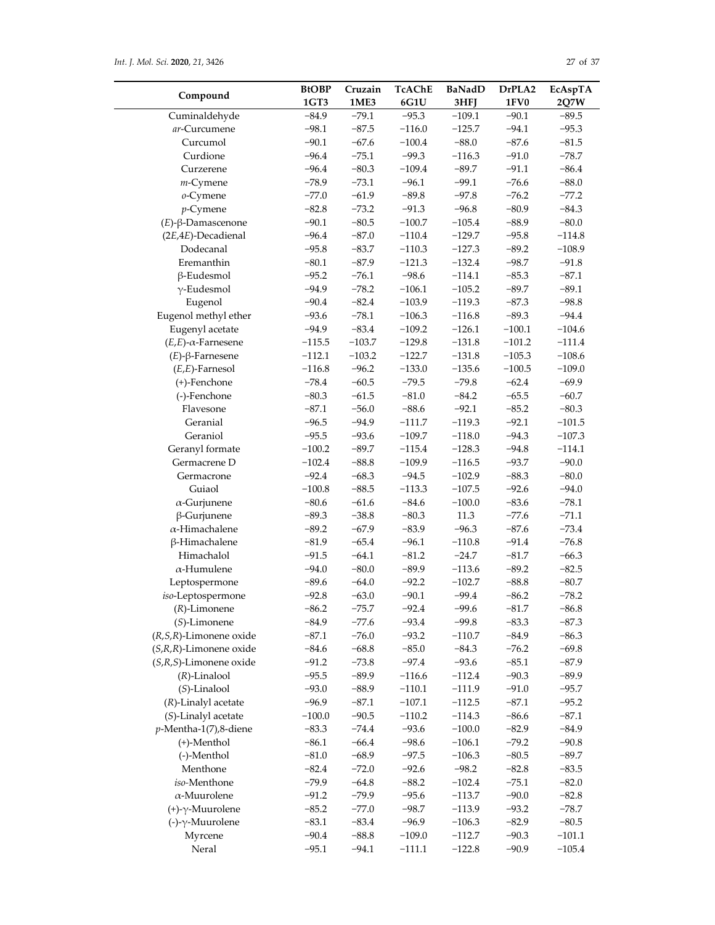$\overline{\phantom{0}}$ 

|                               | <b>BtOBP</b> | Cruzain     | TcAChE   | BaNadD   | DrPLA2      | EcAspTA  |
|-------------------------------|--------------|-------------|----------|----------|-------------|----------|
| Compound                      | 1GT3         | <b>1ME3</b> | 6G1U     | 3HFJ     | <b>1FV0</b> | 2Q7W     |
| Cuminaldehyde                 | $-84.9$      | $-79.1$     | $-95.3$  | $-109.1$ | $-90.1$     | $-89.5$  |
| ar-Curcumene                  | $-98.1$      | $-87.5$     | $-116.0$ | $-125.7$ | $-94.1$     | $-95.3$  |
| Curcumol                      | $-90.1$      | $-67.6$     | $-100.4$ | $-88.0$  | $-87.6$     | $-81.5$  |
| Curdione                      | $-96.4$      | $-75.1$     | $-99.3$  | $-116.3$ | $-91.0$     | $-78.7$  |
| Curzerene                     | $-96.4$      | $-80.3$     | $-109.4$ | $-89.7$  | $-91.1$     | $-86.4$  |
| $m$ -Cymene                   | $-78.9$      | $-73.1$     | $-96.1$  | $-99.1$  | $-76.6$     | $-88.0$  |
| $o$ -Cymene                   | $-77.0$      | $-61.9$     | $-89.8$  | $-97.8$  | $-76.2$     | $-77.2$  |
| $p$ -Cymene                   | $-82.8$      | $-73.2$     | $-91.3$  | $-96.8$  | $-80.9$     | $-84.3$  |
| $(E)$ -β-Damascenone          | $-90.1$      | $-80.5$     | $-100.7$ | $-105.4$ | $-88.9$     | $-80.0$  |
| (2E,4E)-Decadienal            | $-96.4$      | $-87.0$     | $-110.4$ | $-129.7$ | $-95.8$     | $-114.8$ |
| Dodecanal                     | $-95.8$      | $-83.7$     | $-110.3$ | $-127.3$ | $-89.2$     | $-108.9$ |
| Eremanthin                    | $-80.1$      | $-87.9$     | $-121.3$ | $-132.4$ | $-98.7$     | $-91.8$  |
| $\beta$ -Eudesmol             | $-95.2$      | $-76.1$     | $-98.6$  | $-114.1$ | $-85.3$     | $-87.1$  |
| $\gamma$ -Eudesmol            | $-94.9$      | $-78.2$     | $-106.1$ | $-105.2$ | $-89.7$     | $-89.1$  |
| Eugenol                       | $-90.4$      | $-82.4$     | $-103.9$ | $-119.3$ | $-87.3$     | $-98.8$  |
| Eugenol methyl ether          | $-93.6$      | $-78.1$     | $-106.3$ | $-116.8$ | $-89.3$     | $-94.4$  |
| Eugenyl acetate               | $-94.9$      | $-83.4$     | $-109.2$ | $-126.1$ | $-100.1$    | $-104.6$ |
| $(E,E)$ - $\alpha$ -Farnesene | $-115.5$     | $-103.7$    | $-129.8$ | $-131.8$ | $-101.2$    | $-111.4$ |
| $(E)$ -β-Farnesene            | $-112.1$     | $-103.2$    | $-122.7$ | $-131.8$ | $-105.3$    | $-108.6$ |
| $(E,E)$ -Farnesol             | $-116.8$     | $-96.2$     | $-133.0$ | $-135.6$ | $-100.5$    | $-109.0$ |
| (+)-Fenchone                  | $-78.4$      | $-60.5$     | $-79.5$  | $-79.8$  | $-62.4$     | $-69.9$  |
| (-)-Fenchone                  | $-80.3$      | $-61.5$     | $-81.0$  | $-84.2$  | $-65.5$     | $-60.7$  |
| Flavesone                     | $-87.1$      | $-56.0$     | $-88.6$  | $-92.1$  | $-85.2$     | $-80.3$  |
| Geranial                      | $-96.5$      | $-94.9$     | $-111.7$ | $-119.3$ | $-92.1$     | $-101.5$ |
| Geraniol                      | $-95.5$      | $-93.6$     | $-109.7$ | $-118.0$ | $-94.3$     | $-107.3$ |
| Geranyl formate               | $-100.2$     | $-89.7$     | $-115.4$ | $-128.3$ | $-94.8$     | $-114.1$ |
| Germacrene D                  | $-102.4$     | $-88.8$     | $-109.9$ | $-116.5$ | $-93.7$     | $-90.0$  |
| Germacrone                    | $-92.4$      | $-68.3$     | $-94.5$  | $-102.9$ | $-88.3$     | $-80.0$  |
| Guiaol                        | $-100.8$     | $-88.5$     | $-113.3$ | $-107.5$ | $-92.6$     | $-94.0$  |
| $\alpha$ -Gurjunene           | $-80.6$      | $-61.6$     | $-84.6$  | $-100.0$ | $-83.6$     | $-78.1$  |
| β-Gurjunene                   | $-89.3$      | $-38.8$     | $-80.3$  | 11.3     | $-77.6$     | $-71.1$  |
| $\alpha$ -Himachalene         | $-89.2$      | $-67.9$     | $-83.9$  | $-96.3$  | $-87.6$     | $-73.4$  |
| β-Himachalene                 | $-81.9$      | $-65.4$     | $-96.1$  | $-110.8$ | $-91.4$     | $-76.8$  |
| Himachalol                    | $-91.5$      | $-64.1$     | $-81.2$  | $-24.7$  | $-81.7$     | $-66.3$  |
| $\alpha$ -Humulene            | $-94.0$      | $-80.0$     | $-89.9$  | $-113.6$ | $-89.2$     | $-82.5$  |
| Leptospermone                 | $-89.6$      | $-64.0$     | $-92.2$  | $-102.7$ | $-88.8$     | $-80.7$  |
| iso-Leptospermone             | $-92.8$      | $-63.0$     | $-90.1$  | $-99.4$  | $-86.2$     | $-78.2$  |
| (R)-Limonene                  | -86.2        | -75.7       | -92.4    | -99.6    | -81.7       | -86.8    |
| $(S)$ -Limonene               | $-84.9$      | $-77.6$     | $-93.4$  | $-99.8$  | $-83.3$     | $-87.3$  |
| $(R, S, R)$ -Limonene oxide   | $-87.1$      | $-76.0$     | $-93.2$  | $-110.7$ | $-84.9$     | $-86.3$  |
| $(S, R, R)$ -Limonene oxide   | $-84.6$      | $-68.8$     | $-85.0$  | $-84.3$  | $-76.2$     | $-69.8$  |
| $(S,R,S)$ -Limonene oxide     | $-91.2$      | $-73.8$     | $-97.4$  | $-93.6$  | $-85.1$     | $-87.9$  |
| $(R)$ -Linalool               | $-95.5$      | $-89.9$     | $-116.6$ | $-112.4$ | $-90.3$     | $-89.9$  |
| $(S)$ -Linalool               | $-93.0$      | $-88.9$     | $-110.1$ | $-111.9$ | $-91.0$     | $-95.7$  |
| $(R)$ -Linalyl acetate        | $-96.9$      | $-87.1$     | $-107.1$ | $-112.5$ | $-87.1$     | $-95.2$  |
| $(S)$ -Linalyl acetate        | $-100.0$     | $-90.5$     | $-110.2$ | $-114.3$ | $-86.6$     | $-87.1$  |
| $p$ -Mentha-1(7),8-diene      | $-83.3$      | $-74.4$     | $-93.6$  | $-100.0$ | $-82.9$     | $-84.9$  |
| (+)-Menthol                   | $-86.1$      | $-66.4$     | $-98.6$  | $-106.1$ | $-79.2$     | $-90.8$  |
| (-)-Menthol                   | $-81.0$      | $-68.9$     | $-97.5$  | $-106.3$ | $-80.5$     | $-89.7$  |
| Menthone                      | $-82.4$      | $-72.0$     | $-92.6$  | $-98.2$  | $-82.8$     | $-83.5$  |
| iso-Menthone                  | $-79.9$      | $-64.8$     | $-88.2$  | $-102.4$ | $-75.1$     | $-82.0$  |
| $\alpha$ -Muurolene           | $-91.2$      | $-79.9$     | $-95.6$  | $-113.7$ | $-90.0$     | $-82.8$  |
| $(+)$ - $\gamma$ -Muurolene   | $-85.2$      | $-77.0$     | $-98.7$  | $-113.9$ | $-93.2$     | $-78.7$  |
| $(-)$ - $\gamma$ -Muurolene   | $-83.1$      | $-83.4$     | $-96.9$  | $-106.3$ | $-82.9$     | $-80.5$  |
| Myrcene                       | $-90.4$      | $-88.8$     | $-109.0$ | $-112.7$ | $-90.3$     | $-101.1$ |
| Neral                         | $-95.1$      | $-94.1$     | $-111.1$ | $-122.8$ | $-90.9$     | $-105.4$ |
|                               |              |             |          |          |             |          |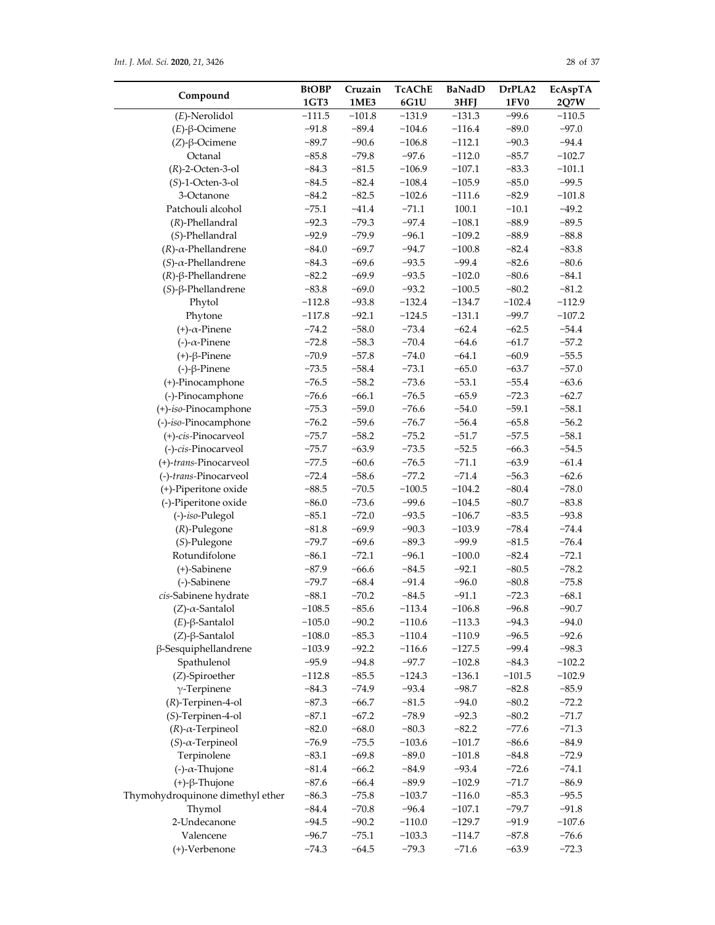| Compound                         | <b>BtOBP</b> | Cruzain     | <b>TcAChE</b> | BaNadD   | DrPLA2      | EcAspTA  |
|----------------------------------|--------------|-------------|---------------|----------|-------------|----------|
|                                  | 1GT3         | <b>1ME3</b> | 6G1U          | 3HFJ     | <b>1FV0</b> | 2Q7W     |
| $(E)$ -Nerolidol                 | $-111.5$     | $-101.8$    | $-131.9$      | $-131.3$ | $-99.6$     | $-110.5$ |
| $(E)$ - $\beta$ -Ocimene         | $-91.8$      | $-89.4$     | $-104.6$      | $-116.4$ | $-89.0$     | $-97.0$  |
| $(Z)$ -β-Ocimene                 | $-89.7$      | $-90.6$     | $-106.8$      | $-112.1$ | $-90.3$     | $-94.4$  |
| Octanal                          | $-85.8$      | $-79.8$     | $-97.6$       | $-112.0$ | $-85.7$     | $-102.7$ |
| $(R)$ -2-Octen-3-ol              | $-84.3$      | $-81.5$     | $-106.9$      | $-107.1$ | $-83.3$     | $-101.1$ |
| $(S)-1$ -Octen-3-ol              | $-84.5$      | $-82.4$     | $-108.4$      | $-105.9$ | $-85.0$     | $-99.5$  |
| 3-Octanone                       | $-84.2$      | $-82.5$     | $-102.6$      | $-111.6$ | $-82.9$     | $-101.8$ |
| Patchouli alcohol                | $-75.1$      | $-41.4$     | $-71.1$       | 100.1    | $-10.1$     | $-49.2$  |
| $(R)$ -Phellandral               | $-92.3$      | $-79.3$     | $-97.4$       | $-108.1$ | $-88.9$     | $-89.5$  |
| $(S)$ -Phellandral               | $-92.9$      | $-79.9$     | $-96.1$       | $-109.2$ | $-88.9$     | $-88.8$  |
| $(R)$ - $\alpha$ -Phellandrene   | $-84.0$      | $-69.7$     | $-94.7$       | $-100.8$ | $-82.4$     | $-83.8$  |
| $(S)$ - $\alpha$ -Phellandrene   | $-84.3$      | $-69.6$     | $-93.5$       | $-99.4$  | $-82.6$     | $-80.6$  |
| $(R)$ - $\beta$ -Phellandrene    | $-82.2$      | $-69.9$     | $-93.5$       | $-102.0$ | $-80.6$     | $-84.1$  |
| $(S)$ - $\beta$ -Phellandrene    | $-83.8$      | $-69.0$     | $-93.2$       | $-100.5$ | $-80.2$     | $-81.2$  |
| Phytol                           | $-112.8$     | $-93.8$     | $-132.4$      | $-134.7$ | $-102.4$    | $-112.9$ |
| Phytone                          | $-117.8$     | $-92.1$     | $-124.5$      | $-131.1$ | $-99.7$     | $-107.2$ |
| $(+)$ - $\alpha$ -Pinene         | $-74.2$      | $-58.0$     | $-73.4$       | $-62.4$  | $-62.5$     | $-54.4$  |
| $(-)$ - $\alpha$ -Pinene         | $-72.8$      | $-58.3$     | $-70.4$       | $-64.6$  | $-61.7$     | $-57.2$  |
| $(+)$ - $\beta$ -Pinene          | $-70.9$      | $-57.8$     | $-74.0$       | $-64.1$  | $-60.9$     | $-55.5$  |
| $(-)$ - $\beta$ -Pinene          | $-73.5$      | $-58.4$     | $-73.1$       | $-65.0$  | $-63.7$     | $-57.0$  |
| (+)-Pinocamphone                 | $-76.5$      | $-58.2$     | $-73.6$       | $-53.1$  | $-55.4$     | $-63.6$  |
| (-)-Pinocamphone                 | $-76.6$      | $-66.1$     | $-76.5$       | $-65.9$  | $-72.3$     | $-62.7$  |
| (+)-iso-Pinocamphone             | $-75.3$      | $-59.0$     | $-76.6$       | $-54.0$  | $-59.1$     | $-58.1$  |
| (-)-iso-Pinocamphone             | $-76.2$      | $-59.6$     | $-76.7$       | $-56.4$  | $-65.8$     | $-56.2$  |
| (+)-cis-Pinocarveol              | $-75.7$      | $-58.2$     | $-75.2$       | $-51.7$  | $-57.5$     | $-58.1$  |
| (-)-cis-Pinocarveol              | $-75.7$      | $-63.9$     | $-73.5$       | $-52.5$  | $-66.3$     | $-54.5$  |
| (+)-trans-Pinocarveol            | $-77.5$      | $-60.6$     | $-76.5$       | $-71.1$  | $-63.9$     | $-61.4$  |
| (-)-trans-Pinocarveol            | $-72.4$      | $-58.6$     | $-77.2$       | $-71.4$  | $-56.3$     | $-62.6$  |
| (+)-Piperitone oxide             | $-88.5$      | $-70.5$     | $-100.5$      | $-104.2$ | $-80.4$     | $-78.0$  |
| (-)-Piperitone oxide             | $-86.0$      | $-73.6$     | $-99.6$       | $-104.5$ | $-80.7$     | $-83.8$  |
| (-)-iso-Pulegol                  | $-85.1$      | $-72.0$     | $-93.5$       | $-106.7$ | $-83.5$     | $-93.8$  |
| $(R)$ -Pulegone                  | $-81.8$      | $-69.9$     | $-90.3$       | $-103.9$ | $-78.4$     | $-74.4$  |
|                                  |              | $-69.6$     |               |          |             |          |
| $(S)$ -Pulegone                  | $-79.7$      |             | $-89.3$       | $-99.9$  | $-81.5$     | $-76.4$  |
| Rotundifolone                    | $-86.1$      | $-72.1$     | $-96.1$       | $-100.0$ | $-82.4$     | $-72.1$  |
| (+)-Sabinene                     | $-87.9$      | $-66.6$     | $-84.5$       | $-92.1$  | $-80.5$     | $-78.2$  |
| (-)-Sabinene                     | $-79.7$      | $-68.4$     | $-91.4$       | $-96.0$  | $-80.8$     | $-75.8$  |
| cis-Sabinene hydrate             | $-88.1$      | $-70.2$     | $-84.5$       | $-91.1$  | $-72.3$     | $-68.1$  |
| $(Z)$ - $\alpha$ -Santalol       | $-108.5$     | $-85.6$     | $-113.4$      | $-106.8$ | $-96.8$     | $-90.7$  |
| $(E)$ - $\beta$ -Santalol        | $-105.0$     | $-90.2$     | $-110.6$      | $-113.3$ | $-94.3$     | $-94.0$  |
| $(Z)$ - $\beta$ -Santalol        | $-108.0$     | $-85.3$     | $-110.4$      | $-110.9$ | $-96.5$     | $-92.6$  |
| $\beta$ -Sesquiphellandrene      | $-103.9$     | $-92.2$     | $-116.6$      | $-127.5$ | $-99.4$     | $-98.3$  |
| Spathulenol                      | $-95.9$      | $-94.8$     | $-97.7$       | $-102.8$ | $-84.3$     | $-102.2$ |
| (Z)-Spiroether                   | $-112.8$     | $-85.5$     | $-124.3$      | $-136.1$ | $-101.5$    | $-102.9$ |
| $\gamma$ -Terpinene              | $-84.3$      | $-74.9$     | $-93.4$       | $-98.7$  | $-82.8$     | $-85.9$  |
| $(R)$ -Terpinen-4-ol             | $-87.3$      | $-66.7$     | $-81.5$       | $-94.0$  | $-80.2$     | $-72.2$  |
| (S)-Terpinen-4-ol                | $-87.1$      | $-67.2$     | $-78.9$       | $-92.3$  | $-80.2$     | $-71.7$  |
| $(R)$ - $\alpha$ -Terpineol      | $-82.0$      | $-68.0$     | $-80.3$       | $-82.2$  | $-77.6$     | $-71.3$  |
| $(S)$ - $\alpha$ -Terpineol      | $-76.9$      | $-75.5$     | $-103.6$      | $-101.7$ | $-86.6$     | $-84.9$  |
| Terpinolene                      | $-83.1$      | $-69.8$     | $-89.0$       | $-101.8$ | $-84.8$     | $-72.9$  |
| $(-)$ - $\alpha$ -Thujone        | $-81.4$      | $-66.2$     | $-84.9$       | $-93.4$  | $-72.6$     | $-74.1$  |
| $(+)$ - $\beta$ -Thujone         | $-87.6$      | $-66.4$     | $-89.9$       | $-102.9$ | $-71.7$     | $-86.9$  |
| Thymohydroquinone dimethyl ether | $-86.3$      | $-75.8$     | $-103.7$      | $-116.0$ | $-85.3$     | $-95.5$  |
| Thymol                           | $-84.4$      | $-70.8$     | $-96.4$       | $-107.1$ | $-79.7$     | $-91.8$  |
| 2-Undecanone                     | $-94.5$      | $-90.2$     | $-110.0$      | $-129.7$ | $-91.9$     | $-107.6$ |
| Valencene                        | $-96.7$      | $-75.1$     | $-103.3$      | $-114.7$ | $-87.8$     | $-76.6$  |
| (+)-Verbenone                    | $-74.3$      | $-64.5$     | $-79.3$       | $-71.6$  | $-63.9$     | $-72.3$  |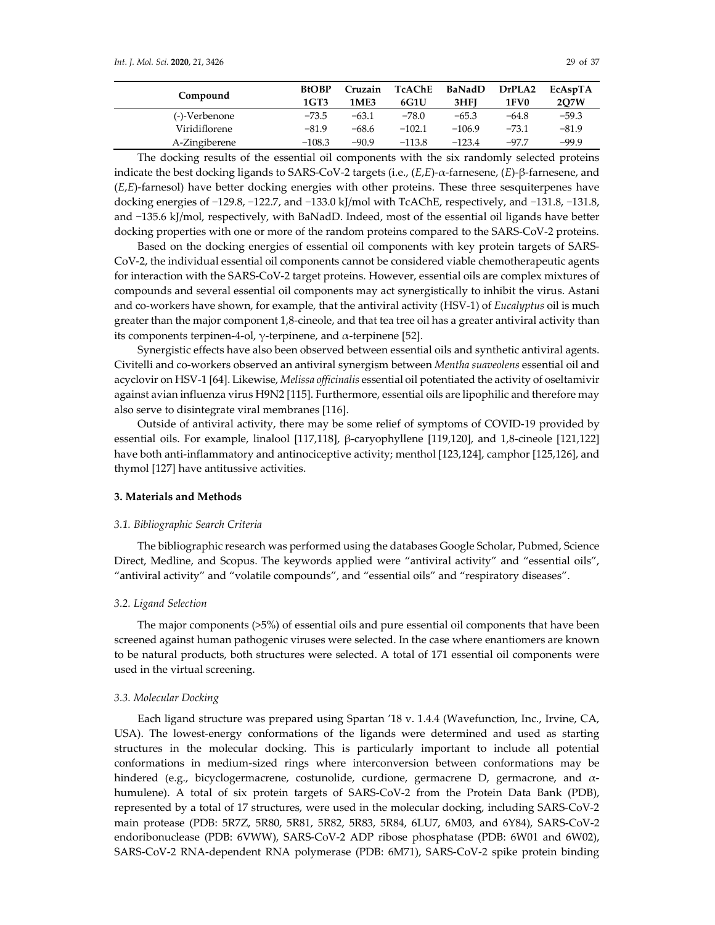|               | <b>BtOBP</b> | Cruzain     | TcAChE      | BaNadD   | DrPLA2  | EcAspTA |
|---------------|--------------|-------------|-------------|----------|---------|---------|
| Compound      | 1GT3         | <b>1ME3</b> | <b>6G1U</b> | 3HFJ     | 1FV0    | 207W    |
| (-)-Verbenone | $-73.5$      | $-63.1$     | $-78.0$     | $-65.3$  | $-64.8$ | $-59.3$ |
| Viridiflorene | $-81.9$      | $-68.6$     | $-102.1$    | $-106.9$ | $-73.1$ | $-81.9$ |
| A-Zingiberene | $-108.3$     | $-90.9$     | $-113.8$    | $-123.4$ | $-97.7$ | $-99.9$ |

The docking results of the essential oil components with the six randomly selected proteins indicate the best docking ligands to SARS-CoV-2 targets (i.e., (*E*,*E*)-α-farnesene, (*E*)-β-farnesene, and (*E*,*E*)-farnesol) have better docking energies with other proteins. These three sesquiterpenes have docking energies of −129.8, −122.7, and −133.0 kJ/mol with TcAChE, respectively, and −131.8, −131.8, and −135.6 kJ/mol, respectively, with BaNadD. Indeed, most of the essential oil ligands have better docking properties with one or more of the random proteins compared to the SARS-CoV-2 proteins.

Based on the docking energies of essential oil components with key protein targets of SARS-CoV-2, the individual essential oil components cannot be considered viable chemotherapeutic agents for interaction with the SARS-CoV-2 target proteins. However, essential oils are complex mixtures of compounds and several essential oil components may act synergistically to inhibit the virus. Astani and co-workers have shown, for example, that the antiviral activity (HSV-1) of *Eucalyptus* oil is much greater than the major component 1,8-cineole, and that tea tree oil has a greater antiviral activity than its components terpinen-4-ol, γ-terpinene, and  $α$ -terpinene [52].

Synergistic effects have also been observed between essential oils and synthetic antiviral agents. Civitelli and co-workers observed an antiviral synergism between *Mentha suaveolens* essential oil and acyclovir on HSV-1 [64]. Likewise, *Melissa officinalis* essential oil potentiated the activity of oseltamivir against avian influenza virus H9N2 [115]. Furthermore, essential oils are lipophilic and therefore may also serve to disintegrate viral membranes [116].

Outside of antiviral activity, there may be some relief of symptoms of COVID-19 provided by essential oils. For example, linalool [117,118], β-caryophyllene [119,120], and 1,8-cineole [121,122] have both anti-inflammatory and antinociceptive activity; menthol [123,124], camphor [125,126], and thymol [127] have antitussive activities.

#### **3. Materials and Methods**

#### *3.1. Bibliographic Search Criteria*

The bibliographic research was performed using the databases Google Scholar, Pubmed, Science Direct, Medline, and Scopus. The keywords applied were "antiviral activity" and "essential oils", "antiviral activity" and "volatile compounds", and "essential oils" and "respiratory diseases".

#### *3.2. Ligand Selection*

The major components (>5%) of essential oils and pure essential oil components that have been screened against human pathogenic viruses were selected. In the case where enantiomers are known to be natural products, both structures were selected. A total of 171 essential oil components were used in the virtual screening.

#### *3.3. Molecular Docking*

Each ligand structure was prepared using Spartan '18 v. 1.4.4 (Wavefunction, Inc., Irvine, CA, USA). The lowest-energy conformations of the ligands were determined and used as starting structures in the molecular docking. This is particularly important to include all potential conformations in medium-sized rings where interconversion between conformations may be hindered (e.g., bicyclogermacrene, costunolide, curdione, germacrene D, germacrone, and  $\alpha$ humulene). A total of six protein targets of SARS-CoV-2 from the Protein Data Bank (PDB), represented by a total of 17 structures, were used in the molecular docking, including SARS-CoV-2 main protease (PDB: 5R7Z, 5R80, 5R81, 5R82, 5R83, 5R84, 6LU7, 6M03, and 6Y84), SARS-CoV-2 endoribonuclease (PDB: 6VWW), SARS-CoV-2 ADP ribose phosphatase (PDB: 6W01 and 6W02), SARS-CoV-2 RNA-dependent RNA polymerase (PDB: 6M71), SARS-CoV-2 spike protein binding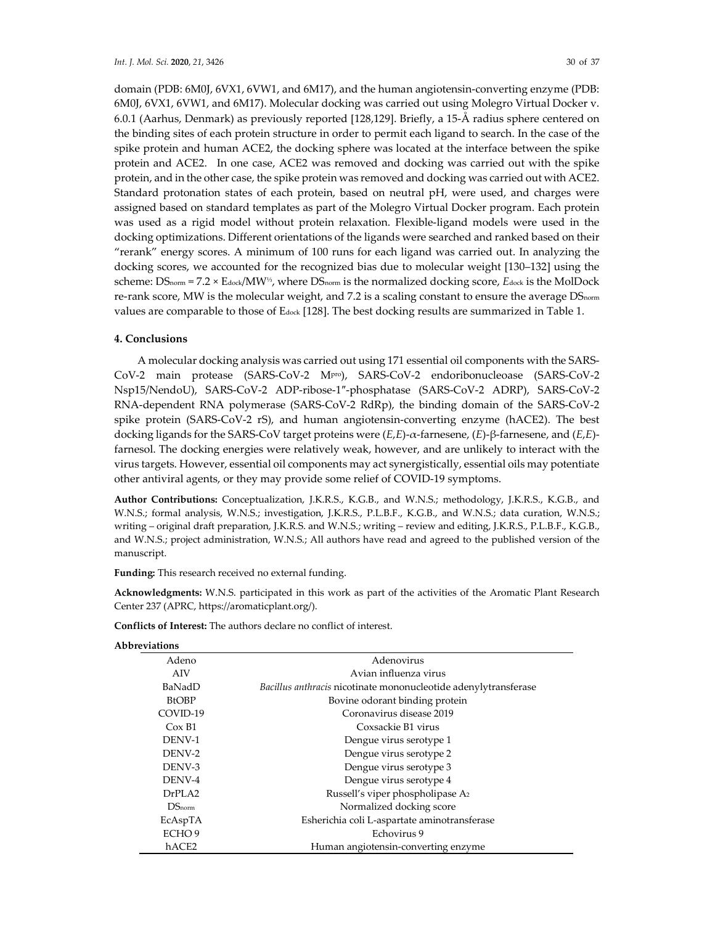domain (PDB: 6M0J, 6VX1, 6VW1, and 6M17), and the human angiotensin-converting enzyme (PDB: 6M0J, 6VX1, 6VW1, and 6M17). Molecular docking was carried out using Molegro Virtual Docker v. 6.0.1 (Aarhus, Denmark) as previously reported [128,129]. Briefly, a 15-Å radius sphere centered on the binding sites of each protein structure in order to permit each ligand to search. In the case of the spike protein and human ACE2, the docking sphere was located at the interface between the spike protein and ACE2. In one case, ACE2 was removed and docking was carried out with the spike protein, and in the other case, the spike protein was removed and docking was carried out with ACE2. Standard protonation states of each protein, based on neutral pH, were used, and charges were assigned based on standard templates as part of the Molegro Virtual Docker program. Each protein was used as a rigid model without protein relaxation. Flexible-ligand models were used in the docking optimizations. Different orientations of the ligands were searched and ranked based on their "rerank" energy scores. A minimum of 100 runs for each ligand was carried out. In analyzing the docking scores, we accounted for the recognized bias due to molecular weight [130–132] using the scheme: DS<sub>norm</sub> = 7.2 × E<sub>dock</sub>/MW<sup>1</sup><sup>5</sup>, where DS<sub>norm</sub> is the normalized docking score, *Edock* is the MolDock re-rank score, MW is the molecular weight, and 7.2 is a scaling constant to ensure the average DS<sub>norm</sub> values are comparable to those of Edock [128]. The best docking results are summarized in Table 1.

#### **4. Conclusions**

A molecular docking analysis was carried out using 171 essential oil components with the SARS-CoV-2 main protease (SARS-CoV-2 Mpro), SARS-CoV-2 endoribonucleoase (SARS-CoV-2 Nsp15/NendoU), SARS-CoV-2 ADP-ribose-1″-phosphatase (SARS-CoV-2 ADRP), SARS-CoV-2 RNA-dependent RNA polymerase (SARS-CoV-2 RdRp), the binding domain of the SARS-CoV-2 spike protein (SARS-CoV-2 rS), and human angiotensin-converting enzyme (hACE2). The best docking ligands for the SARS-CoV target proteins were (*E*,*E*)-α-farnesene, (*E*)-β-farnesene, and (*E*,*E*) farnesol. The docking energies were relatively weak, however, and are unlikely to interact with the virus targets. However, essential oil components may act synergistically, essential oils may potentiate other antiviral agents, or they may provide some relief of COVID-19 symptoms.

**Author Contributions:** Conceptualization, J.K.R.S., K.G.B., and W.N.S.; methodology, J.K.R.S., K.G.B., and W.N.S.; formal analysis, W.N.S.; investigation, J.K.R.S., P.L.B.F., K.G.B., and W.N.S.; data curation, W.N.S.; writing – original draft preparation, J.K.R.S. and W.N.S.; writing – review and editing, J.K.R.S., P.L.B.F., K.G.B., and W.N.S.; project administration, W.N.S.; All authors have read and agreed to the published version of the manuscript.

**Funding:** This research received no external funding.

**Acknowledgments:** W.N.S. participated in this work as part of the activities of the Aromatic Plant Research Center 237 (APRC, https://aromaticplant.org/).

# **Abbreviations** Adeno Adenovirus AIV Avian influenza virus BaNadD *Bacillus anthracis* nicotinate mononucleotide adenylytransferase BtOBP Bovine odorant binding protein COVID-19 Coronavirus disease 2019 Cox B1 Coxsackie B1 virus DENV-1 Dengue virus serotype 1 DENV-2 Dengue virus serotype 2 DENV-3 Dengue virus serotype 3 DENV-4 Dengue virus serotype 4 DrPLA2 Russell's viper phospholipase A2 DSnorm Normalized docking score EcAspTA Esherichia coli L-aspartate aminotransferase ECHO 9 Echovirus 9 hACE2 Human angiotensin-converting enzyme

**Conflicts of Interest:** The authors declare no conflict of interest.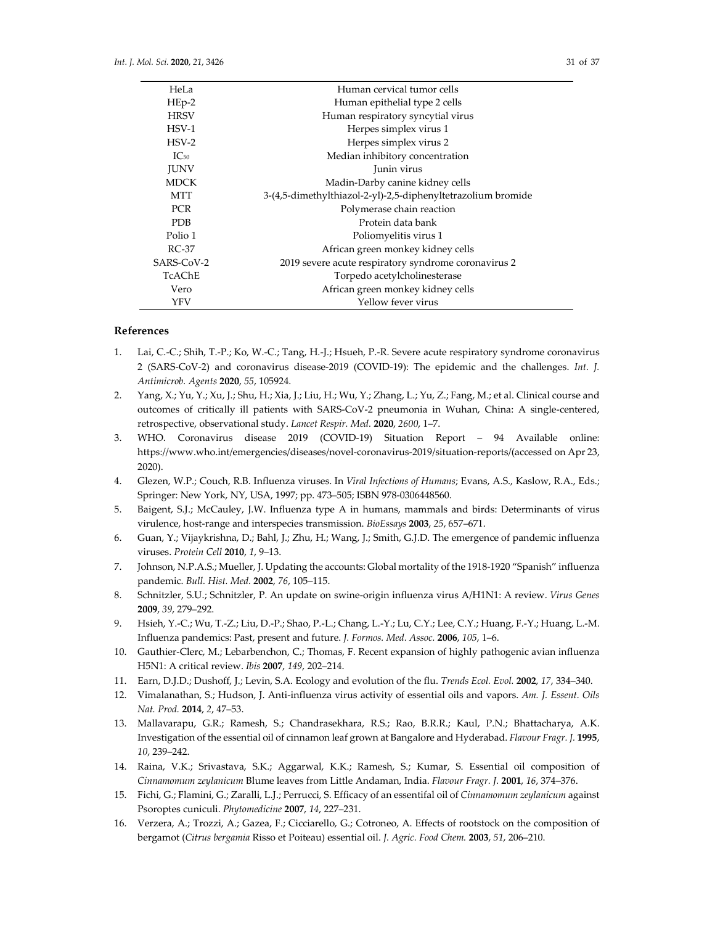| HeLa        | Human cervical tumor cells                                   |
|-------------|--------------------------------------------------------------|
| $HEp-2$     | Human epithelial type 2 cells                                |
| <b>HRSV</b> | Human respiratory syncytial virus                            |
| HSV-1       | Herpes simplex virus 1                                       |
| $HSV-2$     | Herpes simplex virus 2                                       |
| $IC_{50}$   | Median inhibitory concentration                              |
| <b>IUNV</b> | Junin virus                                                  |
| <b>MDCK</b> | Madin-Darby canine kidney cells                              |
| MTT         | 3-(4,5-dimethylthiazol-2-yl)-2,5-diphenyltetrazolium bromide |
| <b>PCR</b>  | Polymerase chain reaction                                    |
| <b>PDB</b>  | Protein data bank                                            |
| Polio 1     | Poliomyelitis virus 1                                        |
| RC-37       | African green monkey kidney cells                            |
| SARS-CoV-2  | 2019 severe acute respiratory syndrome coronavirus 2         |
| TcAChE      | Torpedo acetylcholinesterase                                 |
| Vero        | African green monkey kidney cells                            |
| YFV         | Yellow fever virus                                           |

## **References**

- 1. Lai, C.-C.; Shih, T.-P.; Ko, W.-C.; Tang, H.-J.; Hsueh, P.-R. Severe acute respiratory syndrome coronavirus 2 (SARS-CoV-2) and coronavirus disease-2019 (COVID-19): The epidemic and the challenges. *Int. J. Antimicrob. Agents* **2020**, *55*, 105924.
- 2. Yang, X.; Yu, Y.; Xu, J.; Shu, H.; Xia, J.; Liu, H.; Wu, Y.; Zhang, L.; Yu, Z.; Fang, M.; et al. Clinical course and outcomes of critically ill patients with SARS-CoV-2 pneumonia in Wuhan, China: A single-centered, retrospective, observational study. *Lancet Respir. Med.* **2020**, *2600*, 1–7.
- 3. WHO. Coronavirus disease 2019 (COVID-19) Situation Report 94 Available online: https://www.who.int/emergencies/diseases/novel-coronavirus-2019/situation-reports/(accessed on Apr 23, 2020).
- 4. Glezen, W.P.; Couch, R.B. Influenza viruses. In *Viral Infections of Humans*; Evans, A.S., Kaslow, R.A., Eds.; Springer: New York, NY, USA, 1997; pp. 473–505; ISBN 978-0306448560.
- 5. Baigent, S.J.; McCauley, J.W. Influenza type A in humans, mammals and birds: Determinants of virus virulence, host-range and interspecies transmission. *BioEssays* **2003**, *25*, 657–671.
- 6. Guan, Y.; Vijaykrishna, D.; Bahl, J.; Zhu, H.; Wang, J.; Smith, G.J.D. The emergence of pandemic influenza viruses. *Protein Cell* **2010**, *1*, 9–13.
- 7. Johnson, N.P.A.S.; Mueller, J. Updating the accounts: Global mortality of the 1918-1920 "Spanish" influenza pandemic. *Bull. Hist. Med.* **2002**, *76*, 105–115.
- 8. Schnitzler, S.U.; Schnitzler, P. An update on swine-origin influenza virus A/H1N1: A review. *Virus Genes* **2009**, *39*, 279–292.
- 9. Hsieh, Y.-C.; Wu, T.-Z.; Liu, D.-P.; Shao, P.-L.; Chang, L.-Y.; Lu, C.Y.; Lee, C.Y.; Huang, F.-Y.; Huang, L.-M. Influenza pandemics: Past, present and future. *J. Formos. Med. Assoc.* **2006**, *105*, 1–6.
- 10. Gauthier-Clerc, M.; Lebarbenchon, C.; Thomas, F. Recent expansion of highly pathogenic avian influenza H5N1: A critical review. *Ibis* **2007**, *149*, 202–214.
- 11. Earn, D.J.D.; Dushoff, J.; Levin, S.A. Ecology and evolution of the flu. *Trends Ecol. Evol.* **2002**, *17*, 334–340.
- 12. Vimalanathan, S.; Hudson, J. Anti-influenza virus activity of essential oils and vapors. *Am. J. Essent. Oils Nat. Prod.* **2014**, *2*, 47–53.
- 13. Mallavarapu, G.R.; Ramesh, S.; Chandrasekhara, R.S.; Rao, B.R.R.; Kaul, P.N.; Bhattacharya, A.K. Investigation of the essential oil of cinnamon leaf grown at Bangalore and Hyderabad. *Flavour Fragr. J.* **1995**, *10*, 239–242.
- 14. Raina, V.K.; Srivastava, S.K.; Aggarwal, K.K.; Ramesh, S.; Kumar, S. Essential oil composition of *Cinnamomum zeylanicum* Blume leaves from Little Andaman, India. *Flavour Fragr. J.* **2001**, *16*, 374–376.
- 15. Fichi, G.; Flamini, G.; Zaralli, L.J.; Perrucci, S. Efficacy of an essentifal oil of *Cinnamomum zeylanicum* against Psoroptes cuniculi. *Phytomedicine* **2007**, *14*, 227–231.
- 16. Verzera, A.; Trozzi, A.; Gazea, F.; Cicciarello, G.; Cotroneo, A. Effects of rootstock on the composition of bergamot (*Citrus bergamia* Risso et Poiteau) essential oil. *J. Agric. Food Chem.* **2003**, *51*, 206–210.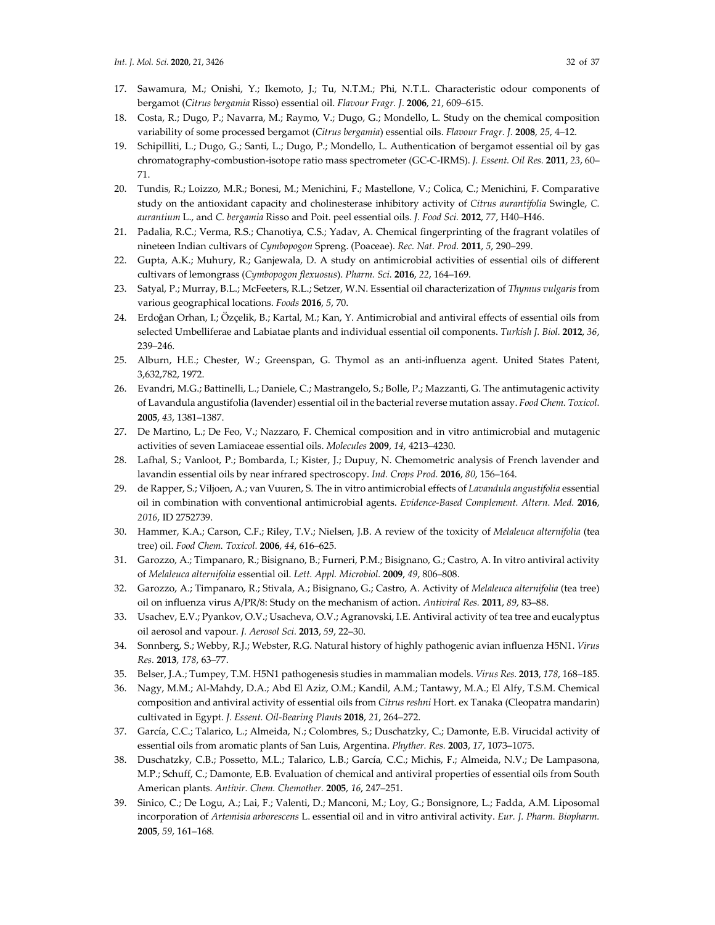- 17. Sawamura, M.; Onishi, Y.; Ikemoto, J.; Tu, N.T.M.; Phi, N.T.L. Characteristic odour components of bergamot (*Citrus bergamia* Risso) essential oil. *Flavour Fragr. J.* **2006**, *21*, 609–615.
- 18. Costa, R.; Dugo, P.; Navarra, M.; Raymo, V.; Dugo, G.; Mondello, L. Study on the chemical composition variability of some processed bergamot (*Citrus bergamia*) essential oils. *Flavour Fragr. J.* **2008**, *25*, 4–12.
- 19. Schipilliti, L.; Dugo, G.; Santi, L.; Dugo, P.; Mondello, L. Authentication of bergamot essential oil by gas chromatography-combustion-isotope ratio mass spectrometer (GC-C-IRMS). *J. Essent. Oil Res.* **2011**, *23*, 60– 71.
- 20. Tundis, R.; Loizzo, M.R.; Bonesi, M.; Menichini, F.; Mastellone, V.; Colica, C.; Menichini, F. Comparative study on the antioxidant capacity and cholinesterase inhibitory activity of *Citrus aurantifolia* Swingle, *C. aurantium* L., and *C. bergamia* Risso and Poit. peel essential oils. *J. Food Sci.* **2012**, *77*, H40–H46.
- 21. Padalia, R.C.; Verma, R.S.; Chanotiya, C.S.; Yadav, A. Chemical fingerprinting of the fragrant volatiles of nineteen Indian cultivars of *Cymbopogon* Spreng. (Poaceae). *Rec. Nat. Prod.* **2011**, *5*, 290–299.
- 22. Gupta, A.K.; Muhury, R.; Ganjewala, D. A study on antimicrobial activities of essential oils of different cultivars of lemongrass (*Cymbopogon flexuosus*). *Pharm. Sci.* **2016**, *22*, 164–169.
- 23. Satyal, P.; Murray, B.L.; McFeeters, R.L.; Setzer, W.N. Essential oil characterization of *Thymus vulgaris* from various geographical locations. *Foods* **2016**, *5*, 70.
- 24. Erdoǧan Orhan, I.; Özçelik, B.; Kartal, M.; Kan, Y. Antimicrobial and antiviral effects of essential oils from selected Umbelliferae and Labiatae plants and individual essential oil components. *Turkish J. Biol.* **2012**, *36*, 239–246.
- 25. Alburn, H.E.; Chester, W.; Greenspan, G. Thymol as an anti-influenza agent. United States Patent, 3,632,782, 1972.
- 26. Evandri, M.G.; Battinelli, L.; Daniele, C.; Mastrangelo, S.; Bolle, P.; Mazzanti, G. The antimutagenic activity of Lavandula angustifolia (lavender) essential oil in the bacterial reverse mutation assay. *Food Chem. Toxicol.* **2005**, *43*, 1381–1387.
- 27. De Martino, L.; De Feo, V.; Nazzaro, F. Chemical composition and in vitro antimicrobial and mutagenic activities of seven Lamiaceae essential oils. *Molecules* **2009**, *14*, 4213–4230.
- 28. Lafhal, S.; Vanloot, P.; Bombarda, I.; Kister, J.; Dupuy, N. Chemometric analysis of French lavender and lavandin essential oils by near infrared spectroscopy. *Ind. Crops Prod.* **2016**, *80*, 156–164.
- 29. de Rapper, S.; Viljoen, A.; van Vuuren, S. The in vitro antimicrobial effects of *Lavandula angustifolia* essential oil in combination with conventional antimicrobial agents. *Evidence-Based Complement. Altern. Med.* **2016**, *2016*, ID 2752739.
- 30. Hammer, K.A.; Carson, C.F.; Riley, T.V.; Nielsen, J.B. A review of the toxicity of *Melaleuca alternifolia* (tea tree) oil. *Food Chem. Toxicol.* **2006**, *44*, 616–625.
- 31. Garozzo, A.; Timpanaro, R.; Bisignano, B.; Furneri, P.M.; Bisignano, G.; Castro, A. In vitro antiviral activity of *Melaleuca alternifolia* essential oil. *Lett. Appl. Microbiol.* **2009**, *49*, 806–808.
- 32. Garozzo, A.; Timpanaro, R.; Stivala, A.; Bisignano, G.; Castro, A. Activity of *Melaleuca alternifolia* (tea tree) oil on influenza virus A/PR/8: Study on the mechanism of action. *Antiviral Res.* **2011**, *89*, 83–88.
- 33. Usachev, E.V.; Pyankov, O.V.; Usacheva, O.V.; Agranovski, I.E. Antiviral activity of tea tree and eucalyptus oil aerosol and vapour. *J. Aerosol Sci.* **2013**, *59*, 22–30.
- 34. Sonnberg, S.; Webby, R.J.; Webster, R.G. Natural history of highly pathogenic avian influenza H5N1. *Virus Res.* **2013**, *178*, 63–77.
- 35. Belser, J.A.; Tumpey, T.M. H5N1 pathogenesis studies in mammalian models. *Virus Res.* **2013**, *178*, 168–185.
- 36. Nagy, M.M.; Al-Mahdy, D.A.; Abd El Aziz, O.M.; Kandil, A.M.; Tantawy, M.A.; El Alfy, T.S.M. Chemical composition and antiviral activity of essential oils from *Citrus reshni* Hort. ex Tanaka (Cleopatra mandarin) cultivated in Egypt. *J. Essent. Oil-Bearing Plants* **2018**, *21*, 264–272.
- 37. García, C.C.; Talarico, L.; Almeida, N.; Colombres, S.; Duschatzky, C.; Damonte, E.B. Virucidal activity of essential oils from aromatic plants of San Luis, Argentina. *Phyther. Res.* **2003**, *17*, 1073–1075.
- 38. Duschatzky, C.B.; Possetto, M.L.; Talarico, L.B.; García, C.C.; Michis, F.; Almeida, N.V.; De Lampasona, M.P.; Schuff, C.; Damonte, E.B. Evaluation of chemical and antiviral properties of essential oils from South American plants. *Antivir. Chem. Chemother.* **2005**, *16*, 247–251.
- 39. Sinico, C.; De Logu, A.; Lai, F.; Valenti, D.; Manconi, M.; Loy, G.; Bonsignore, L.; Fadda, A.M. Liposomal incorporation of *Artemisia arborescens* L. essential oil and in vitro antiviral activity. *Eur. J. Pharm. Biopharm.* **2005**, *59*, 161–168.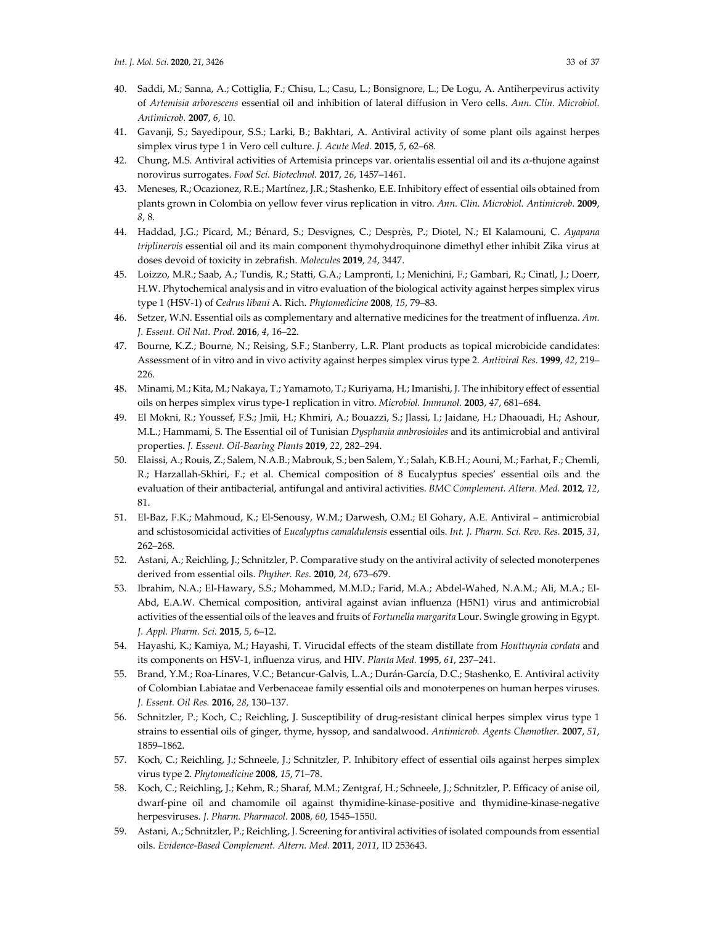- 40. Saddi, M.; Sanna, A.; Cottiglia, F.; Chisu, L.; Casu, L.; Bonsignore, L.; De Logu, A. Antiherpevirus activity of *Artemisia arborescens* essential oil and inhibition of lateral diffusion in Vero cells. *Ann. Clin. Microbiol. Antimicrob.* **2007**, *6*, 10.
- 41. Gavanji, S.; Sayedipour, S.S.; Larki, B.; Bakhtari, A. Antiviral activity of some plant oils against herpes simplex virus type 1 in Vero cell culture. *J. Acute Med.* **2015**, *5*, 62–68.
- 42. Chung, M.S. Antiviral activities of Artemisia princeps var. orientalis essential oil and its  $\alpha$ -thujone against norovirus surrogates. *Food Sci. Biotechnol.* **2017**, *26*, 1457–1461.
- 43. Meneses, R.; Ocazionez, R.E.; Martínez, J.R.; Stashenko, E.E. Inhibitory effect of essential oils obtained from plants grown in Colombia on yellow fever virus replication in vitro. *Ann. Clin. Microbiol. Antimicrob.* **2009**, *8*, 8.
- 44. Haddad, J.G.; Picard, M.; Bénard, S.; Desvignes, C.; Desprès, P.; Diotel, N.; El Kalamouni, C. *Ayapana triplinervis* essential oil and its main component thymohydroquinone dimethyl ether inhibit Zika virus at doses devoid of toxicity in zebrafish. *Molecules* **2019**, *24*, 3447.
- 45. Loizzo, M.R.; Saab, A.; Tundis, R.; Statti, G.A.; Lampronti, I.; Menichini, F.; Gambari, R.; Cinatl, J.; Doerr, H.W. Phytochemical analysis and in vitro evaluation of the biological activity against herpes simplex virus type 1 (HSV-1) of *Cedrus libani* A. Rich. *Phytomedicine* **2008**, *15*, 79–83.
- 46. Setzer, W.N. Essential oils as complementary and alternative medicines for the treatment of influenza. *Am. J. Essent. Oil Nat. Prod.* **2016**, *4*, 16–22.
- 47. Bourne, K.Z.; Bourne, N.; Reising, S.F.; Stanberry, L.R. Plant products as topical microbicide candidates: Assessment of in vitro and in vivo activity against herpes simplex virus type 2. *Antiviral Res.* **1999**, *42*, 219– 226.
- 48. Minami, M.; Kita, M.; Nakaya, T.; Yamamoto, T.; Kuriyama, H.; Imanishi, J. The inhibitory effect of essential oils on herpes simplex virus type-1 replication in vitro. *Microbiol. Immunol.* **2003**, *47*, 681–684.
- 49. El Mokni, R.; Youssef, F.S.; Jmii, H.; Khmiri, A.; Bouazzi, S.; Jlassi, I.; Jaidane, H.; Dhaouadi, H.; Ashour, M.L.; Hammami, S. The Essential oil of Tunisian *Dysphania ambrosioides* and its antimicrobial and antiviral properties. *J. Essent. Oil-Bearing Plants* **2019**, *22*, 282–294.
- 50. Elaissi, A.; Rouis, Z.; Salem, N.A.B.; Mabrouk, S.; ben Salem, Y.; Salah, K.B.H.; Aouni, M.; Farhat, F.; Chemli, R.; Harzallah-Skhiri, F.; et al. Chemical composition of 8 Eucalyptus species' essential oils and the evaluation of their antibacterial, antifungal and antiviral activities. *BMC Complement. Altern. Med.* **2012**, *12*, 81.
- 51. El-Baz, F.K.; Mahmoud, K.; El-Senousy, W.M.; Darwesh, O.M.; El Gohary, A.E. Antiviral antimicrobial and schistosomicidal activities of *Eucalyptus camaldulensis* essential oils. *Int. J. Pharm. Sci. Rev. Res.* **2015**, *31*, 262–268.
- 52. Astani, A.; Reichling, J.; Schnitzler, P. Comparative study on the antiviral activity of selected monoterpenes derived from essential oils. *Phyther. Res.* **2010**, *24*, 673–679.
- 53. Ibrahim, N.A.; El-Hawary, S.S.; Mohammed, M.M.D.; Farid, M.A.; Abdel-Wahed, N.A.M.; Ali, M.A.; El-Abd, E.A.W. Chemical composition, antiviral against avian influenza (H5N1) virus and antimicrobial activities of the essential oils of the leaves and fruits of *Fortunella margarita* Lour. Swingle growing in Egypt. *J. Appl. Pharm. Sci.* **2015**, *5*, 6–12.
- 54. Hayashi, K.; Kamiya, M.; Hayashi, T. Virucidal effects of the steam distillate from *Houttuynia cordata* and its components on HSV-1, influenza virus, and HIV. *Planta Med.* **1995**, *61*, 237–241.
- 55. Brand, Y.M.; Roa-Linares, V.C.; Betancur-Galvis, L.A.; Durán-García, D.C.; Stashenko, E. Antiviral activity of Colombian Labiatae and Verbenaceae family essential oils and monoterpenes on human herpes viruses. *J. Essent. Oil Res.* **2016**, *28*, 130–137.
- 56. Schnitzler, P.; Koch, C.; Reichling, J. Susceptibility of drug-resistant clinical herpes simplex virus type 1 strains to essential oils of ginger, thyme, hyssop, and sandalwood. *Antimicrob. Agents Chemother.* **2007**, *51*, 1859–1862.
- 57. Koch, C.; Reichling, J.; Schneele, J.; Schnitzler, P. Inhibitory effect of essential oils against herpes simplex virus type 2. *Phytomedicine* **2008**, *15*, 71–78.
- 58. Koch, C.; Reichling, J.; Kehm, R.; Sharaf, M.M.; Zentgraf, H.; Schneele, J.; Schnitzler, P. Efficacy of anise oil, dwarf-pine oil and chamomile oil against thymidine-kinase-positive and thymidine-kinase-negative herpesviruses. *J. Pharm. Pharmacol.* **2008**, *60*, 1545–1550.
- 59. Astani, A.; Schnitzler, P.; Reichling, J. Screening for antiviral activities of isolated compounds from essential oils. *Evidence-Based Complement. Altern. Med.* **2011**, *2011*, ID 253643.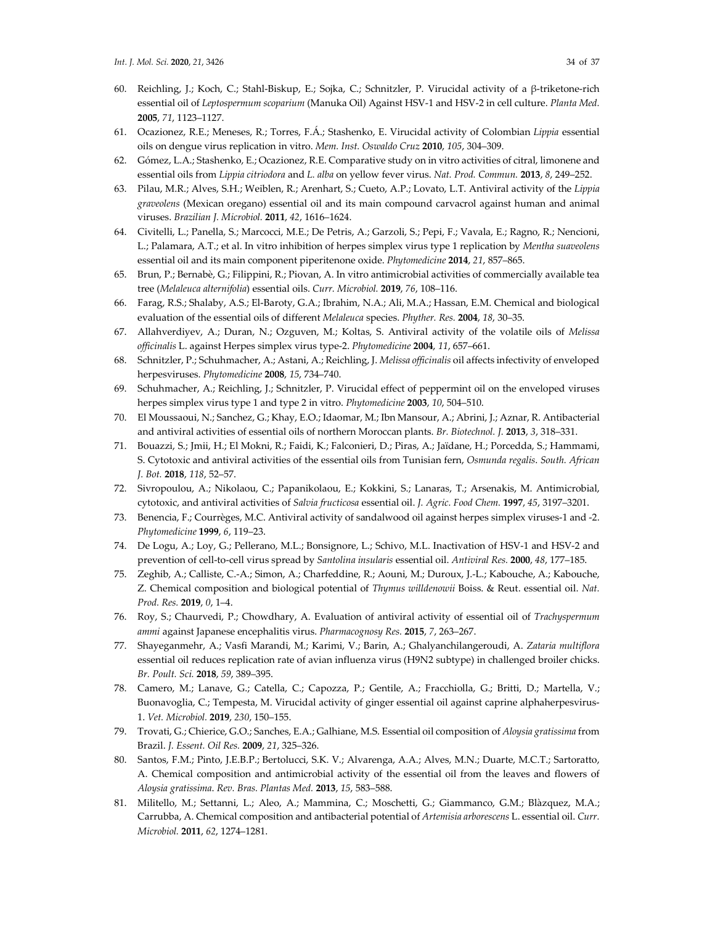- 60. Reichling, J.; Koch, C.; Stahl-Biskup, E.; Sojka, C.; Schnitzler, P. Virucidal activity of a β-triketone-rich essential oil of *Leptospermum scoparium* (Manuka Oil) Against HSV-1 and HSV-2 in cell culture. *Planta Med.* **2005**, *71*, 1123–1127.
- 61. Ocazionez, R.E.; Meneses, R.; Torres, F.Á.; Stashenko, E. Virucidal activity of Colombian *Lippia* essential oils on dengue virus replication in vitro. *Mem. Inst. Oswaldo Cruz* **2010**, *105*, 304–309.
- 62. Gómez, L.A.; Stashenko, E.; Ocazionez, R.E. Comparative study on in vitro activities of citral, limonene and essential oils from *Lippia citriodora* and *L. alba* on yellow fever virus. *Nat. Prod. Commun.* **2013**, *8*, 249–252.
- 63. Pilau, M.R.; Alves, S.H.; Weiblen, R.; Arenhart, S.; Cueto, A.P.; Lovato, L.T. Antiviral activity of the *Lippia graveolens* (Mexican oregano) essential oil and its main compound carvacrol against human and animal viruses. *Brazilian J. Microbiol.* **2011**, *42*, 1616–1624.
- 64. Civitelli, L.; Panella, S.; Marcocci, M.E.; De Petris, A.; Garzoli, S.; Pepi, F.; Vavala, E.; Ragno, R.; Nencioni, L.; Palamara, A.T.; et al. In vitro inhibition of herpes simplex virus type 1 replication by *Mentha suaveolens* essential oil and its main component piperitenone oxide. *Phytomedicine* **2014**, *21*, 857–865.
- 65. Brun, P.; Bernabè, G.; Filippini, R.; Piovan, A. In vitro antimicrobial activities of commercially available tea tree (*Melaleuca alternifolia*) essential oils. *Curr. Microbiol.* **2019**, *76*, 108–116.
- 66. Farag, R.S.; Shalaby, A.S.; El-Baroty, G.A.; Ibrahim, N.A.; Ali, M.A.; Hassan, E.M. Chemical and biological evaluation of the essential oils of different *Melaleuca* species. *Phyther. Res.* **2004**, *18*, 30–35.
- 67. Allahverdiyev, A.; Duran, N.; Ozguven, M.; Koltas, S. Antiviral activity of the volatile oils of *Melissa officinalis* L. against Herpes simplex virus type-2. *Phytomedicine* **2004**, *11*, 657–661.
- 68. Schnitzler, P.; Schuhmacher, A.; Astani, A.; Reichling, J. *Melissa officinalis* oil affects infectivity of enveloped herpesviruses. *Phytomedicine* **2008**, *15*, 734–740.
- 69. Schuhmacher, A.; Reichling, J.; Schnitzler, P. Virucidal effect of peppermint oil on the enveloped viruses herpes simplex virus type 1 and type 2 in vitro. *Phytomedicine* **2003**, *10*, 504–510.
- 70. El Moussaoui, N.; Sanchez, G.; Khay, E.O.; Idaomar, M.; Ibn Mansour, A.; Abrini, J.; Aznar, R. Antibacterial and antiviral activities of essential oils of northern Moroccan plants. *Br. Biotechnol. J.* **2013**, *3*, 318–331.
- 71. Bouazzi, S.; Jmii, H.; El Mokni, R.; Faidi, K.; Falconieri, D.; Piras, A.; Jaïdane, H.; Porcedda, S.; Hammami, S. Cytotoxic and antiviral activities of the essential oils from Tunisian fern, *Osmunda regalis*. *South. African J. Bot.* **2018**, *118*, 52–57.
- 72. Sivropoulou, A.; Nikolaou, C.; Papanikolaou, E.; Kokkini, S.; Lanaras, T.; Arsenakis, M. Antimicrobial, cytotoxic, and antiviral activities of *Salvia fructicosa* essential oil. *J. Agric. Food Chem.* **1997**, *45*, 3197–3201.
- 73. Benencia, F.; Courrèges, M.C. Antiviral activity of sandalwood oil against herpes simplex viruses-1 and -2. *Phytomedicine* **1999**, *6*, 119–23.
- 74. De Logu, A.; Loy, G.; Pellerano, M.L.; Bonsignore, L.; Schivo, M.L. Inactivation of HSV-1 and HSV-2 and prevention of cell-to-cell virus spread by *Santolina insularis* essential oil. *Antiviral Res.* **2000**, *48*, 177–185.
- 75. Zeghib, A.; Calliste, C.-A.; Simon, A.; Charfeddine, R.; Aouni, M.; Duroux, J.-L.; Kabouche, A.; Kabouche, Z. Chemical composition and biological potential of *Thymus willdenowii* Boiss. & Reut. essential oil. *Nat. Prod. Res.* **2019**, *0*, 1–4.
- 76. Roy, S.; Chaurvedi, P.; Chowdhary, A. Evaluation of antiviral activity of essential oil of *Trachyspermum ammi* against Japanese encephalitis virus. *Pharmacognosy Res.* **2015**, *7*, 263–267.
- 77. Shayeganmehr, A.; Vasfi Marandi, M.; Karimi, V.; Barin, A.; Ghalyanchilangeroudi, A. *Zataria multiflora* essential oil reduces replication rate of avian influenza virus (H9N2 subtype) in challenged broiler chicks. *Br. Poult. Sci.* **2018**, *59*, 389–395.
- 78. Camero, M.; Lanave, G.; Catella, C.; Capozza, P.; Gentile, A.; Fracchiolla, G.; Britti, D.; Martella, V.; Buonavoglia, C.; Tempesta, M. Virucidal activity of ginger essential oil against caprine alphaherpesvirus-1. *Vet. Microbiol.* **2019**, *230*, 150–155.
- 79. Trovati, G.; Chierice, G.O.; Sanches, E.A.; Galhiane, M.S. Essential oil composition of *Aloysia gratissima* from Brazil. *J. Essent. Oil Res.* **2009**, *21*, 325–326.
- 80. Santos, F.M.; Pinto, J.E.B.P.; Bertolucci, S.K. V.; Alvarenga, A.A.; Alves, M.N.; Duarte, M.C.T.; Sartoratto, A. Chemical composition and antimicrobial activity of the essential oil from the leaves and flowers of *Aloysia gratissima*. *Rev. Bras. Plantas Med.* **2013**, *15*, 583–588.
- 81. Militello, M.; Settanni, L.; Aleo, A.; Mammina, C.; Moschetti, G.; Giammanco, G.M.; Blàzquez, M.A.; Carrubba, A. Chemical composition and antibacterial potential of *Artemisia arborescens* L. essential oil. *Curr. Microbiol.* **2011**, *62*, 1274–1281.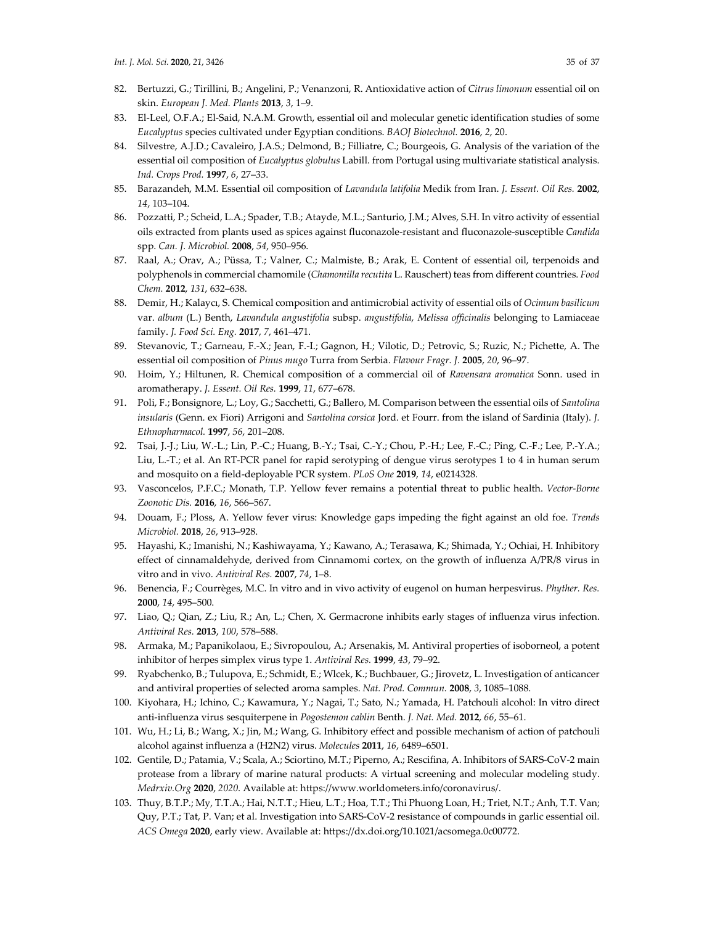- 82. Bertuzzi, G.; Tirillini, B.; Angelini, P.; Venanzoni, R. Antioxidative action of *Citrus limonum* essential oil on skin. *European J. Med. Plants* **2013**, *3*, 1–9.
- 83. El-Leel, O.F.A.; El-Said, N.A.M. Growth, essential oil and molecular genetic identification studies of some *Eucalyptus* species cultivated under Egyptian conditions. *BAOJ Biotechnol.* **2016**, *2*, 20.
- 84. Silvestre, A.J.D.; Cavaleiro, J.A.S.; Delmond, B.; Filliatre, C.; Bourgeois, G. Analysis of the variation of the essential oil composition of *Eucalyptus globulus* Labill. from Portugal using multivariate statistical analysis. *Ind. Crops Prod.* **1997**, *6*, 27–33.
- 85. Barazandeh, M.M. Essential oil composition of *Lavandula latifolia* Medik from Iran. *J. Essent. Oil Res.* **2002**, *14*, 103–104.
- 86. Pozzatti, P.; Scheid, L.A.; Spader, T.B.; Atayde, M.L.; Santurio, J.M.; Alves, S.H. In vitro activity of essential oils extracted from plants used as spices against fluconazole-resistant and fluconazole-susceptible *Candida* spp. *Can. J. Microbiol.* **2008**, *54*, 950–956.
- 87. Raal, A.; Orav, A.; Püssa, T.; Valner, C.; Malmiste, B.; Arak, E. Content of essential oil, terpenoids and polyphenols in commercial chamomile (*Chamomilla recutita* L. Rauschert) teas from different countries. *Food Chem.* **2012**, *131*, 632–638.
- 88. Demir, H.; Kalaycı, S. Chemical composition and antimicrobial activity of essential oils of *Ocimum basilicum* var. *album* (L.) Benth, *Lavandula angustifolia* subsp. *angustifolia*, *Melissa officinalis* belonging to Lamiaceae family. *J. Food Sci. Eng.* **2017**, *7*, 461–471.
- 89. Stevanovic, T.; Garneau, F.-X.; Jean, F.-I.; Gagnon, H.; Vilotic, D.; Petrovic, S.; Ruzic, N.; Pichette, A. The essential oil composition of *Pinus mugo* Turra from Serbia. *Flavour Fragr. J.* **2005**, *20*, 96–97.
- 90. Hoim, Y.; Hiltunen, R. Chemical composition of a commercial oil of *Ravensara aromatica* Sonn. used in aromatherapy. *J. Essent. Oil Res.* **1999**, *11*, 677–678.
- 91. Poli, F.; Bonsignore, L.; Loy, G.; Sacchetti, G.; Ballero, M. Comparison between the essential oils of *Santolina insularis* (Genn. ex Fiori) Arrigoni and *Santolina corsica* Jord. et Fourr. from the island of Sardinia (Italy). *J. Ethnopharmacol.* **1997**, *56*, 201–208.
- 92. Tsai, J.-J.; Liu, W.-L.; Lin, P.-C.; Huang, B.-Y.; Tsai, C.-Y.; Chou, P.-H.; Lee, F.-C.; Ping, C.-F.; Lee, P.-Y.A.; Liu, L.-T.; et al. An RT-PCR panel for rapid serotyping of dengue virus serotypes 1 to 4 in human serum and mosquito on a field-deployable PCR system. *PLoS One* **2019**, *14*, e0214328.
- 93. Vasconcelos, P.F.C.; Monath, T.P. Yellow fever remains a potential threat to public health. *Vector-Borne Zoonotic Dis.* **2016**, *16*, 566–567.
- 94. Douam, F.; Ploss, A. Yellow fever virus: Knowledge gaps impeding the fight against an old foe. *Trends Microbiol.* **2018**, *26*, 913–928.
- 95. Hayashi, K.; Imanishi, N.; Kashiwayama, Y.; Kawano, A.; Terasawa, K.; Shimada, Y.; Ochiai, H. Inhibitory effect of cinnamaldehyde, derived from Cinnamomi cortex, on the growth of influenza A/PR/8 virus in vitro and in vivo. *Antiviral Res.* **2007**, *74*, 1–8.
- 96. Benencia, F.; Courrèges, M.C. In vitro and in vivo activity of eugenol on human herpesvirus. *Phyther. Res.* **2000**, *14*, 495–500.
- 97. Liao, Q.; Qian, Z.; Liu, R.; An, L.; Chen, X. Germacrone inhibits early stages of influenza virus infection. *Antiviral Res.* **2013**, *100*, 578–588.
- 98. Armaka, M.; Papanikolaou, E.; Sivropoulou, A.; Arsenakis, M. Antiviral properties of isoborneol, a potent inhibitor of herpes simplex virus type 1. *Antiviral Res.* **1999**, *43*, 79–92.
- 99. Ryabchenko, B.; Tulupova, E.; Schmidt, E.; Wlcek, K.; Buchbauer, G.; Jirovetz, L. Investigation of anticancer and antiviral properties of selected aroma samples. *Nat. Prod. Commun.* **2008**, *3*, 1085–1088.
- 100. Kiyohara, H.; Ichino, C.; Kawamura, Y.; Nagai, T.; Sato, N.; Yamada, H. Patchouli alcohol: In vitro direct anti-influenza virus sesquiterpene in *Pogostemon cablin* Benth. *J. Nat. Med.* **2012**, *66*, 55–61.
- 101. Wu, H.; Li, B.; Wang, X.; Jin, M.; Wang, G. Inhibitory effect and possible mechanism of action of patchouli alcohol against influenza a (H2N2) virus. *Molecules* **2011**, *16*, 6489–6501.
- 102. Gentile, D.; Patamia, V.; Scala, A.; Sciortino, M.T.; Piperno, A.; Rescifina, A. Inhibitors of SARS-CoV-2 main protease from a library of marine natural products: A virtual screening and molecular modeling study. *Medrxiv.Org* **2020**, *2020*. Available at: https://www.worldometers.info/coronavirus/.
- 103. Thuy, B.T.P.; My, T.T.A.; Hai, N.T.T.; Hieu, L.T.; Hoa, T.T.; Thi Phuong Loan, H.; Triet, N.T.; Anh, T.T. Van; Quy, P.T.; Tat, P. Van; et al. Investigation into SARS-CoV-2 resistance of compounds in garlic essential oil. *ACS Omega* **2020**, early view. Available at: https://dx.doi.org/10.1021/acsomega.0c00772.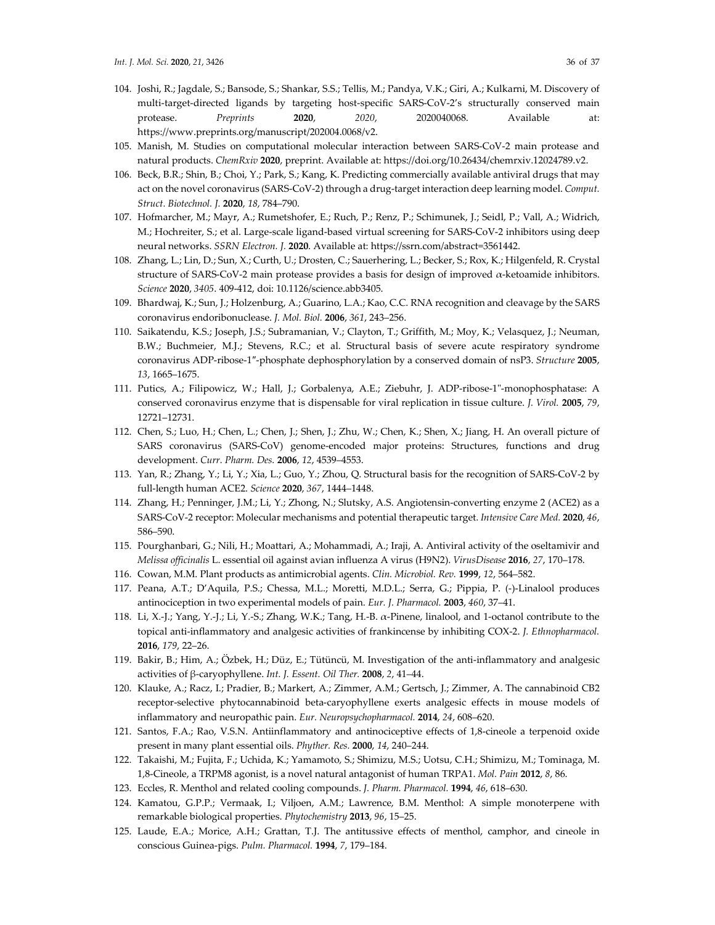- 104. Joshi, R.; Jagdale, S.; Bansode, S.; Shankar, S.S.; Tellis, M.; Pandya, V.K.; Giri, A.; Kulkarni, M. Discovery of multi-target-directed ligands by targeting host-specific SARS-CoV-2's structurally conserved main protease. *Preprints* **2020**, *2020*, 2020040068. Available at: https://www.preprints.org/manuscript/202004.0068/v2.
- 105. Manish, M. Studies on computational molecular interaction between SARS-CoV-2 main protease and natural products. *ChemRxiv* **2020**, preprint. Available at: https://doi.org/10.26434/chemrxiv.12024789.v2.
- 106. Beck, B.R.; Shin, B.; Choi, Y.; Park, S.; Kang, K. Predicting commercially available antiviral drugs that may act on the novel coronavirus (SARS-CoV-2) through a drug-target interaction deep learning model. *Comput. Struct. Biotechnol. J.* **2020**, *18*, 784–790.
- 107. Hofmarcher, M.; Mayr, A.; Rumetshofer, E.; Ruch, P.; Renz, P.; Schimunek, J.; Seidl, P.; Vall, A.; Widrich, M.; Hochreiter, S.; et al. Large-scale ligand-based virtual screening for SARS-CoV-2 inhibitors using deep neural networks. *SSRN Electron. J.* **2020**. Available at: https://ssrn.com/abstract=3561442.
- 108. Zhang, L.; Lin, D.; Sun, X.; Curth, U.; Drosten, C.; Sauerhering, L.; Becker, S.; Rox, K.; Hilgenfeld, R. Crystal structure of SARS-CoV-2 main protease provides a basis for design of improved  $\alpha$ -ketoamide inhibitors. *Science* **2020**, *3405*. 409-412, doi: 10.1126/science.abb3405.
- 109. Bhardwaj, K.; Sun, J.; Holzenburg, A.; Guarino, L.A.; Kao, C.C. RNA recognition and cleavage by the SARS coronavirus endoribonuclease. *J. Mol. Biol.* **2006**, *361*, 243–256.
- 110. Saikatendu, K.S.; Joseph, J.S.; Subramanian, V.; Clayton, T.; Griffith, M.; Moy, K.; Velasquez, J.; Neuman, B.W.; Buchmeier, M.J.; Stevens, R.C.; et al. Structural basis of severe acute respiratory syndrome coronavirus ADP-ribose-1″-phosphate dephosphorylation by a conserved domain of nsP3. *Structure* **2005**, *13*, 1665–1675.
- 111. Putics, A.; Filipowicz, W.; Hall, J.; Gorbalenya, A.E.; Ziebuhr, J. ADP-ribose-1"-monophosphatase: A conserved coronavirus enzyme that is dispensable for viral replication in tissue culture. *J. Virol.* **2005**, *79*, 12721–12731.
- 112. Chen, S.; Luo, H.; Chen, L.; Chen, J.; Shen, J.; Zhu, W.; Chen, K.; Shen, X.; Jiang, H. An overall picture of SARS coronavirus (SARS-CoV) genome-encoded major proteins: Structures, functions and drug development. *Curr. Pharm. Des.* **2006**, *12*, 4539–4553.
- 113. Yan, R.; Zhang, Y.; Li, Y.; Xia, L.; Guo, Y.; Zhou, Q. Structural basis for the recognition of SARS-CoV-2 by full-length human ACE2. *Science* **2020**, *367*, 1444–1448.
- 114. Zhang, H.; Penninger, J.M.; Li, Y.; Zhong, N.; Slutsky, A.S. Angiotensin-converting enzyme 2 (ACE2) as a SARS-CoV-2 receptor: Molecular mechanisms and potential therapeutic target. *Intensive Care Med.* **2020**, *46*, 586–590.
- 115. Pourghanbari, G.; Nili, H.; Moattari, A.; Mohammadi, A.; Iraji, A. Antiviral activity of the oseltamivir and *Melissa officinalis* L. essential oil against avian influenza A virus (H9N2). *VirusDisease* **2016**, *27*, 170–178.
- 116. Cowan, M.M. Plant products as antimicrobial agents. *Clin. Microbiol. Rev.* **1999**, *12*, 564–582.
- 117. Peana, A.T.; D'Aquila, P.S.; Chessa, M.L.; Moretti, M.D.L.; Serra, G.; Pippia, P. (-)-Linalool produces antinociception in two experimental models of pain. *Eur. J. Pharmacol.* **2003**, *460*, 37–41.
- 118. Li, X.-J.; Yang, Y.-J.; Li, Y.-S.; Zhang, W.K.; Tang, H.-B. α-Pinene, linalool, and 1-octanol contribute to the topical anti-inflammatory and analgesic activities of frankincense by inhibiting COX-2. *J. Ethnopharmacol.* **2016**, *179*, 22–26.
- 119. Bakir, B.; Him, A.; Özbek, H.; Düz, E.; Tütüncü, M. Investigation of the anti-inflammatory and analgesic activities of β-caryophyllene. *Int. J. Essent. Oil Ther.* **2008**, *2*, 41–44.
- 120. Klauke, A.; Racz, I.; Pradier, B.; Markert, A.; Zimmer, A.M.; Gertsch, J.; Zimmer, A. The cannabinoid CB2 receptor-selective phytocannabinoid beta-caryophyllene exerts analgesic effects in mouse models of inflammatory and neuropathic pain. *Eur. Neuropsychopharmacol.* **2014**, *24*, 608–620.
- 121. Santos, F.A.; Rao, V.S.N. Antiinflammatory and antinociceptive effects of 1,8-cineole a terpenoid oxide present in many plant essential oils. *Phyther. Res.* **2000**, *14*, 240–244.
- 122. Takaishi, M.; Fujita, F.; Uchida, K.; Yamamoto, S.; Shimizu, M.S.; Uotsu, C.H.; Shimizu, M.; Tominaga, M. 1,8-Cineole, a TRPM8 agonist, is a novel natural antagonist of human TRPA1. *Mol. Pain* **2012**, *8*, 86.
- 123. Eccles, R. Menthol and related cooling compounds. *J. Pharm. Pharmacol.* **1994**, *46*, 618–630.
- 124. Kamatou, G.P.P.; Vermaak, I.; Viljoen, A.M.; Lawrence, B.M. Menthol: A simple monoterpene with remarkable biological properties. *Phytochemistry* **2013**, *96*, 15–25.
- 125. Laude, E.A.; Morice, A.H.; Grattan, T.J. The antitussive effects of menthol, camphor, and cineole in conscious Guinea-pigs. *Pulm. Pharmacol.* **1994**, *7*, 179–184.